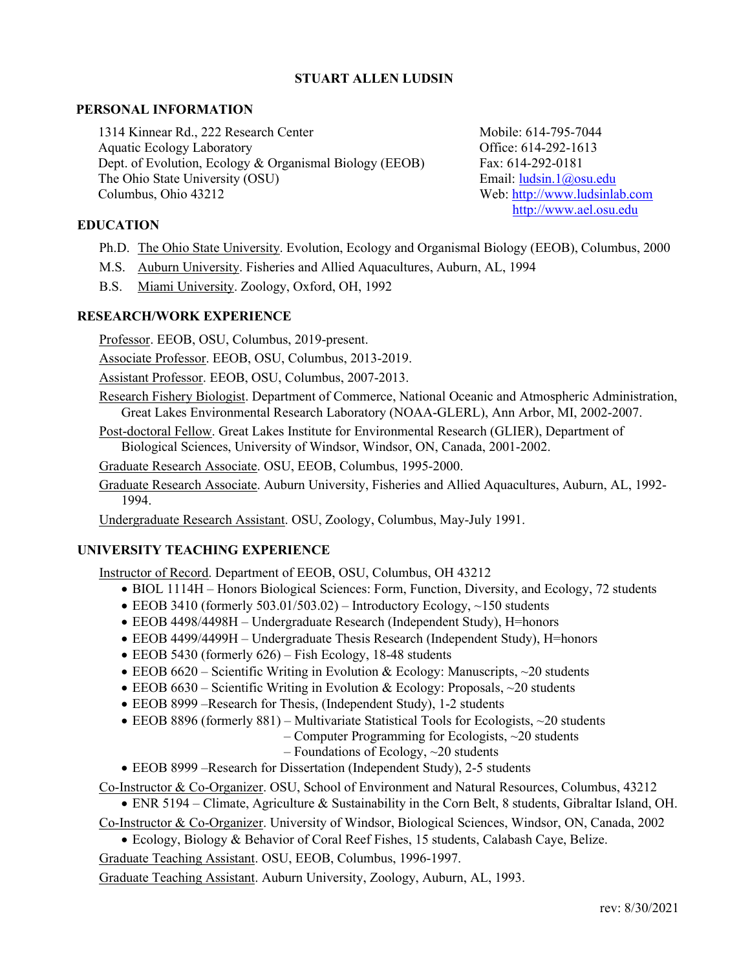### **STUART ALLEN LUDSIN**

### **PERSONAL INFORMATION**

1314 Kinnear Rd., 222 Research Center Aquatic Ecology Laboratory Dept. of Evolution, Ecology & Organismal Biology (EEOB) The Ohio State University (OSU) Columbus, Ohio 43212

Mobile: 614-795-7044 Office: 614-292-1613 Fax: 614-292-0181 Email: [ludsin.1@osu.edu](mailto:ludsin.1@osu.edu) Web: [http://www.ludsinlab.com](http://www.ludsinlab.com/) [http://www.ael.osu.edu](http://www.ael.osu.edu/)

### **EDUCATION**

- Ph.D. The Ohio State University. Evolution, Ecology and Organismal Biology (EEOB), Columbus, 2000
- M.S. Auburn University. Fisheries and Allied Aquacultures, Auburn, AL, 1994
- B.S. Miami University. Zoology, Oxford, OH, 1992

### **RESEARCH/WORK EXPERIENCE**

Professor. EEOB, OSU, Columbus, 2019-present.

Associate Professor. EEOB, OSU, Columbus, 2013-2019.

Assistant Professor. EEOB, OSU, Columbus, 2007-2013.

Research Fishery Biologist. Department of Commerce, National Oceanic and Atmospheric Administration, Great Lakes Environmental Research Laboratory (NOAA-GLERL), Ann Arbor, MI, 2002-2007.

Post-doctoral Fellow. Great Lakes Institute for Environmental Research (GLIER), Department of Biological Sciences, University of Windsor, Windsor, ON, Canada, 2001-2002.

Graduate Research Associate. OSU, EEOB, Columbus, 1995-2000.

Graduate Research Associate. Auburn University, Fisheries and Allied Aquacultures, Auburn, AL, 1992- 1994.

Undergraduate Research Assistant. OSU, Zoology, Columbus, May-July 1991.

### **UNIVERSITY TEACHING EXPERIENCE**

Instructor of Record. Department of EEOB, OSU, Columbus, OH 43212

- BIOL 1114H Honors Biological Sciences: Form, Function, Diversity, and Ecology, 72 students
- EEOB 3410 (formerly 503.01/503.02) Introductory Ecology,  $\sim$ 150 students
- EEOB 4498/4498H Undergraduate Research (Independent Study), H=honors
- EEOB 4499/4499H Undergraduate Thesis Research (Independent Study), H=honors
- EEOB 5430 (formerly 626) Fish Ecology, 18-48 students
- EEOB  $6620$  Scientific Writing in Evolution & Ecology: Manuscripts,  $\sim$  20 students
- EEOB  $6630$  Scientific Writing in Evolution & Ecology: Proposals,  $\sim$  20 students
- EEOB 8999 –Research for Thesis, (Independent Study), 1-2 students
- EEOB 8896 (formerly 881) Multivariate Statistical Tools for Ecologists, ~20 students
	- Computer Programming for Ecologists,  $\sim$ 20 students
	- $-$  Foundations of Ecology,  $\sim$ 20 students
- EEOB 8999 –Research for Dissertation (Independent Study), 2-5 students

Co-Instructor & Co-Organizer. OSU, School of Environment and Natural Resources, Columbus, 43212

• ENR 5194 – Climate, Agriculture & Sustainability in the Corn Belt, 8 students, Gibraltar Island, OH. Co-Instructor & Co-Organizer. University of Windsor, Biological Sciences, Windsor, ON, Canada, 2002

• Ecology, Biology & Behavior of Coral Reef Fishes, 15 students, Calabash Caye, Belize.

Graduate Teaching Assistant. OSU, EEOB, Columbus, 1996-1997.

Graduate Teaching Assistant. Auburn University, Zoology, Auburn, AL, 1993.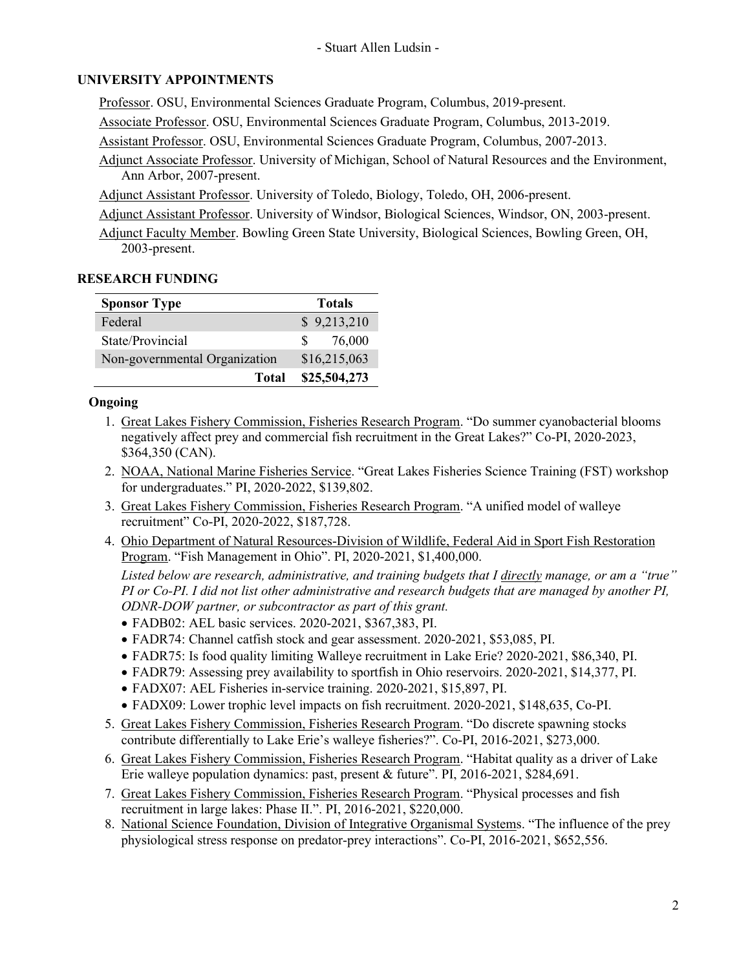## **UNIVERSITY APPOINTMENTS**

Professor. OSU, Environmental Sciences Graduate Program, Columbus, 2019-present.

Associate Professor. OSU, Environmental Sciences Graduate Program, Columbus, 2013-2019.

Assistant Professor. OSU, Environmental Sciences Graduate Program, Columbus, 2007-2013.

Adjunct Associate Professor. University of Michigan, School of Natural Resources and the Environment, Ann Arbor, 2007-present.

Adjunct Assistant Professor. University of Toledo, Biology, Toledo, OH, 2006-present.

Adjunct Assistant Professor. University of Windsor, Biological Sciences, Windsor, ON, 2003-present.

Adjunct Faculty Member. Bowling Green State University, Biological Sciences, Bowling Green, OH, 2003-present.

## **RESEARCH FUNDING**

| <b>Sponsor Type</b>           | <b>Totals</b>          |
|-------------------------------|------------------------|
| Federal                       | \$9,213,210            |
| State/Provincial              | 76,000<br>$\mathbf{S}$ |
| Non-governmental Organization | \$16,215,063           |
| <b>Total</b>                  | \$25,504,273           |

## **Ongoing**

- 1. Great Lakes Fishery Commission, Fisheries Research Program. "Do summer cyanobacterial blooms negatively affect prey and commercial fish recruitment in the Great Lakes?" Co-PI, 2020-2023, \$364,350 (CAN).
- 2. NOAA, National Marine Fisheries Service. "Great Lakes Fisheries Science Training (FST) workshop for undergraduates." PI, 2020-2022, \$139,802.
- 3. Great Lakes Fishery Commission, Fisheries Research Program. "A unified model of walleye recruitment" Co-PI, 2020-2022, \$187,728.
- 4. Ohio Department of Natural Resources-Division of Wildlife, Federal Aid in Sport Fish Restoration Program. "Fish Management in Ohio". PI, 2020-2021, \$1,400,000.

*Listed below are research, administrative, and training budgets that I directly manage, or am a "true" PI or Co-PI. I did not list other administrative and research budgets that are managed by another PI, ODNR-DOW partner, or subcontractor as part of this grant.*

- FADB02: AEL basic services. 2020-2021, \$367,383, PI.
- FADR74: Channel catfish stock and gear assessment. 2020-2021, \$53,085, PI.
- FADR75: Is food quality limiting Walleye recruitment in Lake Erie? 2020-2021, \$86,340, PI.
- FADR79: Assessing prey availability to sportfish in Ohio reservoirs. 2020-2021, \$14,377, PI.
- FADX07: AEL Fisheries in-service training. 2020-2021, \$15,897, PI.
- FADX09: Lower trophic level impacts on fish recruitment. 2020-2021, \$148,635, Co-PI.
- 5. Great Lakes Fishery Commission, Fisheries Research Program. "Do discrete spawning stocks contribute differentially to Lake Erie's walleye fisheries?". Co-PI, 2016-2021, \$273,000.
- 6. Great Lakes Fishery Commission, Fisheries Research Program. "Habitat quality as a driver of Lake Erie walleye population dynamics: past, present & future". PI, 2016-2021, \$284,691.
- 7. Great Lakes Fishery Commission, Fisheries Research Program. "Physical processes and fish recruitment in large lakes: Phase II.". PI, 2016-2021, \$220,000.
- 8. National Science Foundation, Division of Integrative Organismal Systems. "The influence of the prey physiological stress response on predator-prey interactions". Co-PI, 2016-2021, \$652,556.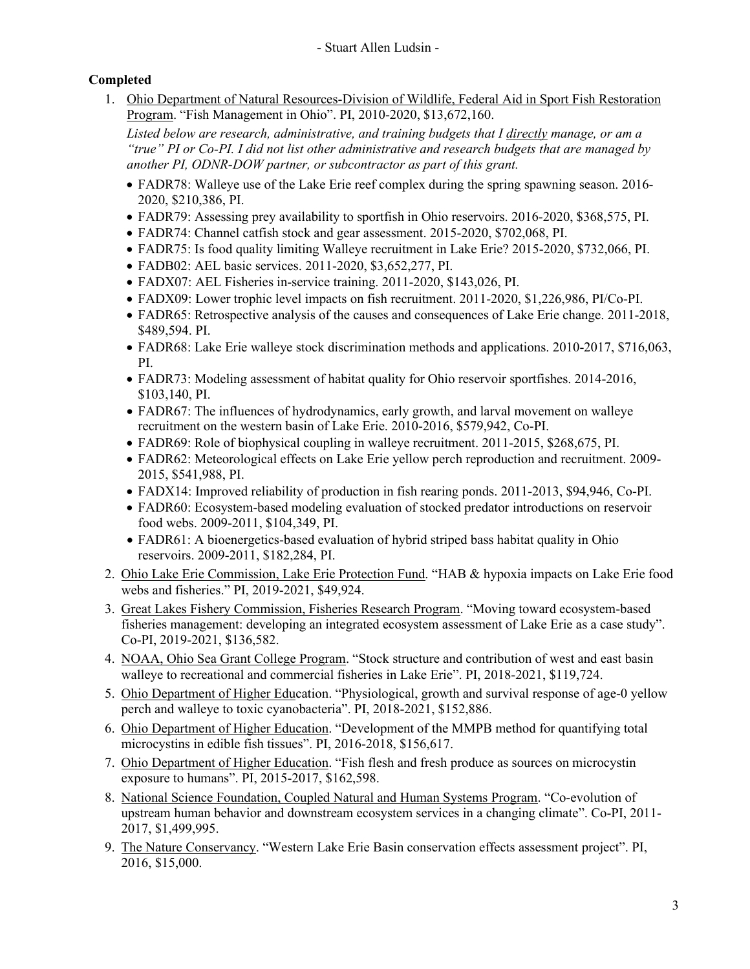# **Completed**

1. Ohio Department of Natural Resources-Division of Wildlife, Federal Aid in Sport Fish Restoration Program. "Fish Management in Ohio". PI, 2010-2020, \$13,672,160.

*Listed below are research, administrative, and training budgets that I directly manage, or am a "true" PI or Co-PI. I did not list other administrative and research budgets that are managed by another PI, ODNR-DOW partner, or subcontractor as part of this grant.*

- FADR78: Walleye use of the Lake Erie reef complex during the spring spawning season. 2016- 2020, \$210,386, PI.
- FADR79: Assessing prey availability to sportfish in Ohio reservoirs. 2016-2020, \$368,575, PI.
- FADR74: Channel catfish stock and gear assessment. 2015-2020, \$702,068, PI.
- FADR75: Is food quality limiting Walleye recruitment in Lake Erie? 2015-2020, \$732,066, PI.
- FADB02: AEL basic services. 2011-2020, \$3,652,277, PI.
- FADX07: AEL Fisheries in-service training. 2011-2020, \$143,026, PI.
- FADX09: Lower trophic level impacts on fish recruitment. 2011-2020, \$1,226,986, PI/Co-PI.
- FADR65: Retrospective analysis of the causes and consequences of Lake Erie change. 2011-2018, \$489,594. PI.
- FADR68: Lake Erie walleye stock discrimination methods and applications. 2010-2017, \$716,063, PI.
- FADR73: Modeling assessment of habitat quality for Ohio reservoir sportfishes. 2014-2016, \$103,140, PI.
- FADR67: The influences of hydrodynamics, early growth, and larval movement on walleye recruitment on the western basin of Lake Erie. 2010-2016, \$579,942, Co-PI.
- FADR69: Role of biophysical coupling in walleye recruitment. 2011-2015, \$268,675, PI.
- FADR62: Meteorological effects on Lake Erie yellow perch reproduction and recruitment. 2009- 2015, \$541,988, PI.
- FADX14: Improved reliability of production in fish rearing ponds. 2011-2013, \$94,946, Co-PI.
- FADR60: Ecosystem-based modeling evaluation of stocked predator introductions on reservoir food webs. 2009-2011, \$104,349, PI.
- FADR61: A bioenergetics-based evaluation of hybrid striped bass habitat quality in Ohio reservoirs. 2009-2011, \$182,284, PI.
- 2. Ohio Lake Erie Commission, Lake Erie Protection Fund. "HAB & hypoxia impacts on Lake Erie food webs and fisheries." PI, 2019-2021, \$49,924.
- 3. Great Lakes Fishery Commission, Fisheries Research Program. "Moving toward ecosystem-based fisheries management: developing an integrated ecosystem assessment of Lake Erie as a case study". Co-PI, 2019-2021, \$136,582.
- 4. NOAA, Ohio Sea Grant College Program. "Stock structure and contribution of west and east basin walleye to recreational and commercial fisheries in Lake Erie". PI, 2018-2021, \$119,724.
- 5. Ohio Department of Higher Education. "Physiological, growth and survival response of age-0 yellow perch and walleye to toxic cyanobacteria". PI, 2018-2021, \$152,886.
- 6. Ohio Department of Higher Education. "Development of the MMPB method for quantifying total microcystins in edible fish tissues". PI, 2016-2018, \$156,617.
- 7. Ohio Department of Higher Education. "Fish flesh and fresh produce as sources on microcystin exposure to humans". PI, 2015-2017, \$162,598.
- 8. National Science Foundation, Coupled Natural and Human Systems Program. "Co-evolution of upstream human behavior and downstream ecosystem services in a changing climate". Co-PI, 2011- 2017, \$1,499,995.
- 9. The Nature Conservancy. "Western Lake Erie Basin conservation effects assessment project". PI, 2016, \$15,000.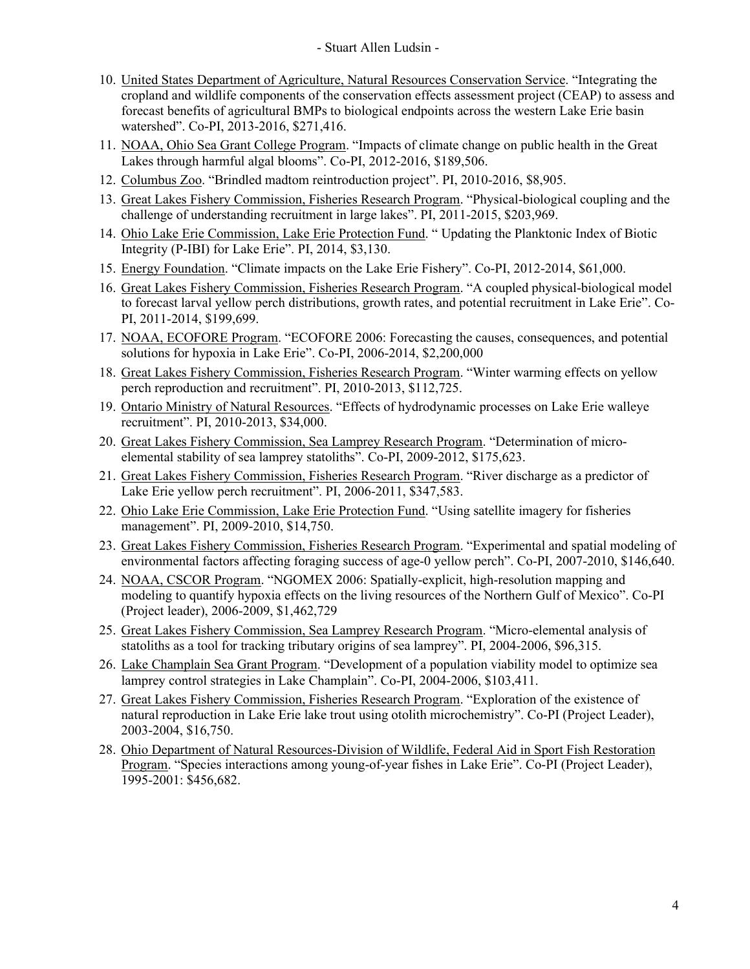- 10. United States Department of Agriculture, Natural Resources Conservation Service. "Integrating the cropland and wildlife components of the conservation effects assessment project (CEAP) to assess and forecast benefits of agricultural BMPs to biological endpoints across the western Lake Erie basin watershed". Co-PI, 2013-2016, \$271,416.
- 11. NOAA, Ohio Sea Grant College Program. "Impacts of climate change on public health in the Great Lakes through harmful algal blooms". Co-PI, 2012-2016, \$189,506.
- 12. Columbus Zoo. "Brindled madtom reintroduction project". PI, 2010-2016, \$8,905.
- 13. Great Lakes Fishery Commission, Fisheries Research Program. "Physical-biological coupling and the challenge of understanding recruitment in large lakes". PI, 2011-2015, \$203,969.
- 14. Ohio Lake Erie Commission, Lake Erie Protection Fund. " Updating the Planktonic Index of Biotic Integrity (P-IBI) for Lake Erie". PI, 2014, \$3,130.
- 15. Energy Foundation. "Climate impacts on the Lake Erie Fishery". Co-PI, 2012-2014, \$61,000.
- 16. Great Lakes Fishery Commission, Fisheries Research Program. "A coupled physical-biological model to forecast larval yellow perch distributions, growth rates, and potential recruitment in Lake Erie". Co-PI, 2011-2014, \$199,699.
- 17. NOAA, ECOFORE Program. "ECOFORE 2006: Forecasting the causes, consequences, and potential solutions for hypoxia in Lake Erie". Co-PI, 2006-2014, \$2,200,000
- 18. Great Lakes Fishery Commission, Fisheries Research Program. "Winter warming effects on yellow perch reproduction and recruitment". PI, 2010-2013, \$112,725.
- 19. Ontario Ministry of Natural Resources. "Effects of hydrodynamic processes on Lake Erie walleye recruitment". PI, 2010-2013, \$34,000.
- 20. Great Lakes Fishery Commission, Sea Lamprey Research Program. "Determination of microelemental stability of sea lamprey statoliths". Co-PI, 2009-2012, \$175,623.
- 21. Great Lakes Fishery Commission, Fisheries Research Program. "River discharge as a predictor of Lake Erie yellow perch recruitment". PI, 2006-2011, \$347,583.
- 22. Ohio Lake Erie Commission, Lake Erie Protection Fund. "Using satellite imagery for fisheries management". PI, 2009-2010, \$14,750.
- 23. Great Lakes Fishery Commission, Fisheries Research Program. "Experimental and spatial modeling of environmental factors affecting foraging success of age-0 yellow perch". Co-PI, 2007-2010, \$146,640.
- 24. NOAA, CSCOR Program. "NGOMEX 2006: Spatially-explicit, high-resolution mapping and modeling to quantify hypoxia effects on the living resources of the Northern Gulf of Mexico". Co-PI (Project leader), 2006-2009, \$1,462,729
- 25. Great Lakes Fishery Commission, Sea Lamprey Research Program. "Micro-elemental analysis of statoliths as a tool for tracking tributary origins of sea lamprey". PI, 2004-2006, \$96,315.
- 26. Lake Champlain Sea Grant Program. "Development of a population viability model to optimize sea lamprey control strategies in Lake Champlain". Co-PI, 2004-2006, \$103,411.
- 27. Great Lakes Fishery Commission, Fisheries Research Program. "Exploration of the existence of natural reproduction in Lake Erie lake trout using otolith microchemistry". Co-PI (Project Leader), 2003-2004, \$16,750.
- 28. Ohio Department of Natural Resources-Division of Wildlife, Federal Aid in Sport Fish Restoration Program. "Species interactions among young-of-year fishes in Lake Erie". Co-PI (Project Leader), 1995-2001: \$456,682.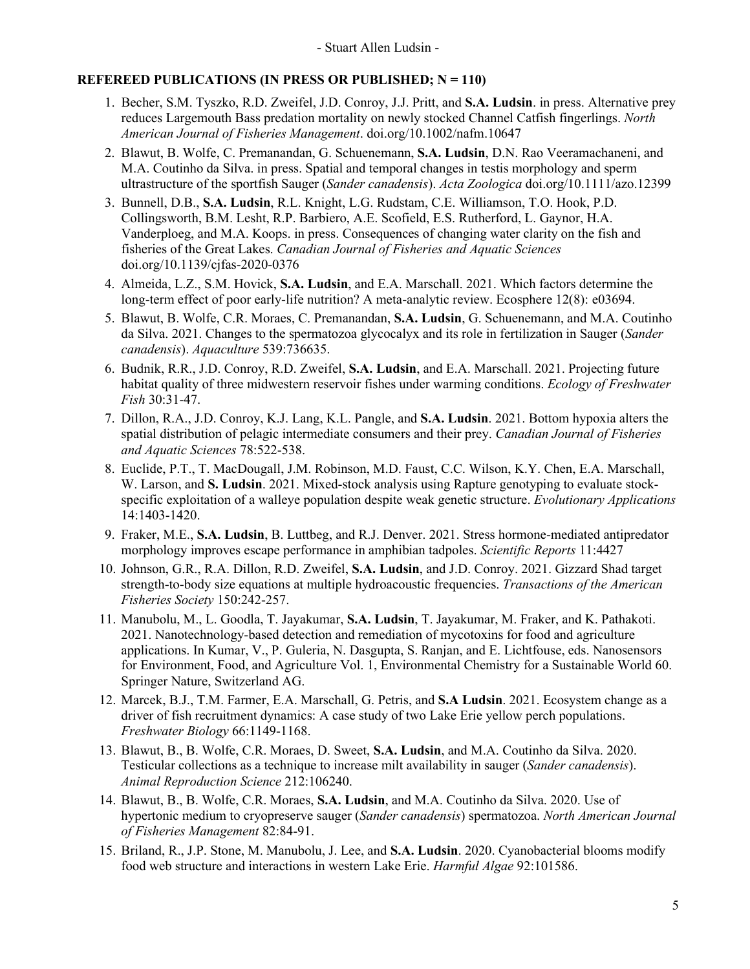## **REFEREED PUBLICATIONS (IN PRESS OR PUBLISHED; N = 110)**

- 1. Becher, S.M. Tyszko, R.D. Zweifel, J.D. Conroy, J.J. Pritt, and **S.A. Ludsin**. in press. Alternative prey reduces Largemouth Bass predation mortality on newly stocked Channel Catfish fingerlings. *North American Journal of Fisheries Management*. doi.org/10.1002/nafm.10647
- 2. Blawut, B. Wolfe, C. Premanandan, G. Schuenemann, **S.A. Ludsin**, D.N. Rao Veeramachaneni, and M.A. Coutinho da Silva. in press. Spatial and temporal changes in testis morphology and sperm ultrastructure of the sportfish Sauger (*Sander canadensis*). *Acta Zoologica* doi.org/10.1111/azo.12399
- 3. Bunnell, D.B., **S.A. Ludsin**, R.L. Knight, L.G. Rudstam, C.E. Williamson, T.O. Hook, P.D. Collingsworth, B.M. Lesht, R.P. Barbiero, A.E. Scofield, E.S. Rutherford, L. Gaynor, H.A. Vanderploeg, and M.A. Koops. in press. Consequences of changing water clarity on the fish and fisheries of the Great Lakes. *Canadian Journal of Fisheries and Aquatic Sciences* doi.org/10.1139/cjfas-2020-0376
- 4. Almeida, L.Z., S.M. Hovick, **S.A. Ludsin**, and E.A. Marschall. 2021. Which factors determine the long-term effect of poor early-life nutrition? A meta-analytic review. Ecosphere 12(8): e03694.
- 5. Blawut, B. Wolfe, C.R. Moraes, C. Premanandan, **S.A. Ludsin**, G. Schuenemann, and M.A. Coutinho da Silva. 2021. Changes to the spermatozoa glycocalyx and its role in fertilization in Sauger (*Sander canadensis*). *Aquaculture* 539:736635.
- 6. Budnik, R.R., J.D. Conroy, R.D. Zweifel, **S.A. Ludsin**, and E.A. Marschall. 2021. Projecting future habitat quality of three midwestern reservoir fishes under warming conditions. *Ecology of Freshwater Fish* 30:31-47.
- 7. Dillon, R.A., J.D. Conroy, K.J. Lang, K.L. Pangle, and **S.A. Ludsin**. 2021. Bottom hypoxia alters the spatial distribution of pelagic intermediate consumers and their prey. *Canadian Journal of Fisheries and Aquatic Sciences* 78:522-538.
- 8. Euclide, P.T., T. MacDougall, J.M. Robinson, M.D. Faust, C.C. Wilson, K.Y. Chen, E.A. Marschall, W. Larson, and S. Ludsin. 2021. Mixed-stock analysis using Rapture genotyping to evaluate stockspecific exploitation of a walleye population despite weak genetic structure. *Evolutionary Applications* 14:1403-1420.
- 9. Fraker, M.E., **S.A. Ludsin**, B. Luttbeg, and R.J. Denver. 2021. Stress hormone-mediated antipredator morphology improves escape performance in amphibian tadpoles. *Scientific Reports* 11:4427
- 10. Johnson, G.R., R.A. Dillon, R.D. Zweifel, **S.A. Ludsin**, and J.D. Conroy. 2021. Gizzard Shad target strength‐to‐body size equations at multiple hydroacoustic frequencies. *Transactions of the American Fisheries Society* 150:242-257.
- 11. Manubolu, M., L. Goodla, T. Jayakumar, **S.A. Ludsin**, T. Jayakumar, M. Fraker, and K. Pathakoti. 2021. Nanotechnology-based detection and remediation of mycotoxins for food and agriculture applications. In Kumar, V., P. Guleria, N. Dasgupta, S. Ranjan, and E. Lichtfouse, eds. Nanosensors for Environment, Food, and Agriculture Vol. 1, Environmental Chemistry for a Sustainable World 60. Springer Nature, Switzerland AG.
- 12. Marcek, B.J., T.M. Farmer, E.A. Marschall, G. Petris, and **S.A Ludsin**. 2021. Ecosystem change as a driver of fish recruitment dynamics: A case study of two Lake Erie yellow perch populations. *Freshwater Biology* 66:1149-1168.
- 13. Blawut, B., B. Wolfe, C.R. Moraes, D. Sweet, **S.A. Ludsin**, and M.A. Coutinho da Silva. 2020. Testicular collections as a technique to increase milt availability in sauger (*Sander canadensis*). *Animal Reproduction Science* 212:106240.
- 14. Blawut, B., B. Wolfe, C.R. Moraes, **S.A. Ludsin**, and M.A. Coutinho da Silva. 2020. Use of hypertonic medium to cryopreserve sauger (*Sander canadensis*) spermatozoa. *North American Journal of Fisheries Management* 82:84-91.
- 15. Briland, R., J.P. Stone, M. Manubolu, J. Lee, and **S.A. Ludsin**. 2020. Cyanobacterial blooms modify food web structure and interactions in western Lake Erie. *Harmful Algae* 92:101586.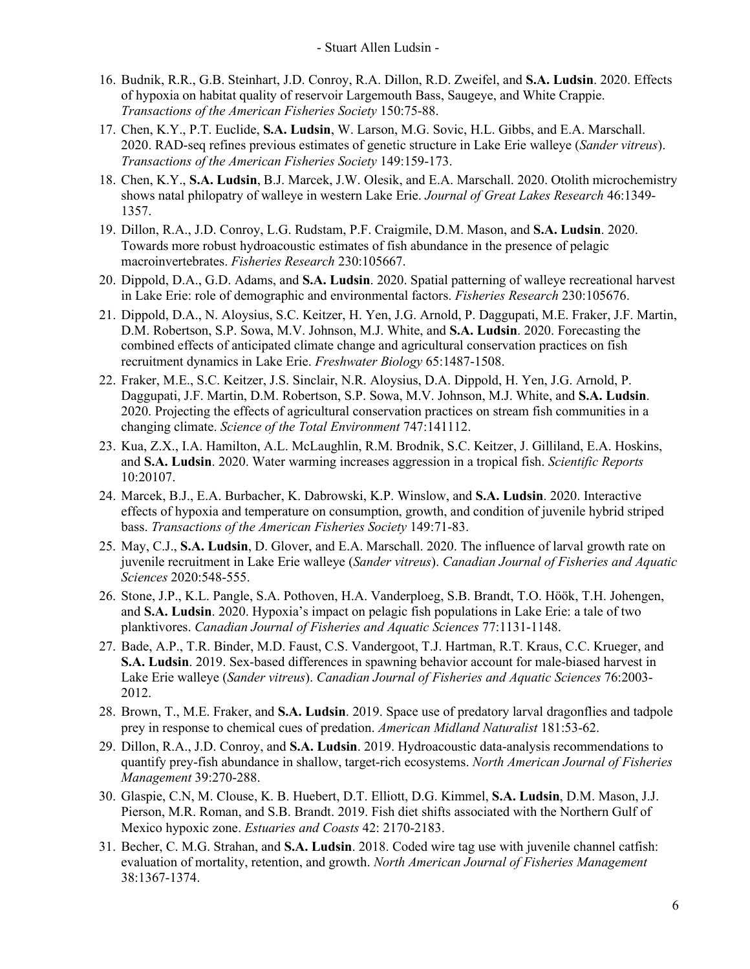- 16. Budnik, R.R., G.B. Steinhart, J.D. Conroy, R.A. Dillon, R.D. Zweifel, and **S.A. Ludsin**. 2020. Effects of hypoxia on habitat quality of reservoir Largemouth Bass, Saugeye, and White Crappie. *Transactions of the American Fisheries Society* 150:75-88.
- 17. Chen, K.Y., P.T. Euclide, **S.A. Ludsin**, W. Larson, M.G. Sovic, H.L. Gibbs, and E.A. Marschall. 2020. RAD‐seq refines previous estimates of genetic structure in Lake Erie walleye (*Sander vitreus*). *Transactions of the American Fisheries Society* 149:159-173.
- 18. Chen, K.Y., **S.A. Ludsin**, B.J. Marcek, J.W. Olesik, and E.A. Marschall. 2020. Otolith microchemistry shows natal philopatry of walleye in western Lake Erie. *Journal of Great Lakes Research* 46:1349- 1357.
- 19. Dillon, R.A., J.D. Conroy, L.G. Rudstam, P.F. Craigmile, D.M. Mason, and **S.A. Ludsin**. 2020. Towards more robust hydroacoustic estimates of fish abundance in the presence of pelagic macroinvertebrates. *Fisheries Research* 230:105667.
- 20. Dippold, D.A., G.D. Adams, and **S.A. Ludsin**. 2020. Spatial patterning of walleye recreational harvest in Lake Erie: role of demographic and environmental factors. *Fisheries Research* 230:105676.
- 21. Dippold, D.A., N. Aloysius, S.C. Keitzer, H. Yen, J.G. Arnold, P. Daggupati, M.E. Fraker, J.F. Martin, D.M. Robertson, S.P. Sowa, M.V. Johnson, M.J. White, and **S.A. Ludsin**. 2020. Forecasting the combined effects of anticipated climate change and agricultural conservation practices on fish recruitment dynamics in Lake Erie. *Freshwater Biology* 65:1487-1508.
- 22. Fraker, M.E., S.C. Keitzer, J.S. Sinclair, N.R. Aloysius, D.A. Dippold, H. Yen, J.G. Arnold, P. Daggupati, J.F. Martin, D.M. Robertson, S.P. Sowa, M.V. Johnson, M.J. White, and **S.A. Ludsin**. 2020. Projecting the effects of agricultural conservation practices on stream fish communities in a changing climate. *Science of the Total Environment* 747:141112.
- 23. Kua, Z.X., I.A. Hamilton, A.L. McLaughlin, R.M. Brodnik, S.C. Keitzer, J. Gilliland, E.A. Hoskins, and **S.A. Ludsin**. 2020. Water warming increases aggression in a tropical fish. *Scientific Reports* 10:20107.
- 24. Marcek, B.J., E.A. Burbacher, K. Dabrowski, K.P. Winslow, and **S.A. Ludsin**. 2020. Interactive effects of hypoxia and temperature on consumption, growth, and condition of juvenile hybrid striped bass. *Transactions of the American Fisheries Society* 149:71-83.
- 25. May, C.J., **S.A. Ludsin**, D. Glover, and E.A. Marschall. 2020. The influence of larval growth rate on juvenile recruitment in Lake Erie walleye (*Sander vitreus*). *Canadian Journal of Fisheries and Aquatic Sciences* 2020:548-555.
- 26. Stone, J.P., K.L. Pangle, S.A. Pothoven, H.A. Vanderploeg, S.B. Brandt, T.O. Höök, T.H. Johengen, and **S.A. Ludsin**. 2020. Hypoxia's impact on pelagic fish populations in Lake Erie: a tale of two planktivores. *Canadian Journal of Fisheries and Aquatic Sciences* 77:1131-1148.
- 27. Bade, A.P., T.R. Binder, M.D. Faust, C.S. Vandergoot, T.J. Hartman, R.T. Kraus, C.C. Krueger, and **S.A. Ludsin**. 2019. Sex-based differences in spawning behavior account for male-biased harvest in Lake Erie walleye (*Sander vitreus*). *Canadian Journal of Fisheries and Aquatic Sciences* 76:2003- 2012.
- 28. Brown, T., M.E. Fraker, and **S.A. Ludsin**. 2019. Space use of predatory larval dragonflies and tadpole prey in response to chemical cues of predation. *American Midland Naturalist* 181:53-62.
- 29. Dillon, R.A., J.D. Conroy, and **S.A. Ludsin**. 2019. Hydroacoustic data‐analysis recommendations to quantify prey‐fish abundance in shallow, target‐rich ecosystems. *North American Journal of Fisheries Management* 39:270-288.
- 30. Glaspie, C.N, M. Clouse, K. B. Huebert, D.T. Elliott, D.G. Kimmel, **S.A. Ludsin**, D.M. Mason, J.J. Pierson, M.R. Roman, and S.B. Brandt. 2019. Fish diet shifts associated with the Northern Gulf of Mexico hypoxic zone. *Estuaries and Coasts* 42: 2170-2183.
- 31. Becher, C. M.G. Strahan, and **S.A. Ludsin**. 2018. Coded wire tag use with juvenile channel catfish: evaluation of mortality, retention, and growth. *North American Journal of Fisheries Management*  38:1367-1374.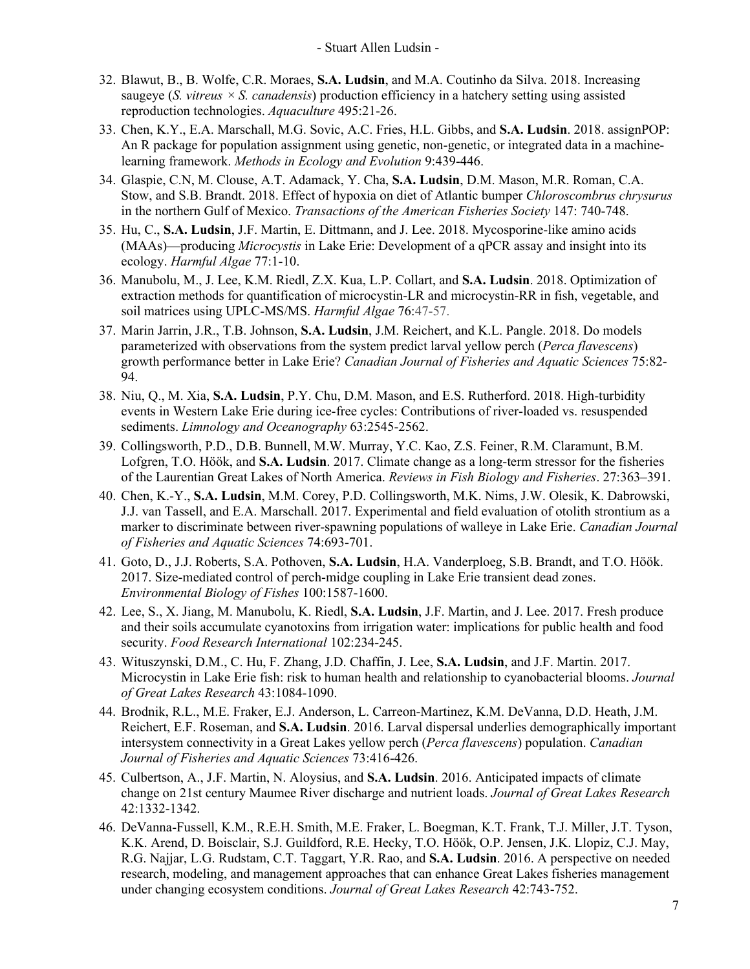- 32. Blawut, B., B. Wolfe, C.R. Moraes, **S.A. Ludsin**, and M.A. Coutinho da Silva. 2018. Increasing saugeye (*S. vitreus × S. canadensis*) production efficiency in a hatchery setting using assisted reproduction technologies. *Aquaculture* 495:21-26.
- 33. Chen, K.Y., E.A. Marschall, M.G. Sovic, A.C. Fries, H.L. Gibbs, and **S.A. Ludsin**. 2018. assignPOP: An R package for population assignment using genetic, non-genetic, or integrated data in a machinelearning framework. *Methods in Ecology and Evolution* 9:439-446.
- 34. Glaspie, C.N, M. Clouse, A.T. Adamack, Y. Cha, **S.A. Ludsin**, D.M. Mason, M.R. Roman, C.A. Stow, and S.B. Brandt. 2018. Effect of hypoxia on diet of Atlantic bumper *Chloroscombrus chrysurus* in the northern Gulf of Mexico. *Transactions of the American Fisheries Society* 147: 740-748.
- 35. Hu, C., **S.A. Ludsin**, J.F. Martin, E. Dittmann, and J. Lee. 2018. Mycosporine-like amino acids (MAAs)—producing *Microcystis* in Lake Erie: Development of a qPCR assay and insight into its ecology. *Harmful Algae* 77:1-10.
- 36. Manubolu, M., J. Lee, K.M. Riedl, Z.X. Kua, L.P. Collart, and **S.A. Ludsin**. 2018. Optimization of extraction methods for quantification of microcystin-LR and microcystin-RR in fish, vegetable, and soil matrices using UPLC-MS/MS. *Harmful Algae* 76:47-57.
- 37. Marin Jarrin, J.R., T.B. Johnson, **S.A. Ludsin**, J.M. Reichert, and K.L. Pangle. 2018. Do models parameterized with observations from the system predict larval yellow perch (*Perca flavescens*) growth performance better in Lake Erie? *Canadian Journal of Fisheries and Aquatic Sciences* 75:82- 94.
- 38. Niu, Q., M. Xia, S.A. Ludsin, P.Y. Chu, D.M. Mason, and E.S. Rutherford. 2018. High-turbidity events in Western Lake Erie during ice‐free cycles: Contributions of river‐loaded vs. resuspended sediments. *Limnology and Oceanography* 63:2545-2562.
- 39. Collingsworth, P.D., D.B. Bunnell, M.W. Murray, Y.C. Kao, Z.S. Feiner, R.M. Claramunt, B.M. Lofgren, T.O. Höök, and **S.A. Ludsin**. 2017. Climate change as a long-term stressor for the fisheries of the Laurentian Great Lakes of North America. *Reviews in Fish Biology and Fisheries*. 27:363–391.
- 40. Chen, K.-Y., **S.A. Ludsin**, M.M. Corey, P.D. Collingsworth, M.K. Nims, J.W. Olesik, K. Dabrowski, J.J. van Tassell, and E.A. Marschall. 2017. Experimental and field evaluation of otolith strontium as a marker to discriminate between river-spawning populations of walleye in Lake Erie. *Canadian Journal of Fisheries and Aquatic Sciences* 74:693-701.
- 41. Goto, D., J.J. Roberts, S.A. Pothoven, **S.A. Ludsin**, H.A. Vanderploeg, S.B. Brandt, and T.O. Höök. 2017. Size-mediated control of perch-midge coupling in Lake Erie transient dead zones. *Environmental Biology of Fishes* 100:1587-1600.
- 42. Lee, S., X. Jiang, M. Manubolu, K. Riedl, **S.A. Ludsin**, J.F. Martin, and J. Lee. 2017. Fresh produce and their soils accumulate cyanotoxins from irrigation water: implications for public health and food security. *Food Research International* 102:234-245.
- 43. Wituszynski, D.M., C. Hu, F. Zhang, J.D. Chaffin, J. Lee, **S.A. Ludsin**, and J.F. Martin. 2017. Microcystin in Lake Erie fish: risk to human health and relationship to cyanobacterial blooms. *Journal of Great Lakes Research* 43:1084-1090.
- 44. Brodnik, R.L., M.E. Fraker, E.J. Anderson, L. Carreon-Martinez, K.M. DeVanna, D.D. Heath, J.M. Reichert, E.F. Roseman, and **S.A. Ludsin**. 2016. Larval dispersal underlies demographically important intersystem connectivity in a Great Lakes yellow perch (*Perca flavescens*) population. *Canadian Journal of Fisheries and Aquatic Sciences* 73:416-426.
- 45. Culbertson, A., J.F. Martin, N. Aloysius, and **S.A. Ludsin**. 2016. Anticipated impacts of climate change on 21st century Maumee River discharge and nutrient loads. *Journal of Great Lakes Research* 42:1332-1342.
- 46. DeVanna-Fussell, K.M., R.E.H. Smith, M.E. Fraker, L. Boegman, K.T. Frank, T.J. Miller, J.T. Tyson, K.K. Arend, D. Boisclair, S.J. Guildford, R.E. Hecky, T.O. Hӧӧk, O.P. Jensen, J.K. Llopiz, C.J. May, R.G. Najjar, L.G. Rudstam, C.T. Taggart, Y.R. Rao, and **S.A. Ludsin**. 2016. A perspective on needed research, modeling, and management approaches that can enhance Great Lakes fisheries management under changing ecosystem conditions. *Journal of Great Lakes Research* 42:743-752.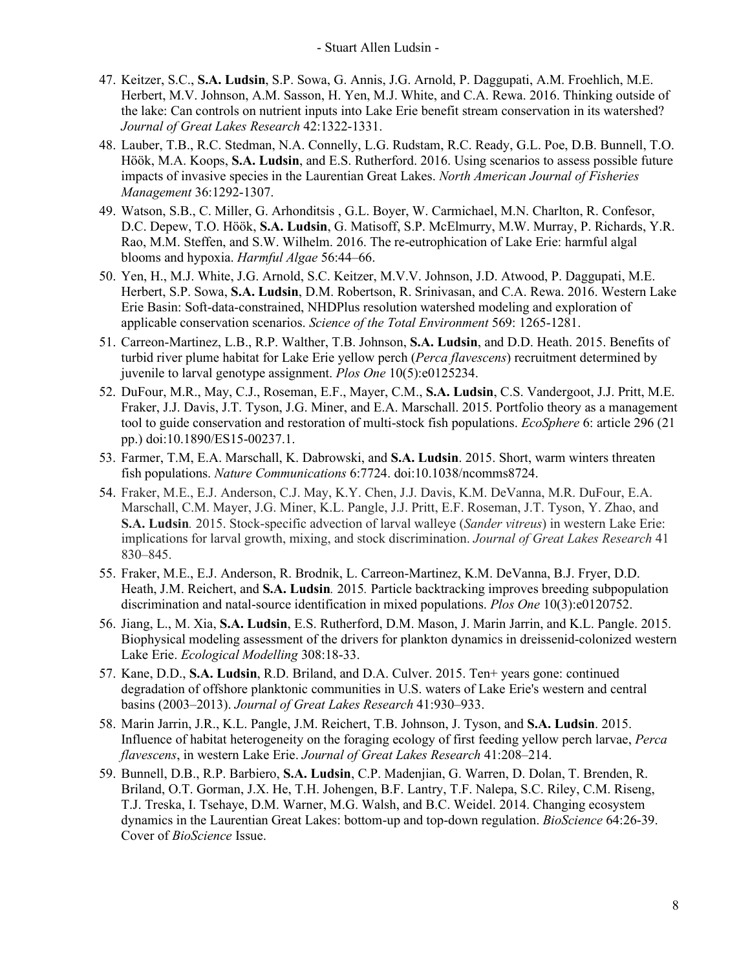- 47. Keitzer, S.C., **S.A. Ludsin**, S.P. Sowa, G. Annis, J.G. Arnold, P. Daggupati, A.M. Froehlich, M.E. Herbert, M.V. Johnson, A.M. Sasson, H. Yen, M.J. White, and C.A. Rewa. 2016. Thinking outside of the lake: Can controls on nutrient inputs into Lake Erie benefit stream conservation in its watershed? *Journal of Great Lakes Research* 42:1322-1331.
- 48. Lauber, T.B., R.C. Stedman, N.A. Connelly, L.G. Rudstam, R.C. Ready, G.L. Poe, D.B. Bunnell, T.O. Höök, M.A. Koops, **S.A. Ludsin**, and E.S. Rutherford. 2016. Using scenarios to assess possible future impacts of invasive species in the Laurentian Great Lakes. *North American Journal of Fisheries Management* 36:1292-1307.
- 49. Watson, S.B., C. Miller, G. Arhonditsis , G.L. Boyer, W. Carmichael, M.N. Charlton, R. Confesor, D.C. Depew, T.O. Höök, **S.A. Ludsin**, G. Matisoff, S.P. McElmurry, M.W. Murray, P. Richards, Y.R. Rao, M.M. Steffen, and S.W. Wilhelm. 2016. The re-eutrophication of Lake Erie: harmful algal blooms and hypoxia. *Harmful Algae* 56:44–66.
- 50. Yen, H., M.J. White, J.G. Arnold, S.C. Keitzer, M.V.V. Johnson, J.D. Atwood, P. Daggupati, M.E. Herbert, S.P. Sowa, **S.A. Ludsin**, D.M. Robertson, R. Srinivasan, and C.A. Rewa. 2016. Western Lake Erie Basin: Soft-data-constrained, NHDPlus resolution watershed modeling and exploration of applicable conservation scenarios. *Science of the Total Environment* 569: 1265-1281.
- 51. Carreon-Martinez, L.B., R.P. Walther, T.B. Johnson, **S.A. Ludsin**, and D.D. Heath. 2015. Benefits of turbid river plume habitat for Lake Erie yellow perch (*Perca flavescens*) recruitment determined by juvenile to larval genotype assignment. *Plos One* 10(5):e0125234.
- 52. DuFour, M.R., May, C.J., Roseman, E.F., Mayer, C.M., **S.A. Ludsin**, C.S. Vandergoot, J.J. Pritt, M.E. Fraker, J.J. Davis, J.T. Tyson, J.G. Miner, and E.A. Marschall. 2015. Portfolio theory as a management tool to guide conservation and restoration of multi-stock fish populations. *EcoSphere* 6: article 296 (21 pp.) doi:10.1890/ES15-00237.1.
- 53. Farmer, T.M, E.A. Marschall, K. Dabrowski, and **S.A. Ludsin**. 2015. Short, warm winters threaten fish populations. *Nature Communications* 6:7724. doi:10.1038/ncomms8724.
- 54. Fraker, M.E., E.J. Anderson, C.J. May, K.Y. Chen, J.J. Davis, K.M. DeVanna, M.R. DuFour, E.A. Marschall, C.M. Mayer, J.G. Miner, K.L. Pangle, J.J. Pritt, E.F. Roseman, J.T. Tyson, Y. Zhao, and **S.A. Ludsin***.* 2015. Stock-specific advection of larval walleye (*Sander vitreus*) in western Lake Erie: implications for larval growth, mixing, and stock discrimination. *Journal of Great Lakes Research* 41 830–845.
- 55. Fraker, M.E., E.J. Anderson, R. Brodnik, L. Carreon-Martinez, K.M. DeVanna, B.J. Fryer, D.D. Heath, J.M. Reichert, and **S.A. Ludsin***.* 2015*.* Particle backtracking improves breeding subpopulation discrimination and natal-source identification in mixed populations. *Plos One* 10(3):e0120752.
- 56. Jiang, L., M. Xia, **S.A. Ludsin**, E.S. Rutherford, D.M. Mason, J. Marin Jarrin, and K.L. Pangle. 2015. Biophysical modeling assessment of the drivers for plankton dynamics in dreissenid-colonized western Lake Erie. *Ecological Modelling* 308:18-33.
- 57. Kane, D.D., **S.A. Ludsin**, R.D. Briland, and D.A. Culver. 2015. Ten+ years gone: continued degradation of offshore planktonic communities in U.S. waters of Lake Erie's western and central basins (2003–2013). *Journal of Great Lakes Research* 41:930–933.
- 58. Marin Jarrin, J.R., K.L. Pangle, J.M. Reichert, T.B. Johnson, J. Tyson, and **S.A. Ludsin**. 2015. Influence of habitat heterogeneity on the foraging ecology of first feeding yellow perch larvae, *Perca flavescens*, in western Lake Erie. *Journal of Great Lakes Research* 41:208–214.
- 59. Bunnell, D.B., R.P. Barbiero, **S.A. Ludsin**, C.P. Madenjian, G. Warren, D. Dolan, T. Brenden, R. Briland, O.T. Gorman, J.X. He, T.H. Johengen, B.F. Lantry, T.F. Nalepa, S.C. Riley, C.M. Riseng, T.J. Treska, I. Tsehaye, D.M. Warner, M.G. Walsh, and B.C. Weidel. 2014. Changing ecosystem dynamics in the Laurentian Great Lakes: bottom-up and top-down regulation. *BioScience* 64:26-39. Cover of *BioScience* Issue.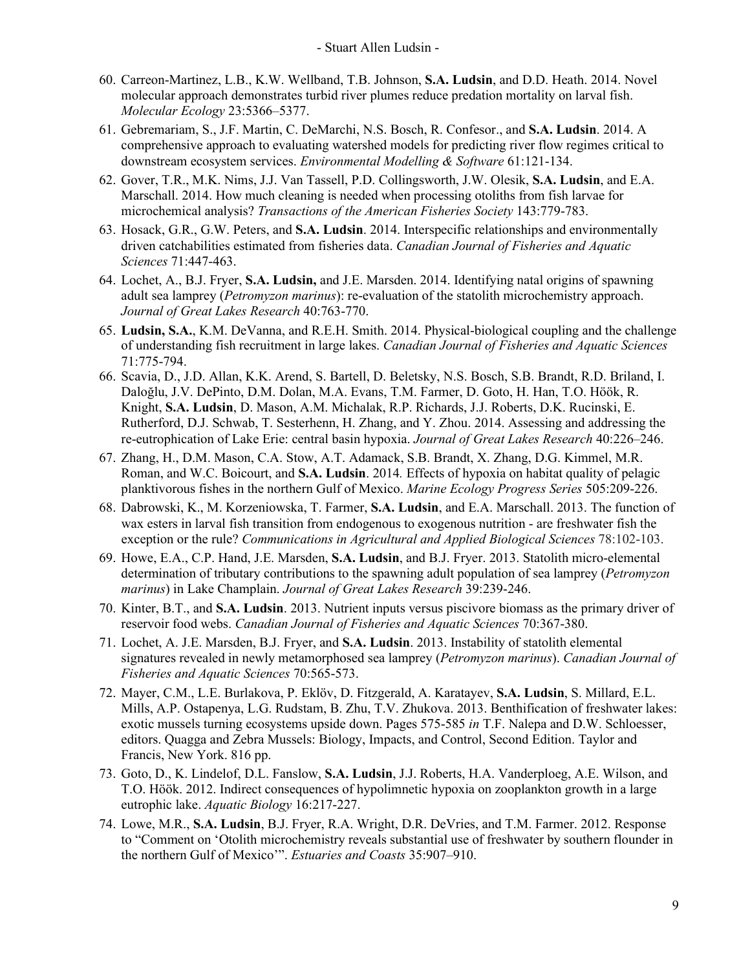- 60. Carreon-Martinez, L.B., K.W. Wellband, T.B. Johnson, **S.A. Ludsin**, and D.D. Heath. 2014. Novel molecular approach demonstrates turbid river plumes reduce predation mortality on larval fish. *Molecular Ecology* 23:5366–5377.
- 61. Gebremariam, S., J.F. Martin, C. DeMarchi, N.S. Bosch, R. Confesor., and **S.A. Ludsin**. 2014. A comprehensive approach to evaluating watershed models for predicting river flow regimes critical to downstream ecosystem services. *Environmental Modelling & Software* 61:121-134.
- 62. Gover, T.R., M.K. Nims, J.J. Van Tassell, P.D. Collingsworth, J.W. Olesik, **S.A. Ludsin**, and E.A. Marschall. 2014. How much cleaning is needed when processing otoliths from fish larvae for microchemical analysis? *Transactions of the American Fisheries Society* 143:779-783.
- 63. Hosack, G.R., G.W. Peters, and **S.A. Ludsin**. 2014. Interspecific relationships and environmentally driven catchabilities estimated from fisheries data. *Canadian Journal of Fisheries and Aquatic Sciences* 71:447-463.
- 64. Lochet, A., B.J. Fryer, **S.A. Ludsin,** and J.E. Marsden. 2014. Identifying natal origins of spawning adult sea lamprey (*Petromyzon marinus*): re-evaluation of the statolith microchemistry approach. *Journal of Great Lakes Research* 40:763-770.
- 65. **Ludsin, S.A.**, K.M. DeVanna, and R.E.H. Smith. 2014. Physical-biological coupling and the challenge of understanding fish recruitment in large lakes. *Canadian Journal of Fisheries and Aquatic Sciences* 71:775-794.
- 66. Scavia, D., J.D. Allan, K.K. Arend, S. Bartell, D. Beletsky, N.S. Bosch, S.B. Brandt, R.D. Briland, I. Daloğlu, J.V. DePinto, D.M. Dolan, M.A. Evans, T.M. Farmer, D. Goto, H. Han, T.O. Höök, R. Knight, **S.A. Ludsin**, D. Mason, A.M. Michalak, R.P. Richards, J.J. Roberts, D.K. Rucinski, E. Rutherford, D.J. Schwab, T. Sesterhenn, H. Zhang, and Y. Zhou. 2014. Assessing and addressing the re-eutrophication of Lake Erie: central basin hypoxia. *Journal of Great Lakes Research* 40:226–246.
- 67. Zhang, H., D.M. Mason, C.A. Stow, A.T. Adamack, S.B. Brandt, X. Zhang, D.G. Kimmel, M.R. Roman, and W.C. Boicourt, and **S.A. Ludsin**. 2014*.* Effects of hypoxia on habitat quality of pelagic planktivorous fishes in the northern Gulf of Mexico. *Marine Ecology Progress Series* 505:209-226.
- 68. Dabrowski, K., M. Korzeniowska, T. Farmer, **S.A. Ludsin**, and E.A. Marschall. 2013. The function of wax esters in larval fish transition from endogenous to exogenous nutrition - are freshwater fish the exception or the rule? *Communications in Agricultural and Applied Biological Sciences* 78:102-103.
- 69. Howe, E.A., C.P. Hand, J.E. Marsden, **S.A. Ludsin**, and B.J. Fryer. 2013. Statolith micro-elemental determination of tributary contributions to the spawning adult population of sea lamprey (*Petromyzon marinus*) in Lake Champlain. *Journal of Great Lakes Research* 39:239-246.
- 70. Kinter, B.T., and **S.A. Ludsin**. 2013. Nutrient inputs versus piscivore biomass as the primary driver of reservoir food webs. *Canadian Journal of Fisheries and Aquatic Sciences* 70:367-380.
- 71. Lochet, A. J.E. Marsden, B.J. Fryer, and **S.A. Ludsin**. 2013. Instability of statolith elemental signatures revealed in newly metamorphosed sea lamprey (*Petromyzon marinus*). *Canadian Journal of Fisheries and Aquatic Sciences* 70:565-573.
- 72. Mayer, C.M., L.E. Burlakova, P. Eklöv, D. Fitzgerald, A. Karatayev, **S.A. Ludsin**, S. Millard, E.L. Mills, A.P. Ostapenya, L.G. Rudstam, B. Zhu, T.V. Zhukova. 2013. Benthification of freshwater lakes: exotic mussels turning ecosystems upside down. Pages 575-585 *in* T.F. Nalepa and D.W. Schloesser, editors. Quagga and Zebra Mussels: Biology, Impacts, and Control, Second Edition. Taylor and Francis, New York. 816 pp.
- 73. Goto, D., K. Lindelof, D.L. Fanslow, **S.A. Ludsin**, J.J. Roberts, H.A. Vanderploeg, A.E. Wilson, and T.O. Höök. 2012. Indirect consequences of hypolimnetic hypoxia on zooplankton growth in a large eutrophic lake. *Aquatic Biology* 16:217-227.
- 74. Lowe, M.R., **S.A. Ludsin**, B.J. Fryer, R.A. Wright, D.R. DeVries, and T.M. Farmer. 2012. Response to "Comment on 'Otolith microchemistry reveals substantial use of freshwater by southern flounder in the northern Gulf of Mexico'". *Estuaries and Coasts* 35:907–910.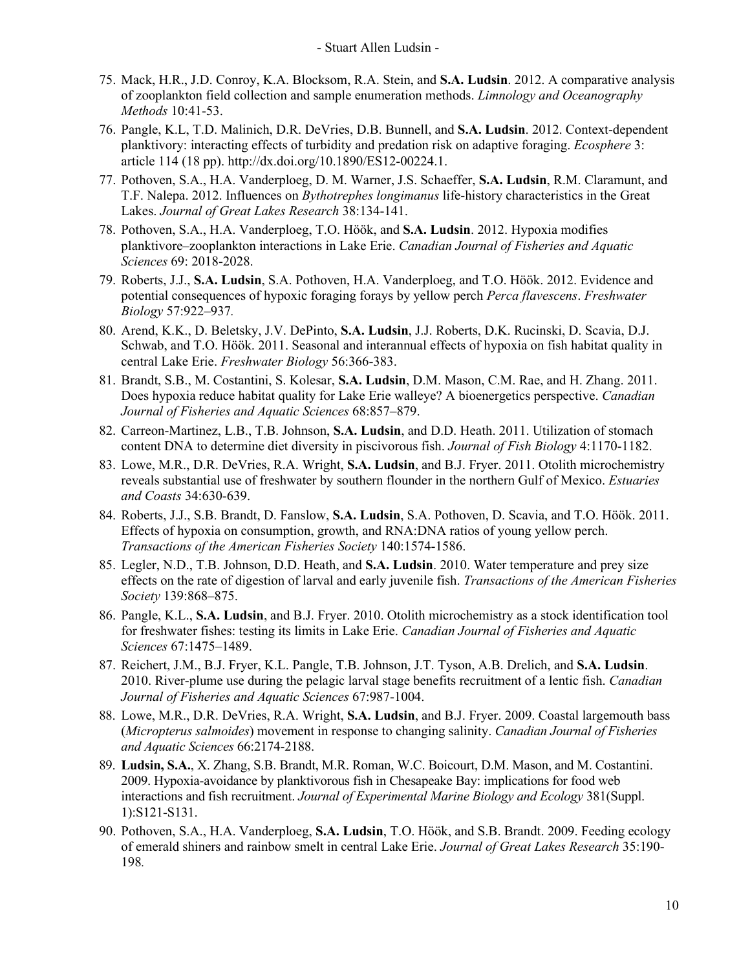- 75. Mack, H.R., J.D. Conroy, K.A. Blocksom, R.A. Stein, and **S.A. Ludsin**. 2012. A comparative analysis of zooplankton field collection and sample enumeration methods. *Limnology and Oceanography Methods* 10:41-53.
- 76. Pangle, K.L, T.D. Malinich, D.R. DeVries, D.B. Bunnell, and **S.A. Ludsin**. 2012. Context-dependent planktivory: interacting effects of turbidity and predation risk on adaptive foraging. *Ecosphere* 3: article 114 (18 pp). http://dx.doi.org/10.1890/ES12-00224.1.
- 77. Pothoven, S.A., H.A. Vanderploeg, D. M. Warner, J.S. Schaeffer, **S.A. Ludsin**, R.M. Claramunt, and T.F. Nalepa. 2012. Influences on *Bythotrephes longimanus* life-history characteristics in the Great Lakes. *Journal of Great Lakes Research* 38:134-141.
- 78. Pothoven, S.A., H.A. Vanderploeg, T.O. Höök, and **S.A. Ludsin**. 2012. Hypoxia modifies planktivore–zooplankton interactions in Lake Erie. *Canadian Journal of Fisheries and Aquatic Sciences* 69: 2018-2028.
- 79. Roberts, J.J., **S.A. Ludsin**, S.A. Pothoven, H.A. Vanderploeg, and T.O. Höök. 2012. Evidence and potential consequences of hypoxic foraging forays by yellow perch *Perca flavescens*. *Freshwater Biology* 57:922–937*.*
- 80. Arend, K.K., D. Beletsky, J.V. DePinto, **S.A. Ludsin**, J.J. Roberts, D.K. Rucinski, D. Scavia, D.J. Schwab, and T.O. Höök. 2011. Seasonal and interannual effects of hypoxia on fish habitat quality in central Lake Erie. *Freshwater Biology* 56:366-383.
- 81. Brandt, S.B., M. Costantini, S. Kolesar, **S.A. Ludsin**, D.M. Mason, C.M. Rae, and H. Zhang. 2011. Does hypoxia reduce habitat quality for Lake Erie walleye? A bioenergetics perspective. *Canadian Journal of Fisheries and Aquatic Sciences* 68:857–879.
- 82. Carreon-Martinez, L.B., T.B. Johnson, **S.A. Ludsin**, and D.D. Heath. 2011. Utilization of stomach content DNA to determine diet diversity in piscivorous fish. *Journal of Fish Biology* 4:1170-1182.
- 83. Lowe, M.R., D.R. DeVries, R.A. Wright, **S.A. Ludsin**, and B.J. Fryer. 2011. Otolith microchemistry reveals substantial use of freshwater by southern flounder in the northern Gulf of Mexico. *Estuaries and Coasts* 34:630-639.
- 84. Roberts, J.J., S.B. Brandt, D. Fanslow, **S.A. Ludsin**, S.A. Pothoven, D. Scavia, and T.O. Höök. 2011. Effects of hypoxia on consumption, growth, and RNA:DNA ratios of young yellow perch. *Transactions of the American Fisheries Society* 140:1574-1586.
- 85. Legler, N.D., T.B. Johnson, D.D. Heath, and **S.A. Ludsin**. 2010. Water temperature and prey size effects on the rate of digestion of larval and early juvenile fish. *Transactions of the American Fisheries Society* 139:868–875.
- 86. Pangle, K.L., **S.A. Ludsin**, and B.J. Fryer. 2010. Otolith microchemistry as a stock identification tool for freshwater fishes: testing its limits in Lake Erie. *Canadian Journal of Fisheries and Aquatic Sciences* 67:1475–1489.
- 87. Reichert, J.M., B.J. Fryer, K.L. Pangle, T.B. Johnson, J.T. Tyson, A.B. Drelich, and **S.A. Ludsin**. 2010. River-plume use during the pelagic larval stage benefits recruitment of a lentic fish. *Canadian Journal of Fisheries and Aquatic Sciences* 67:987-1004.
- 88. Lowe, M.R., D.R. DeVries, R.A. Wright, **S.A. Ludsin**, and B.J. Fryer. 2009. Coastal largemouth bass (*Micropterus salmoides*) movement in response to changing salinity. *Canadian Journal of Fisheries and Aquatic Sciences* 66:2174-2188.
- 89. **Ludsin, S.A.**, X. Zhang, S.B. Brandt, M.R. Roman, W.C. Boicourt, D.M. Mason, and M. Costantini. 2009. Hypoxia-avoidance by planktivorous fish in Chesapeake Bay: implications for food web interactions and fish recruitment. *Journal of Experimental Marine Biology and Ecology* 381(Suppl. 1):S121-S131.
- 90. Pothoven, S.A., H.A. Vanderploeg, **S.A. Ludsin**, T.O. Höök, and S.B. Brandt. 2009. Feeding ecology of emerald shiners and rainbow smelt in central Lake Erie. *Journal of Great Lakes Research* 35:190- 198*.*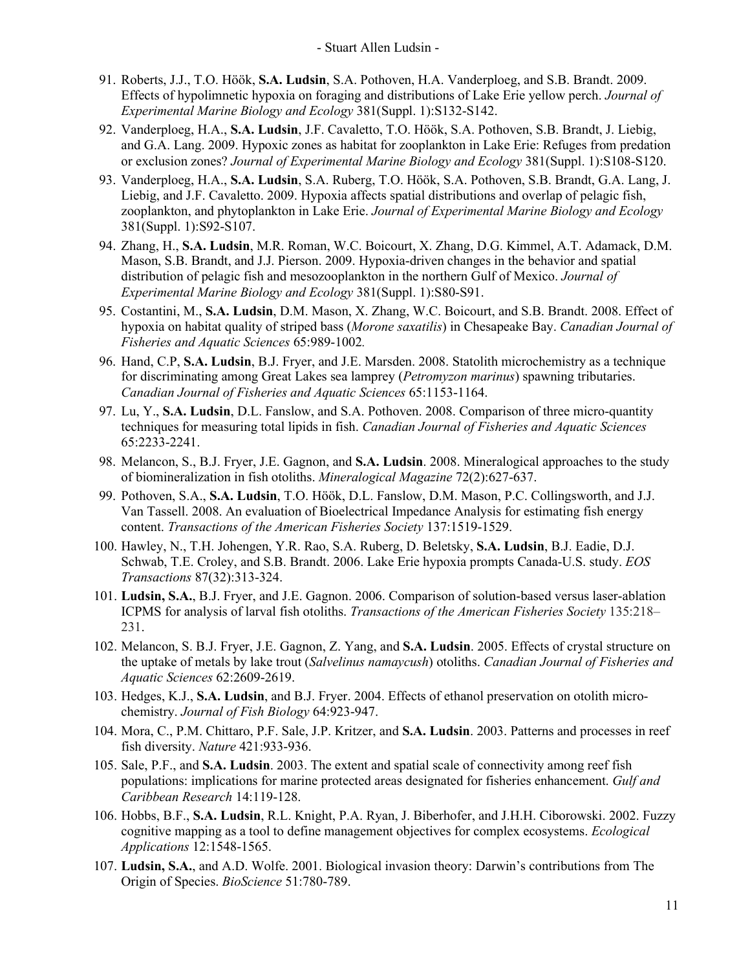- 91. Roberts, J.J., T.O. Höök, **S.A. Ludsin**, S.A. Pothoven, H.A. Vanderploeg, and S.B. Brandt. 2009. Effects of hypolimnetic hypoxia on foraging and distributions of Lake Erie yellow perch. *Journal of Experimental Marine Biology and Ecology* 381(Suppl. 1):S132-S142.
- 92. Vanderploeg, H.A., **S.A. Ludsin**, J.F. Cavaletto, T.O. Höök, S.A. Pothoven, S.B. Brandt, J. Liebig, and G.A. Lang. 2009. Hypoxic zones as habitat for zooplankton in Lake Erie: Refuges from predation or exclusion zones? *Journal of Experimental Marine Biology and Ecology* 381(Suppl. 1):S108-S120.
- 93. Vanderploeg, H.A., **S.A. Ludsin**, S.A. Ruberg, T.O. Höök, S.A. Pothoven, S.B. Brandt, G.A. Lang, J. Liebig, and J.F. Cavaletto. 2009. Hypoxia affects spatial distributions and overlap of pelagic fish, zooplankton, and phytoplankton in Lake Erie. *Journal of Experimental Marine Biology and Ecology*  381(Suppl. 1):S92-S107.
- 94. Zhang, H., **S.A. Ludsin**, M.R. Roman, W.C. Boicourt, X. Zhang, D.G. Kimmel, A.T. Adamack, D.M. Mason, S.B. Brandt, and J.J. Pierson. 2009. Hypoxia-driven changes in the behavior and spatial distribution of pelagic fish and mesozooplankton in the northern Gulf of Mexico. *Journal of Experimental Marine Biology and Ecology* 381(Suppl. 1):S80-S91.
- 95. Costantini, M., **S.A. Ludsin**, D.M. Mason, X. Zhang, W.C. Boicourt, and S.B. Brandt. 2008. Effect of hypoxia on habitat quality of striped bass (*Morone saxatilis*) in Chesapeake Bay. *Canadian Journal of Fisheries and Aquatic Sciences* 65:989-1002*.*
- 96. Hand, C.P, **S.A. Ludsin**, B.J. Fryer, and J.E. Marsden. 2008. Statolith microchemistry as a technique for discriminating among Great Lakes sea lamprey (*Petromyzon marinus*) spawning tributaries. *Canadian Journal of Fisheries and Aquatic Sciences* 65:1153-1164.
- 97. Lu, Y., **S.A. Ludsin**, D.L. Fanslow, and S.A. Pothoven. 2008. Comparison of three micro-quantity techniques for measuring total lipids in fish. *Canadian Journal of Fisheries and Aquatic Sciences*  65:2233-2241.
- 98. Melancon, S., B.J. Fryer, J.E. Gagnon, and **S.A. Ludsin**. 2008. Mineralogical approaches to the study of biomineralization in fish otoliths. *Mineralogical Magazine* 72(2):627-637.
- 99. Pothoven, S.A., **S.A. Ludsin**, T.O. Höök, D.L. Fanslow, D.M. Mason, P.C. Collingsworth, and J.J. Van Tassell. 2008. An evaluation of Bioelectrical Impedance Analysis for estimating fish energy content. *Transactions of the American Fisheries Society* 137:1519-1529.
- 100. Hawley, N., T.H. Johengen, Y.R. Rao, S.A. Ruberg, D. Beletsky, **S.A. Ludsin**, B.J. Eadie, D.J. Schwab, T.E. Croley, and S.B. Brandt. 2006. Lake Erie hypoxia prompts Canada-U.S. study. *EOS Transactions* 87(32):313-324.
- 101. **Ludsin, S.A.**, B.J. Fryer, and J.E. Gagnon. 2006. Comparison of solution-based versus laser-ablation ICPMS for analysis of larval fish otoliths. *Transactions of the American Fisheries Society* 135:218– 231.
- 102. Melancon, S. B.J. Fryer, J.E. Gagnon, Z. Yang, and **S.A. Ludsin**. 2005. Effects of crystal structure on the uptake of metals by lake trout (*Salvelinus namaycush*) otoliths. *Canadian Journal of Fisheries and Aquatic Sciences* 62:2609-2619.
- 103. Hedges, K.J., **S.A. Ludsin**, and B.J. Fryer. 2004. Effects of ethanol preservation on otolith microchemistry. *Journal of Fish Biology* 64:923-947.
- 104. Mora, C., P.M. Chittaro, P.F. Sale, J.P. Kritzer, and **S.A. Ludsin**. 2003. Patterns and processes in reef fish diversity. *Nature* 421:933-936.
- 105. Sale, P.F., and **S.A. Ludsin**. 2003. The extent and spatial scale of connectivity among reef fish populations: implications for marine protected areas designated for fisheries enhancement. *Gulf and Caribbean Research* 14:119-128.
- 106. Hobbs, B.F., **S.A. Ludsin**, R.L. Knight, P.A. Ryan, J. Biberhofer, and J.H.H. Ciborowski. 2002. Fuzzy cognitive mapping as a tool to define management objectives for complex ecosystems. *Ecological Applications* 12:1548-1565.
- 107. **Ludsin, S.A.**, and A.D. Wolfe. 2001. Biological invasion theory: Darwin's contributions from The Origin of Species. *BioScience* 51:780-789.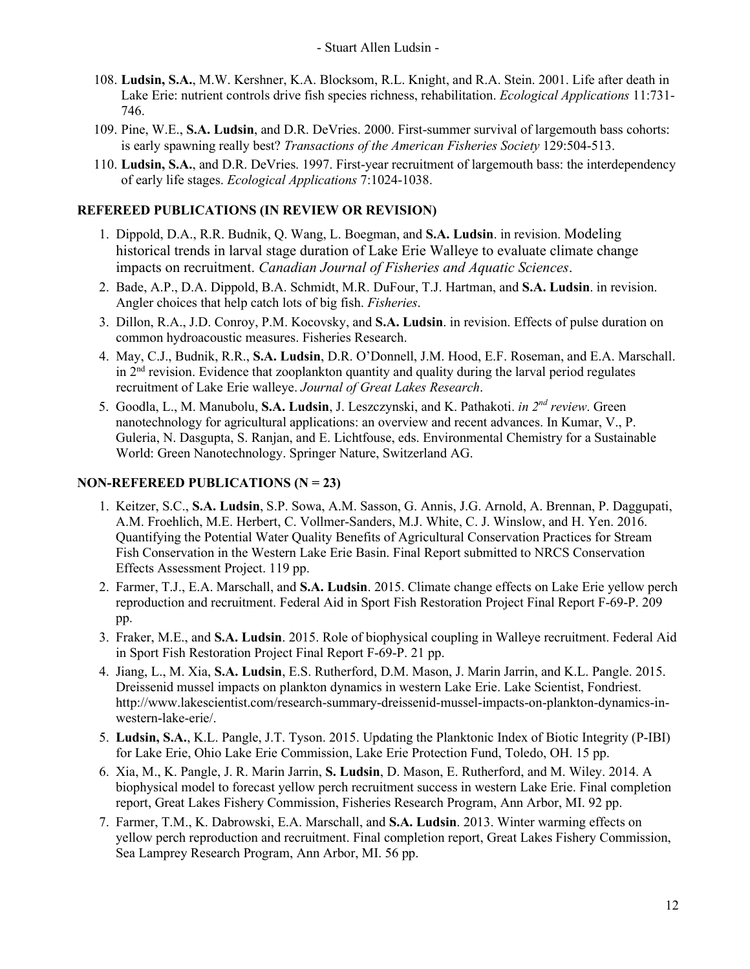- 108. **Ludsin, S.A.**, M.W. Kershner, K.A. Blocksom, R.L. Knight, and R.A. Stein. 2001. Life after death in Lake Erie: nutrient controls drive fish species richness, rehabilitation. *Ecological Applications* 11:731- 746.
- 109. Pine, W.E., **S.A. Ludsin**, and D.R. DeVries. 2000. First-summer survival of largemouth bass cohorts: is early spawning really best? *Transactions of the American Fisheries Society* 129:504-513.
- 110. **Ludsin, S.A.**, and D.R. DeVries. 1997. First-year recruitment of largemouth bass: the interdependency of early life stages. *Ecological Applications* 7:1024-1038.

## **REFEREED PUBLICATIONS (IN REVIEW OR REVISION)**

- 1. Dippold, D.A., R.R. Budnik, Q. Wang, L. Boegman, and **S.A. Ludsin**. in revision. Modeling historical trends in larval stage duration of Lake Erie Walleye to evaluate climate change impacts on recruitment. *Canadian Journal of Fisheries and Aquatic Sciences*.
- 2. Bade, A.P., D.A. Dippold, B.A. Schmidt, M.R. DuFour, T.J. Hartman, and **S.A. Ludsin**. in revision. Angler choices that help catch lots of big fish. *Fisheries*.
- 3. Dillon, R.A., J.D. Conroy, P.M. Kocovsky, and **S.A. Ludsin**. in revision. Effects of pulse duration on common hydroacoustic measures. Fisheries Research.
- 4. May, C.J., Budnik, R.R., **S.A. Ludsin**, D.R. O'Donnell, J.M. Hood, E.F. Roseman, and E.A. Marschall. in  $2<sup>nd</sup>$  revision. Evidence that zooplankton quantity and quality during the larval period regulates recruitment of Lake Erie walleye. *Journal of Great Lakes Research*.
- 5. Goodla, L., M. Manubolu, **S.A. Ludsin**, J. Leszczynski, and K. Pathakoti. *in 2nd review*. Green nanotechnology for agricultural applications: an overview and recent advances. In Kumar, V., P. Guleria, N. Dasgupta, S. Ranjan, and E. Lichtfouse, eds. Environmental Chemistry for a Sustainable World: Green Nanotechnology. Springer Nature, Switzerland AG.

### **NON-REFEREED PUBLICATIONS (N = 23)**

- 1. Keitzer, S.C., **S.A. Ludsin**, S.P. Sowa, A.M. Sasson, G. Annis, J.G. Arnold, A. Brennan, P. Daggupati, A.M. Froehlich, M.E. Herbert, C. Vollmer-Sanders, M.J. White, C. J. Winslow, and H. Yen. 2016. Quantifying the Potential Water Quality Benefits of Agricultural Conservation Practices for Stream Fish Conservation in the Western Lake Erie Basin. Final Report submitted to NRCS Conservation Effects Assessment Project. 119 pp.
- 2. Farmer, T.J., E.A. Marschall, and **S.A. Ludsin**. 2015. Climate change effects on Lake Erie yellow perch reproduction and recruitment. Federal Aid in Sport Fish Restoration Project Final Report F-69-P. 209 pp.
- 3. Fraker, M.E., and **S.A. Ludsin**. 2015. Role of biophysical coupling in Walleye recruitment. Federal Aid in Sport Fish Restoration Project Final Report F-69-P. 21 pp.
- 4. Jiang, L., M. Xia, **S.A. Ludsin**, E.S. Rutherford, D.M. Mason, J. Marin Jarrin, and K.L. Pangle. 2015. Dreissenid mussel impacts on plankton dynamics in western Lake Erie. Lake Scientist, Fondriest. http://www.lakescientist.com/research-summary-dreissenid-mussel-impacts-on-plankton-dynamics-inwestern-lake-erie/.
- 5. **Ludsin, S.A.**, K.L. Pangle, J.T. Tyson. 2015. Updating the Planktonic Index of Biotic Integrity (P-IBI) for Lake Erie, Ohio Lake Erie Commission, Lake Erie Protection Fund, Toledo, OH. 15 pp.
- 6. Xia, M., K. Pangle, J. R. Marin Jarrin, **S. Ludsin**, D. Mason, E. Rutherford, and M. Wiley. 2014. A biophysical model to forecast yellow perch recruitment success in western Lake Erie. Final completion report, Great Lakes Fishery Commission, Fisheries Research Program, Ann Arbor, MI. 92 pp.
- 7. Farmer, T.M., K. Dabrowski, E.A. Marschall, and **S.A. Ludsin**. 2013. Winter warming effects on yellow perch reproduction and recruitment. Final completion report, Great Lakes Fishery Commission, Sea Lamprey Research Program, Ann Arbor, MI. 56 pp.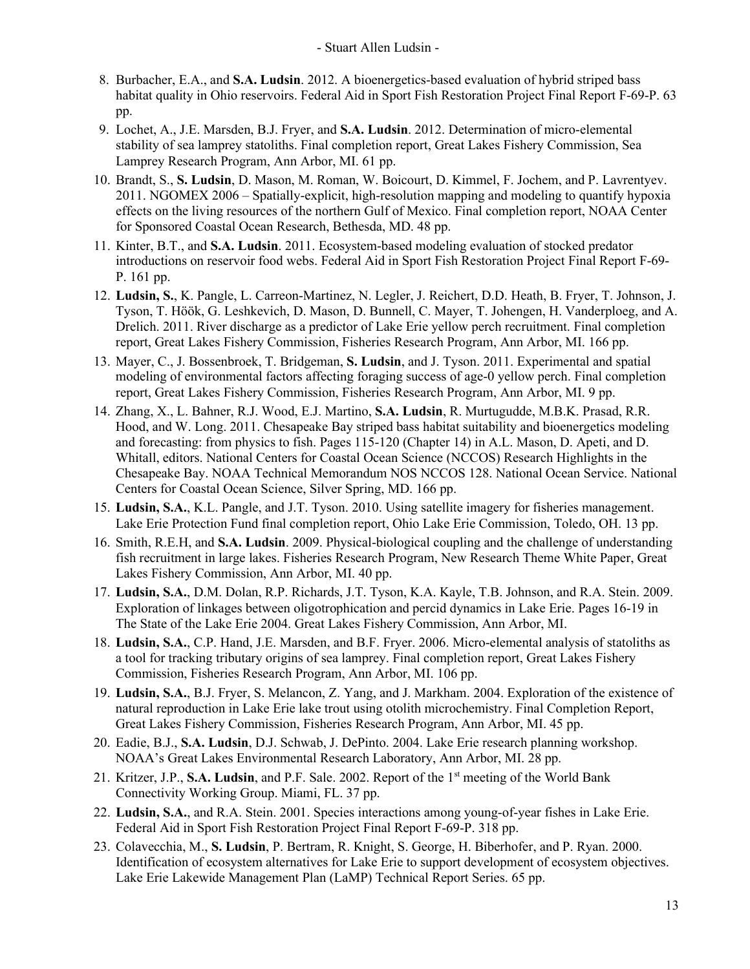- 8. Burbacher, E.A., and **S.A. Ludsin**. 2012. A bioenergetics-based evaluation of hybrid striped bass habitat quality in Ohio reservoirs. Federal Aid in Sport Fish Restoration Project Final Report F-69-P. 63 pp.
- 9. Lochet, A., J.E. Marsden, B.J. Fryer, and **S.A. Ludsin**. 2012. Determination of micro-elemental stability of sea lamprey statoliths. Final completion report, Great Lakes Fishery Commission, Sea Lamprey Research Program, Ann Arbor, MI. 61 pp.
- 10. Brandt, S., **S. Ludsin**, D. Mason, M. Roman, W. Boicourt, D. Kimmel, F. Jochem, and P. Lavrentyev. 2011. NGOMEX 2006 – Spatially-explicit, high-resolution mapping and modeling to quantify hypoxia effects on the living resources of the northern Gulf of Mexico. Final completion report, NOAA Center for Sponsored Coastal Ocean Research, Bethesda, MD. 48 pp.
- 11. Kinter, B.T., and **S.A. Ludsin**. 2011. Ecosystem-based modeling evaluation of stocked predator introductions on reservoir food webs. Federal Aid in Sport Fish Restoration Project Final Report F-69- P. 161 pp.
- 12. **Ludsin, S.**, K. Pangle, L. Carreon-Martinez, N. Legler, J. Reichert, D.D. Heath, B. Fryer, T. Johnson, J. Tyson, T. Höök, G. Leshkevich, D. Mason, D. Bunnell, C. Mayer, T. Johengen, H. Vanderploeg, and A. Drelich. 2011. River discharge as a predictor of Lake Erie yellow perch recruitment. Final completion report, Great Lakes Fishery Commission, Fisheries Research Program, Ann Arbor, MI. 166 pp.
- 13. Mayer, C., J. Bossenbroek, T. Bridgeman, **S. Ludsin**, and J. Tyson. 2011. Experimental and spatial modeling of environmental factors affecting foraging success of age-0 yellow perch. Final completion report, Great Lakes Fishery Commission, Fisheries Research Program, Ann Arbor, MI. 9 pp.
- 14. Zhang, X., L. Bahner, R.J. Wood, E.J. Martino, **S.A. Ludsin**, R. Murtugudde, M.B.K. Prasad, R.R. Hood, and W. Long. 2011. Chesapeake Bay striped bass habitat suitability and bioenergetics modeling and forecasting: from physics to fish. Pages 115-120 (Chapter 14) in A.L. Mason, D. Apeti, and D. Whitall, editors. National Centers for Coastal Ocean Science (NCCOS) Research Highlights in the Chesapeake Bay. NOAA Technical Memorandum NOS NCCOS 128. National Ocean Service. National Centers for Coastal Ocean Science, Silver Spring, MD. 166 pp.
- 15. **Ludsin, S.A.**, K.L. Pangle, and J.T. Tyson. 2010. Using satellite imagery for fisheries management. Lake Erie Protection Fund final completion report, Ohio Lake Erie Commission, Toledo, OH. 13 pp.
- 16. Smith, R.E.H, and **S.A. Ludsin**. 2009. Physical-biological coupling and the challenge of understanding fish recruitment in large lakes. Fisheries Research Program, New Research Theme White Paper, Great Lakes Fishery Commission, Ann Arbor, MI. 40 pp.
- 17. **Ludsin, S.A.**, D.M. Dolan, R.P. Richards, J.T. Tyson, K.A. Kayle, T.B. Johnson, and R.A. Stein. 2009. Exploration of linkages between oligotrophication and percid dynamics in Lake Erie. Pages 16-19 in The State of the Lake Erie 2004. Great Lakes Fishery Commission, Ann Arbor, MI.
- 18. **Ludsin, S.A.**, C.P. Hand, J.E. Marsden, and B.F. Fryer. 2006. Micro-elemental analysis of statoliths as a tool for tracking tributary origins of sea lamprey. Final completion report, Great Lakes Fishery Commission, Fisheries Research Program, Ann Arbor, MI. 106 pp.
- 19. **Ludsin, S.A.**, B.J. Fryer, S. Melancon, Z. Yang, and J. Markham. 2004. Exploration of the existence of natural reproduction in Lake Erie lake trout using otolith microchemistry. Final Completion Report, Great Lakes Fishery Commission, Fisheries Research Program, Ann Arbor, MI. 45 pp.
- 20. Eadie, B.J., **S.A. Ludsin**, D.J. Schwab, J. DePinto. 2004. Lake Erie research planning workshop. NOAA's Great Lakes Environmental Research Laboratory, Ann Arbor, MI. 28 pp.
- 21. Kritzer, J.P., **S.A. Ludsin**, and P.F. Sale. 2002. Report of the 1st meeting of the World Bank Connectivity Working Group. Miami, FL. 37 pp.
- 22. **Ludsin, S.A.**, and R.A. Stein. 2001. Species interactions among young-of-year fishes in Lake Erie. Federal Aid in Sport Fish Restoration Project Final Report F-69-P. 318 pp.
- 23. Colavecchia, M., **S. Ludsin**, P. Bertram, R. Knight, S. George, H. Biberhofer, and P. Ryan. 2000. Identification of ecosystem alternatives for Lake Erie to support development of ecosystem objectives. Lake Erie Lakewide Management Plan (LaMP) Technical Report Series. 65 pp.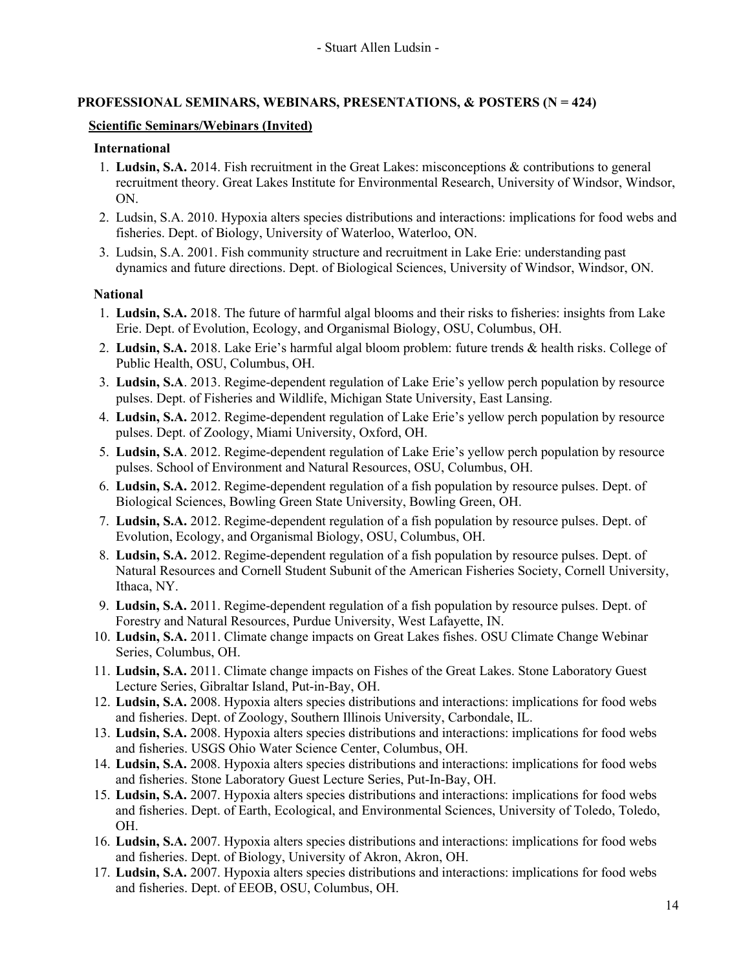## **PROFESSIONAL SEMINARS, WEBINARS, PRESENTATIONS, & POSTERS (N = 424)**

### **Scientific Seminars/Webinars (Invited)**

#### **International**

- 1. **Ludsin, S.A.** 2014. Fish recruitment in the Great Lakes: misconceptions & contributions to general recruitment theory. Great Lakes Institute for Environmental Research, University of Windsor, Windsor, ON.
- 2. Ludsin, S.A. 2010. Hypoxia alters species distributions and interactions: implications for food webs and fisheries. Dept. of Biology, University of Waterloo, Waterloo, ON.
- 3. Ludsin, S.A. 2001. Fish community structure and recruitment in Lake Erie: understanding past dynamics and future directions. Dept. of Biological Sciences, University of Windsor, Windsor, ON.

### **National**

- 1. **Ludsin, S.A.** 2018. The future of harmful algal blooms and their risks to fisheries: insights from Lake Erie. Dept. of Evolution, Ecology, and Organismal Biology, OSU, Columbus, OH.
- 2. **Ludsin, S.A.** 2018. Lake Erie's harmful algal bloom problem: future trends & health risks. College of Public Health, OSU, Columbus, OH.
- 3. **Ludsin, S.A**. 2013. Regime-dependent regulation of Lake Erie's yellow perch population by resource pulses. Dept. of Fisheries and Wildlife, Michigan State University, East Lansing.
- 4. **Ludsin, S.A.** 2012. Regime-dependent regulation of Lake Erie's yellow perch population by resource pulses. Dept. of Zoology, Miami University, Oxford, OH.
- 5. **Ludsin, S.A**. 2012. Regime-dependent regulation of Lake Erie's yellow perch population by resource pulses. School of Environment and Natural Resources, OSU, Columbus, OH.
- 6. **Ludsin, S.A.** 2012. Regime-dependent regulation of a fish population by resource pulses. Dept. of Biological Sciences, Bowling Green State University, Bowling Green, OH.
- 7. **Ludsin, S.A.** 2012. Regime-dependent regulation of a fish population by resource pulses. Dept. of Evolution, Ecology, and Organismal Biology, OSU, Columbus, OH.
- 8. **Ludsin, S.A.** 2012. Regime-dependent regulation of a fish population by resource pulses. Dept. of Natural Resources and Cornell Student Subunit of the American Fisheries Society, Cornell University, Ithaca, NY.
- 9. **Ludsin, S.A.** 2011. Regime-dependent regulation of a fish population by resource pulses. Dept. of Forestry and Natural Resources, Purdue University, West Lafayette, IN.
- 10. **Ludsin, S.A.** 2011. Climate change impacts on Great Lakes fishes. OSU Climate Change Webinar Series, Columbus, OH.
- 11. **Ludsin, S.A.** 2011. Climate change impacts on Fishes of the Great Lakes. Stone Laboratory Guest Lecture Series, Gibraltar Island, Put-in-Bay, OH.
- 12. **Ludsin, S.A.** 2008. Hypoxia alters species distributions and interactions: implications for food webs and fisheries. Dept. of Zoology, Southern Illinois University, Carbondale, IL.
- 13. **Ludsin, S.A.** 2008. Hypoxia alters species distributions and interactions: implications for food webs and fisheries. USGS Ohio Water Science Center, Columbus, OH.
- 14. **Ludsin, S.A.** 2008. Hypoxia alters species distributions and interactions: implications for food webs and fisheries. Stone Laboratory Guest Lecture Series, Put-In-Bay, OH.
- 15. **Ludsin, S.A.** 2007. Hypoxia alters species distributions and interactions: implications for food webs and fisheries. Dept. of Earth, Ecological, and Environmental Sciences, University of Toledo, Toledo, OH.
- 16. **Ludsin, S.A.** 2007. Hypoxia alters species distributions and interactions: implications for food webs and fisheries. Dept. of Biology, University of Akron, Akron, OH.
- 17. **Ludsin, S.A.** 2007. Hypoxia alters species distributions and interactions: implications for food webs and fisheries. Dept. of EEOB, OSU, Columbus, OH.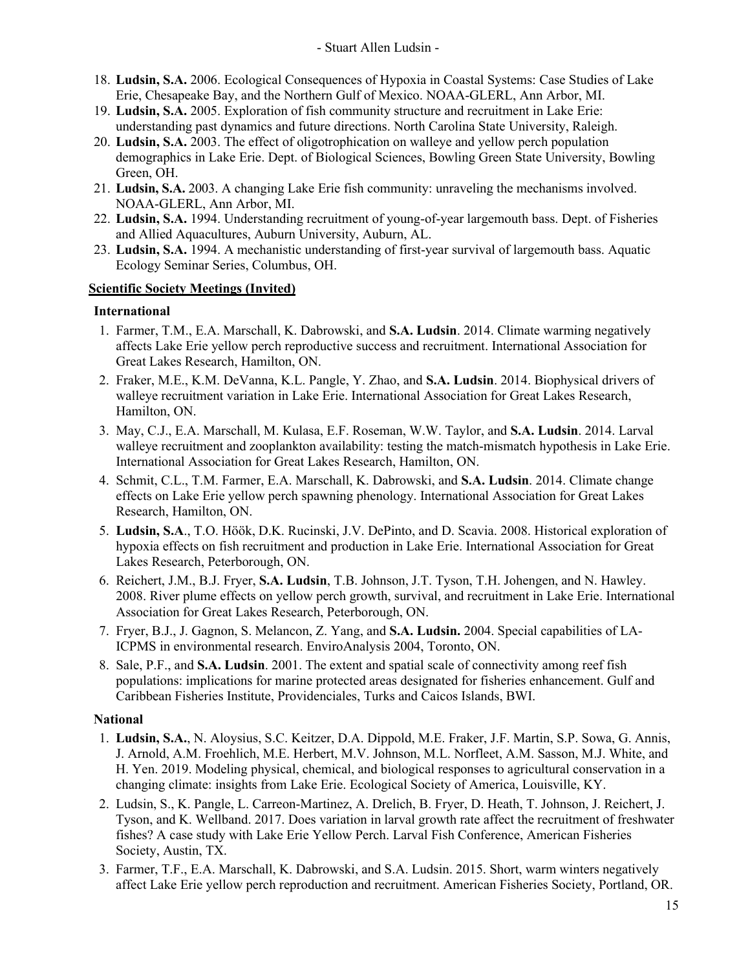- 18. **Ludsin, S.A.** 2006. Ecological Consequences of Hypoxia in Coastal Systems: Case Studies of Lake Erie, Chesapeake Bay, and the Northern Gulf of Mexico. NOAA-GLERL, Ann Arbor, MI.
- 19. **Ludsin, S.A.** 2005. Exploration of fish community structure and recruitment in Lake Erie: understanding past dynamics and future directions. North Carolina State University, Raleigh.
- 20. **Ludsin, S.A.** 2003. The effect of oligotrophication on walleye and yellow perch population demographics in Lake Erie. Dept. of Biological Sciences, Bowling Green State University, Bowling Green, OH.
- 21. **Ludsin, S.A.** 2003. A changing Lake Erie fish community: unraveling the mechanisms involved. NOAA-GLERL, Ann Arbor, MI.
- 22. **Ludsin, S.A.** 1994. Understanding recruitment of young-of-year largemouth bass. Dept. of Fisheries and Allied Aquacultures, Auburn University, Auburn, AL.
- 23. **Ludsin, S.A.** 1994. A mechanistic understanding of first-year survival of largemouth bass. Aquatic Ecology Seminar Series, Columbus, OH.

## **Scientific Society Meetings (Invited)**

## **International**

- 1. Farmer, T.M., E.A. Marschall, K. Dabrowski, and **S.A. Ludsin**. 2014. Climate warming negatively affects Lake Erie yellow perch reproductive success and recruitment. International Association for Great Lakes Research, Hamilton, ON.
- 2. Fraker, M.E., K.M. DeVanna, K.L. Pangle, Y. Zhao, and **S.A. Ludsin**. 2014. Biophysical drivers of walleye recruitment variation in Lake Erie. International Association for Great Lakes Research, Hamilton, ON.
- 3. May, C.J., E.A. Marschall, M. Kulasa, E.F. Roseman, W.W. Taylor, and **S.A. Ludsin**. 2014. Larval walleye recruitment and zooplankton availability: testing the match-mismatch hypothesis in Lake Erie. International Association for Great Lakes Research, Hamilton, ON.
- 4. Schmit, C.L., T.M. Farmer, E.A. Marschall, K. Dabrowski, and **S.A. Ludsin**. 2014. Climate change effects on Lake Erie yellow perch spawning phenology. International Association for Great Lakes Research, Hamilton, ON.
- 5. **Ludsin, S.A**., T.O. Höök, D.K. Rucinski, J.V. DePinto, and D. Scavia. 2008. Historical exploration of hypoxia effects on fish recruitment and production in Lake Erie. International Association for Great Lakes Research, Peterborough, ON.
- 6. Reichert, J.M., B.J. Fryer, **S.A. Ludsin**, T.B. Johnson, J.T. Tyson, T.H. Johengen, and N. Hawley. 2008. River plume effects on yellow perch growth, survival, and recruitment in Lake Erie. International Association for Great Lakes Research, Peterborough, ON.
- 7. Fryer, B.J., J. Gagnon, S. Melancon, Z. Yang, and **S.A. Ludsin.** 2004. Special capabilities of LA-ICPMS in environmental research. EnviroAnalysis 2004, Toronto, ON.
- 8. Sale, P.F., and **S.A. Ludsin**. 2001. The extent and spatial scale of connectivity among reef fish populations: implications for marine protected areas designated for fisheries enhancement. Gulf and Caribbean Fisheries Institute, Providenciales, Turks and Caicos Islands, BWI.

## **National**

- 1. **Ludsin, S.A.**, N. Aloysius, S.C. Keitzer, D.A. Dippold, M.E. Fraker, J.F. Martin, S.P. Sowa, G. Annis, J. Arnold, A.M. Froehlich, M.E. Herbert, M.V. Johnson, M.L. Norfleet, A.M. Sasson, M.J. White, and H. Yen. 2019. Modeling physical, chemical, and biological responses to agricultural conservation in a changing climate: insights from Lake Erie. Ecological Society of America, Louisville, KY.
- 2. Ludsin, S., K. Pangle, L. Carreon-Martinez, A. Drelich, B. Fryer, D. Heath, T. Johnson, J. Reichert, J. Tyson, and K. Wellband. 2017. Does variation in larval growth rate affect the recruitment of freshwater fishes? A case study with Lake Erie Yellow Perch. Larval Fish Conference, American Fisheries Society, Austin, TX.
- 3. Farmer, T.F., E.A. Marschall, K. Dabrowski, and S.A. Ludsin. 2015. Short, warm winters negatively affect Lake Erie yellow perch reproduction and recruitment. American Fisheries Society, Portland, OR.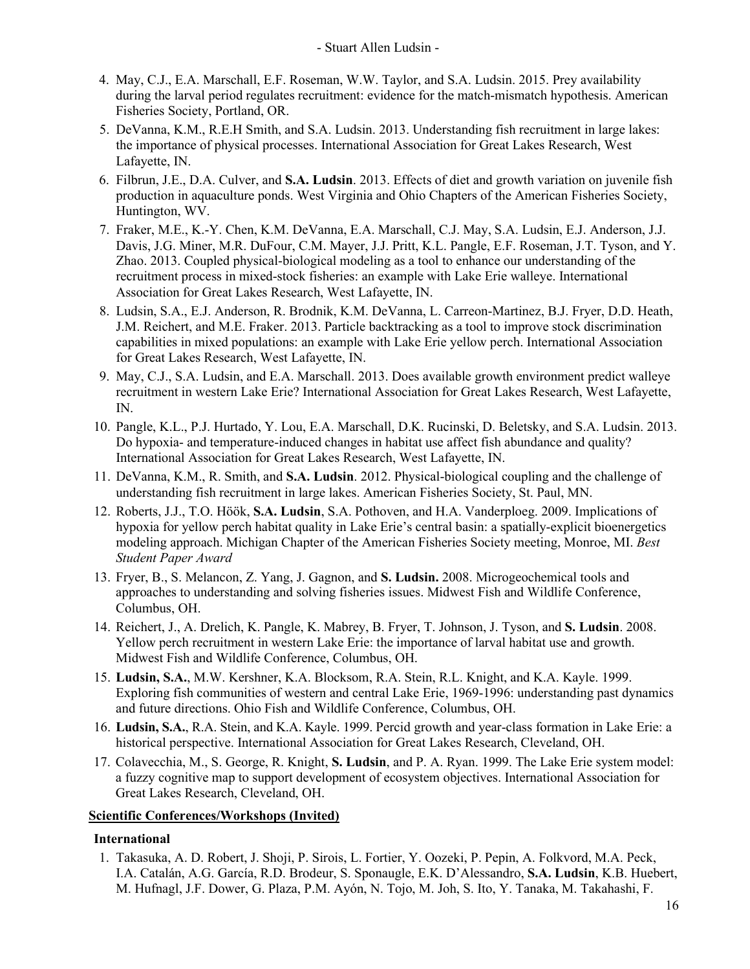- 4. May, C.J., E.A. Marschall, E.F. Roseman, W.W. Taylor, and S.A. Ludsin. 2015. Prey availability during the larval period regulates recruitment: evidence for the match-mismatch hypothesis. American Fisheries Society, Portland, OR.
- 5. DeVanna, K.M., R.E.H Smith, and S.A. Ludsin. 2013. Understanding fish recruitment in large lakes: the importance of physical processes. International Association for Great Lakes Research, West Lafayette, IN.
- 6. Filbrun, J.E., D.A. Culver, and **S.A. Ludsin**. 2013. Effects of diet and growth variation on juvenile fish production in aquaculture ponds. West Virginia and Ohio Chapters of the American Fisheries Society, Huntington, WV.
- 7. Fraker, M.E., K.-Y. Chen, K.M. DeVanna, E.A. Marschall, C.J. May, S.A. Ludsin, E.J. Anderson, J.J. Davis, J.G. Miner, M.R. DuFour, C.M. Mayer, J.J. Pritt, K.L. Pangle, E.F. Roseman, J.T. Tyson, and Y. Zhao. 2013. Coupled physical-biological modeling as a tool to enhance our understanding of the recruitment process in mixed-stock fisheries: an example with Lake Erie walleye. International Association for Great Lakes Research, West Lafayette, IN.
- 8. Ludsin, S.A., E.J. Anderson, R. Brodnik, K.M. DeVanna, L. Carreon-Martinez, B.J. Fryer, D.D. Heath, J.M. Reichert, and M.E. Fraker. 2013. Particle backtracking as a tool to improve stock discrimination capabilities in mixed populations: an example with Lake Erie yellow perch. International Association for Great Lakes Research, West Lafayette, IN.
- 9. May, C.J., S.A. Ludsin, and E.A. Marschall. 2013. Does available growth environment predict walleye recruitment in western Lake Erie? International Association for Great Lakes Research, West Lafayette, IN.
- 10. Pangle, K.L., P.J. Hurtado, Y. Lou, E.A. Marschall, D.K. Rucinski, D. Beletsky, and S.A. Ludsin. 2013. Do hypoxia- and temperature-induced changes in habitat use affect fish abundance and quality? International Association for Great Lakes Research, West Lafayette, IN.
- 11. DeVanna, K.M., R. Smith, and **S.A. Ludsin**. 2012. Physical-biological coupling and the challenge of understanding fish recruitment in large lakes. American Fisheries Society, St. Paul, MN.
- 12. Roberts, J.J., T.O. Höök, **S.A. Ludsin**, S.A. Pothoven, and H.A. Vanderploeg. 2009. Implications of hypoxia for yellow perch habitat quality in Lake Erie's central basin: a spatially-explicit bioenergetics modeling approach. Michigan Chapter of the American Fisheries Society meeting, Monroe, MI. *Best Student Paper Award*
- 13. Fryer, B., S. Melancon, Z. Yang, J. Gagnon, and **S. Ludsin.** 2008. Microgeochemical tools and approaches to understanding and solving fisheries issues. Midwest Fish and Wildlife Conference, Columbus, OH.
- 14. Reichert, J., A. Drelich, K. Pangle, K. Mabrey, B. Fryer, T. Johnson, J. Tyson, and **S. Ludsin**. 2008. Yellow perch recruitment in western Lake Erie: the importance of larval habitat use and growth. Midwest Fish and Wildlife Conference, Columbus, OH.
- 15. **Ludsin, S.A.**, M.W. Kershner, K.A. Blocksom, R.A. Stein, R.L. Knight, and K.A. Kayle. 1999. Exploring fish communities of western and central Lake Erie, 1969-1996: understanding past dynamics and future directions. Ohio Fish and Wildlife Conference, Columbus, OH.
- 16. **Ludsin, S.A.**, R.A. Stein, and K.A. Kayle. 1999. Percid growth and year-class formation in Lake Erie: a historical perspective. International Association for Great Lakes Research, Cleveland, OH.
- 17. Colavecchia, M., S. George, R. Knight, **S. Ludsin**, and P. A. Ryan. 1999. The Lake Erie system model: a fuzzy cognitive map to support development of ecosystem objectives. International Association for Great Lakes Research, Cleveland, OH.

### **Scientific Conferences/Workshops (Invited)**

### **International**

1. Takasuka, A. D. Robert, J. Shoji, P. Sirois, L. Fortier, Y. Oozeki, P. Pepin, A. Folkvord, M.A. Peck, I.A. Catalán, A.G. García, R.D. Brodeur, S. Sponaugle, E.K. D'Alessandro, **S.A. Ludsin**, K.B. Huebert, M. Hufnagl, J.F. Dower, G. Plaza, P.M. Ayón, N. Tojo, M. Joh, S. Ito, Y. Tanaka, M. Takahashi, F.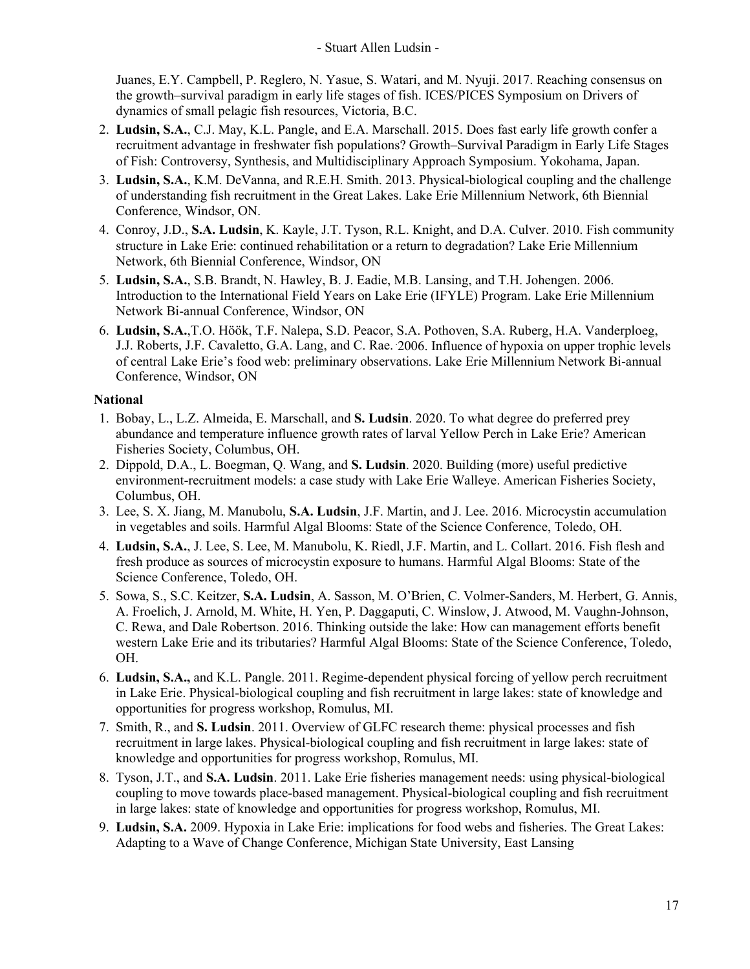Juanes, E.Y. Campbell, P. Reglero, N. Yasue, S. Watari, and M. Nyuji. 2017. Reaching consensus on the growth–survival paradigm in early life stages of fish. ICES/PICES Symposium on Drivers of dynamics of small pelagic fish resources, Victoria, B.C.

- 2. **Ludsin, S.A.**, C.J. May, K.L. Pangle, and E.A. Marschall. 2015. Does fast early life growth confer a recruitment advantage in freshwater fish populations? Growth–Survival Paradigm in Early Life Stages of Fish: Controversy, Synthesis, and Multidisciplinary Approach Symposium. Yokohama, Japan.
- 3. **Ludsin, S.A.**, K.M. DeVanna, and R.E.H. Smith. 2013. Physical-biological coupling and the challenge of understanding fish recruitment in the Great Lakes. Lake Erie Millennium Network, 6th Biennial Conference, Windsor, ON.
- 4. Conroy, J.D., **S.A. Ludsin**, K. Kayle, J.T. Tyson, R.L. Knight, and D.A. Culver. 2010. Fish community structure in Lake Erie: continued rehabilitation or a return to degradation? Lake Erie Millennium Network, 6th Biennial Conference, Windsor, ON
- 5. **Ludsin, S.A.**, S.B. Brandt, N. Hawley, B. J. Eadie, M.B. Lansing, and T.H. Johengen. 2006. Introduction to the International Field Years on Lake Erie (IFYLE) Program. Lake Erie Millennium Network Bi-annual Conference, Windsor, ON
- 6. **Ludsin, S.A.**,T.O. Höök, T.F. Nalepa, S.D. Peacor, S.A. Pothoven, S.A. Ruberg, H.A. Vanderploeg, J.J. Roberts, J.F. Cavaletto, G.A. Lang, and C. Rae. 2006. Influence of hypoxia on upper trophic levels of central Lake Erie's food web: preliminary observations. Lake Erie Millennium Network Bi-annual Conference, Windsor, ON

### **National**

- 1. Bobay, L., L.Z. Almeida, E. Marschall, and **S. Ludsin**. 2020. To what degree do preferred prey abundance and temperature influence growth rates of larval Yellow Perch in Lake Erie? American Fisheries Society, Columbus, OH.
- 2. Dippold, D.A., L. Boegman, Q. Wang, and **S. Ludsin**. 2020. Building (more) useful predictive environment-recruitment models: a case study with Lake Erie Walleye. American Fisheries Society, Columbus, OH.
- 3. Lee, S. X. Jiang, M. Manubolu, **S.A. Ludsin**, J.F. Martin, and J. Lee. 2016. Microcystin accumulation in vegetables and soils. Harmful Algal Blooms: State of the Science Conference, Toledo, OH.
- 4. **Ludsin, S.A.**, J. Lee, S. Lee, M. Manubolu, K. Riedl, J.F. Martin, and L. Collart. 2016. Fish flesh and fresh produce as sources of microcystin exposure to humans. Harmful Algal Blooms: State of the Science Conference, Toledo, OH.
- 5. Sowa, S., S.C. Keitzer, **S.A. Ludsin**, A. Sasson, M. O'Brien, C. Volmer-Sanders, M. Herbert, G. Annis, A. Froelich, J. Arnold, M. White, H. Yen, P. Daggaputi, C. Winslow, J. Atwood, M. Vaughn-Johnson, C. Rewa, and Dale Robertson. 2016. Thinking outside the lake: How can management efforts benefit western Lake Erie and its tributaries? Harmful Algal Blooms: State of the Science Conference, Toledo, OH.
- 6. **Ludsin, S.A.,** and K.L. Pangle. 2011. Regime-dependent physical forcing of yellow perch recruitment in Lake Erie. Physical-biological coupling and fish recruitment in large lakes: state of knowledge and opportunities for progress workshop, Romulus, MI.
- 7. Smith, R., and **S. Ludsin**. 2011. Overview of GLFC research theme: physical processes and fish recruitment in large lakes. Physical-biological coupling and fish recruitment in large lakes: state of knowledge and opportunities for progress workshop, Romulus, MI.
- 8. Tyson, J.T., and **S.A. Ludsin**. 2011. Lake Erie fisheries management needs: using physical-biological coupling to move towards place-based management. Physical-biological coupling and fish recruitment in large lakes: state of knowledge and opportunities for progress workshop, Romulus, MI.
- 9. **Ludsin, S.A.** 2009. Hypoxia in Lake Erie: implications for food webs and fisheries. The Great Lakes: Adapting to a Wave of Change Conference, Michigan State University, East Lansing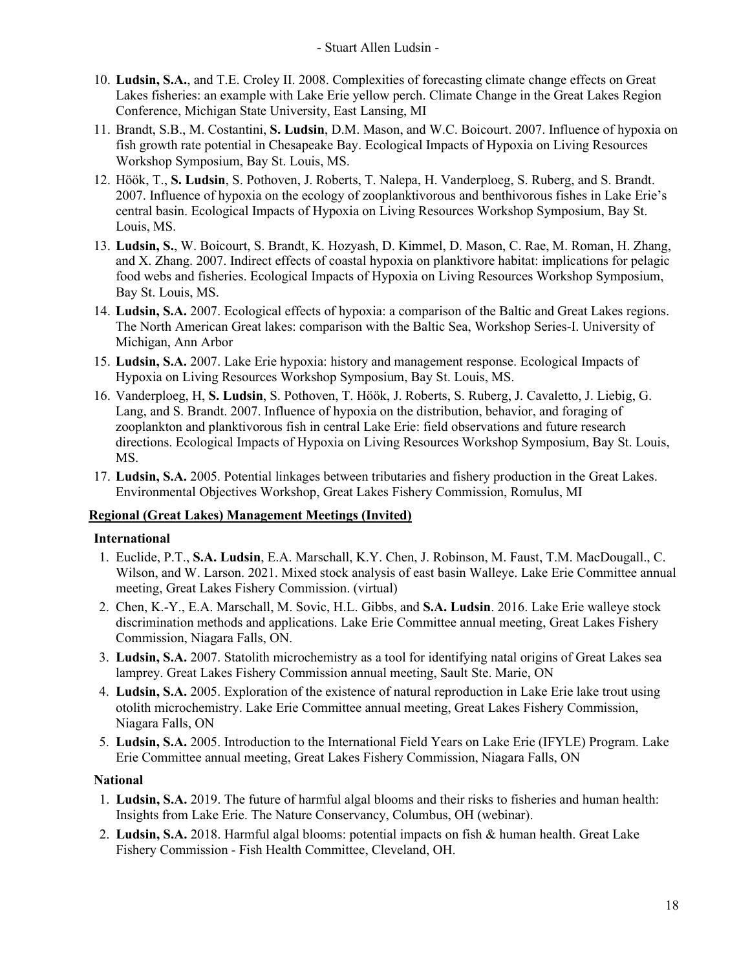- 10. **Ludsin, S.A.**, and T.E. Croley II. 2008. Complexities of forecasting climate change effects on Great Lakes fisheries: an example with Lake Erie yellow perch. Climate Change in the Great Lakes Region Conference, Michigan State University, East Lansing, MI
- 11. Brandt, S.B., M. Costantini, **S. Ludsin**, D.M. Mason, and W.C. Boicourt. 2007. Influence of hypoxia on fish growth rate potential in Chesapeake Bay. Ecological Impacts of Hypoxia on Living Resources Workshop Symposium, Bay St. Louis, MS.
- 12. Höök, T., **S. Ludsin**, S. Pothoven, J. Roberts, T. Nalepa, H. Vanderploeg, S. Ruberg, and S. Brandt. 2007. Influence of hypoxia on the ecology of zooplanktivorous and benthivorous fishes in Lake Erie's central basin. Ecological Impacts of Hypoxia on Living Resources Workshop Symposium, Bay St. Louis, MS.
- 13. **Ludsin, S.**, W. Boicourt, S. Brandt, K. Hozyash, D. Kimmel, D. Mason, C. Rae, M. Roman, H. Zhang, and X. Zhang. 2007. Indirect effects of coastal hypoxia on planktivore habitat: implications for pelagic food webs and fisheries. Ecological Impacts of Hypoxia on Living Resources Workshop Symposium, Bay St. Louis, MS.
- 14. **Ludsin, S.A.** 2007. Ecological effects of hypoxia: a comparison of the Baltic and Great Lakes regions. The North American Great lakes: comparison with the Baltic Sea, Workshop Series-I. University of Michigan, Ann Arbor
- 15. **Ludsin, S.A.** 2007. Lake Erie hypoxia: history and management response. Ecological Impacts of Hypoxia on Living Resources Workshop Symposium, Bay St. Louis, MS.
- 16. Vanderploeg, H, **S. Ludsin**, S. Pothoven, T. Höök, J. Roberts, S. Ruberg, J. Cavaletto, J. Liebig, G. Lang, and S. Brandt. 2007. Influence of hypoxia on the distribution, behavior, and foraging of zooplankton and planktivorous fish in central Lake Erie: field observations and future research directions. Ecological Impacts of Hypoxia on Living Resources Workshop Symposium, Bay St. Louis, MS.
- 17. **Ludsin, S.A.** 2005. Potential linkages between tributaries and fishery production in the Great Lakes. Environmental Objectives Workshop, Great Lakes Fishery Commission, Romulus, MI

## **Regional (Great Lakes) Management Meetings (Invited)**

### **International**

- 1. Euclide, P.T., **S.A. Ludsin**, E.A. Marschall, K.Y. Chen, J. Robinson, M. Faust, T.M. MacDougall., C. Wilson, and W. Larson. 2021. Mixed stock analysis of east basin Walleye. Lake Erie Committee annual meeting, Great Lakes Fishery Commission. (virtual)
- 2. Chen, K.-Y., E.A. Marschall, M. Sovic, H.L. Gibbs, and **S.A. Ludsin**. 2016. Lake Erie walleye stock discrimination methods and applications. Lake Erie Committee annual meeting, Great Lakes Fishery Commission, Niagara Falls, ON.
- 3. **Ludsin, S.A.** 2007. Statolith microchemistry as a tool for identifying natal origins of Great Lakes sea lamprey. Great Lakes Fishery Commission annual meeting, Sault Ste. Marie, ON
- 4. **Ludsin, S.A.** 2005. Exploration of the existence of natural reproduction in Lake Erie lake trout using otolith microchemistry. Lake Erie Committee annual meeting, Great Lakes Fishery Commission, Niagara Falls, ON
- 5. **Ludsin, S.A.** 2005. Introduction to the International Field Years on Lake Erie (IFYLE) Program. Lake Erie Committee annual meeting, Great Lakes Fishery Commission, Niagara Falls, ON

## **National**

- 1. **Ludsin, S.A.** 2019. The future of harmful algal blooms and their risks to fisheries and human health: Insights from Lake Erie. The Nature Conservancy, Columbus, OH (webinar).
- 2. **Ludsin, S.A.** 2018. Harmful algal blooms: potential impacts on fish & human health. Great Lake Fishery Commission - Fish Health Committee, Cleveland, OH.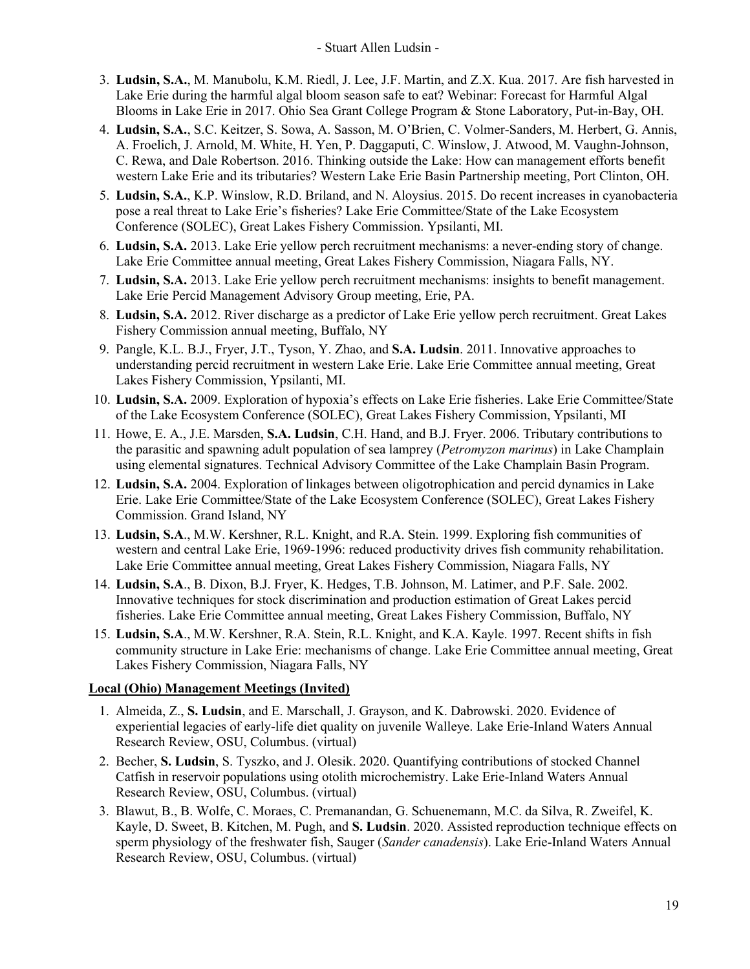- 3. **Ludsin, S.A.**, M. Manubolu, K.M. Riedl, J. Lee, J.F. Martin, and Z.X. Kua. 2017. Are fish harvested in Lake Erie during the harmful algal bloom season safe to eat? Webinar: Forecast for Harmful Algal Blooms in Lake Erie in 2017. Ohio Sea Grant College Program & Stone Laboratory, Put-in-Bay, OH.
- 4. **Ludsin, S.A.**, S.C. Keitzer, S. Sowa, A. Sasson, M. O'Brien, C. Volmer-Sanders, M. Herbert, G. Annis, A. Froelich, J. Arnold, M. White, H. Yen, P. Daggaputi, C. Winslow, J. Atwood, M. Vaughn-Johnson, C. Rewa, and Dale Robertson. 2016. Thinking outside the Lake: How can management efforts benefit western Lake Erie and its tributaries? Western Lake Erie Basin Partnership meeting, Port Clinton, OH.
- 5. **Ludsin, S.A.**, K.P. Winslow, R.D. Briland, and N. Aloysius. 2015. Do recent increases in cyanobacteria pose a real threat to Lake Erie's fisheries? Lake Erie Committee/State of the Lake Ecosystem Conference (SOLEC), Great Lakes Fishery Commission. Ypsilanti, MI.
- 6. **Ludsin, S.A.** 2013. Lake Erie yellow perch recruitment mechanisms: a never-ending story of change. Lake Erie Committee annual meeting, Great Lakes Fishery Commission, Niagara Falls, NY.
- 7. **Ludsin, S.A.** 2013. Lake Erie yellow perch recruitment mechanisms: insights to benefit management. Lake Erie Percid Management Advisory Group meeting, Erie, PA.
- 8. **Ludsin, S.A.** 2012. River discharge as a predictor of Lake Erie yellow perch recruitment. Great Lakes Fishery Commission annual meeting, Buffalo, NY
- 9. Pangle, K.L. B.J., Fryer, J.T., Tyson, Y. Zhao, and **S.A. Ludsin**. 2011. Innovative approaches to understanding percid recruitment in western Lake Erie. Lake Erie Committee annual meeting, Great Lakes Fishery Commission, Ypsilanti, MI.
- 10. **Ludsin, S.A.** 2009. Exploration of hypoxia's effects on Lake Erie fisheries. Lake Erie Committee/State of the Lake Ecosystem Conference (SOLEC), Great Lakes Fishery Commission, Ypsilanti, MI
- 11. Howe, E. A., J.E. Marsden, **S.A. Ludsin**, C.H. Hand, and B.J. Fryer. 2006. Tributary contributions to the parasitic and spawning adult population of sea lamprey (*Petromyzon marinus*) in Lake Champlain using elemental signatures. Technical Advisory Committee of the Lake Champlain Basin Program.
- 12. **Ludsin, S.A.** 2004. Exploration of linkages between oligotrophication and percid dynamics in Lake Erie. Lake Erie Committee/State of the Lake Ecosystem Conference (SOLEC), Great Lakes Fishery Commission. Grand Island, NY
- 13. **Ludsin, S.A**., M.W. Kershner, R.L. Knight, and R.A. Stein. 1999. Exploring fish communities of western and central Lake Erie, 1969-1996: reduced productivity drives fish community rehabilitation. Lake Erie Committee annual meeting, Great Lakes Fishery Commission, Niagara Falls, NY
- 14. **Ludsin, S.A**., B. Dixon, B.J. Fryer, K. Hedges, T.B. Johnson, M. Latimer, and P.F. Sale. 2002. Innovative techniques for stock discrimination and production estimation of Great Lakes percid fisheries. Lake Erie Committee annual meeting, Great Lakes Fishery Commission, Buffalo, NY
- 15. **Ludsin, S.A**., M.W. Kershner, R.A. Stein, R.L. Knight, and K.A. Kayle. 1997. Recent shifts in fish community structure in Lake Erie: mechanisms of change. Lake Erie Committee annual meeting, Great Lakes Fishery Commission, Niagara Falls, NY

# **Local (Ohio) Management Meetings (Invited)**

- 1. Almeida, Z., **S. Ludsin**, and E. Marschall, J. Grayson, and K. Dabrowski. 2020. Evidence of experiential legacies of early-life diet quality on juvenile Walleye. Lake Erie-Inland Waters Annual Research Review, OSU, Columbus. (virtual)
- 2. Becher, **S. Ludsin**, S. Tyszko, and J. Olesik. 2020. Quantifying contributions of stocked Channel Catfish in reservoir populations using otolith microchemistry. Lake Erie-Inland Waters Annual Research Review, OSU, Columbus. (virtual)
- 3. Blawut, B., B. Wolfe, C. Moraes, C. Premanandan, G. Schuenemann, M.C. da Silva, R. Zweifel, K. Kayle, D. Sweet, B. Kitchen, M. Pugh, and **S. Ludsin**. 2020. Assisted reproduction technique effects on sperm physiology of the freshwater fish, Sauger (*Sander canadensis*). Lake Erie-Inland Waters Annual Research Review, OSU, Columbus. (virtual)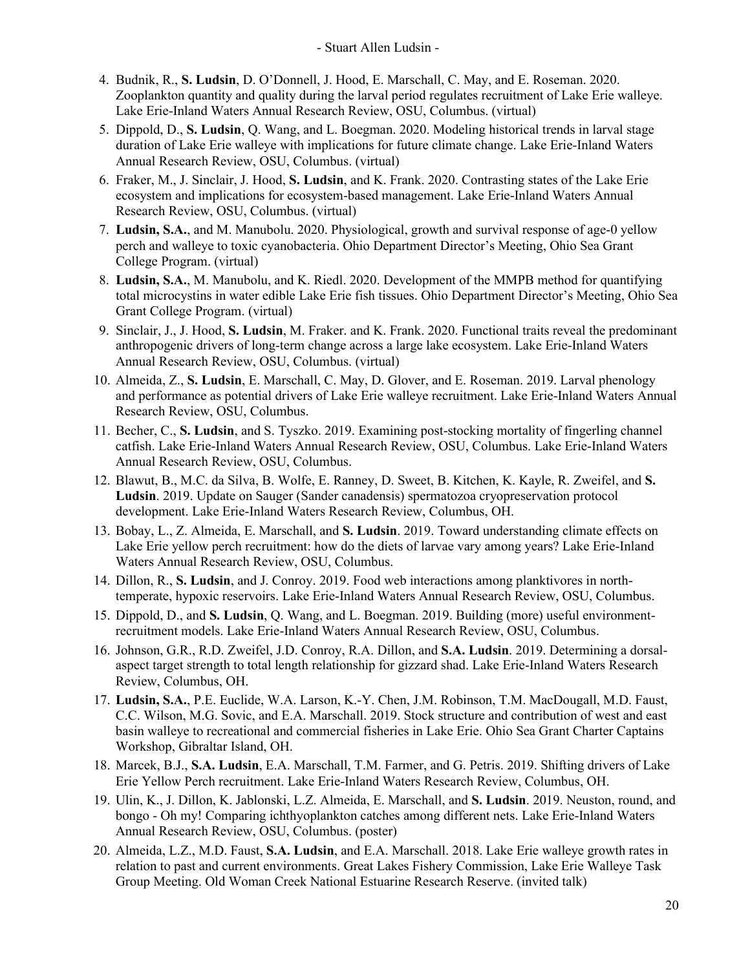- 4. Budnik, R., **S. Ludsin**, D. O'Donnell, J. Hood, E. Marschall, C. May, and E. Roseman. 2020. Zooplankton quantity and quality during the larval period regulates recruitment of Lake Erie walleye. Lake Erie-Inland Waters Annual Research Review, OSU, Columbus. (virtual)
- 5. Dippold, D., **S. Ludsin**, Q. Wang, and L. Boegman. 2020. Modeling historical trends in larval stage duration of Lake Erie walleye with implications for future climate change. Lake Erie-Inland Waters Annual Research Review, OSU, Columbus. (virtual)
- 6. Fraker, M., J. Sinclair, J. Hood, **S. Ludsin**, and K. Frank. 2020. Contrasting states of the Lake Erie ecosystem and implications for ecosystem-based management. Lake Erie-Inland Waters Annual Research Review, OSU, Columbus. (virtual)
- 7. **Ludsin, S.A.**, and M. Manubolu. 2020. Physiological, growth and survival response of age-0 yellow perch and walleye to toxic cyanobacteria. Ohio Department Director's Meeting, Ohio Sea Grant College Program. (virtual)
- 8. **Ludsin, S.A.**, M. Manubolu, and K. Riedl. 2020. Development of the MMPB method for quantifying total microcystins in water edible Lake Erie fish tissues. Ohio Department Director's Meeting, Ohio Sea Grant College Program. (virtual)
- 9. Sinclair, J., J. Hood, **S. Ludsin**, M. Fraker. and K. Frank. 2020. Functional traits reveal the predominant anthropogenic drivers of long-term change across a large lake ecosystem. Lake Erie-Inland Waters Annual Research Review, OSU, Columbus. (virtual)
- 10. Almeida, Z., **S. Ludsin**, E. Marschall, C. May, D. Glover, and E. Roseman. 2019. Larval phenology and performance as potential drivers of Lake Erie walleye recruitment. Lake Erie-Inland Waters Annual Research Review, OSU, Columbus.
- 11. Becher, C., **S. Ludsin**, and S. Tyszko. 2019. Examining post-stocking mortality of fingerling channel catfish. Lake Erie-Inland Waters Annual Research Review, OSU, Columbus. Lake Erie-Inland Waters Annual Research Review, OSU, Columbus.
- 12. Blawut, B., M.C. da Silva, B. Wolfe, E. Ranney, D. Sweet, B. Kitchen, K. Kayle, R. Zweifel, and **S. Ludsin**. 2019. Update on Sauger (Sander canadensis) spermatozoa cryopreservation protocol development. Lake Erie-Inland Waters Research Review, Columbus, OH.
- 13. Bobay, L., Z. Almeida, E. Marschall, and **S. Ludsin**. 2019. Toward understanding climate effects on Lake Erie yellow perch recruitment: how do the diets of larvae vary among years? Lake Erie-Inland Waters Annual Research Review, OSU, Columbus.
- 14. Dillon, R., **S. Ludsin**, and J. Conroy. 2019. Food web interactions among planktivores in northtemperate, hypoxic reservoirs. Lake Erie-Inland Waters Annual Research Review, OSU, Columbus.
- 15. Dippold, D., and **S. Ludsin**, Q. Wang, and L. Boegman. 2019. Building (more) useful environmentrecruitment models. Lake Erie-Inland Waters Annual Research Review, OSU, Columbus.
- 16. Johnson, G.R., R.D. Zweifel, J.D. Conroy, R.A. Dillon, and **S.A. Ludsin**. 2019. Determining a dorsalaspect target strength to total length relationship for gizzard shad. Lake Erie-Inland Waters Research Review, Columbus, OH.
- 17. **Ludsin, S.A.**, P.E. Euclide, W.A. Larson, K.-Y. Chen, J.M. Robinson, T.M. MacDougall, M.D. Faust, C.C. Wilson, M.G. Sovic, and E.A. Marschall. 2019. Stock structure and contribution of west and east basin walleye to recreational and commercial fisheries in Lake Erie. Ohio Sea Grant Charter Captains Workshop, Gibraltar Island, OH.
- 18. Marcek, B.J., **S.A. Ludsin**, E.A. Marschall, T.M. Farmer, and G. Petris. 2019. Shifting drivers of Lake Erie Yellow Perch recruitment. Lake Erie-Inland Waters Research Review, Columbus, OH.
- 19. Ulin, K., J. Dillon, K. Jablonski, L.Z. Almeida, E. Marschall, and **S. Ludsin**. 2019. Neuston, round, and bongo - Oh my! Comparing ichthyoplankton catches among different nets. Lake Erie-Inland Waters Annual Research Review, OSU, Columbus. (poster)
- 20. Almeida, L.Z., M.D. Faust, **S.A. Ludsin**, and E.A. Marschall. 2018. Lake Erie walleye growth rates in relation to past and current environments. Great Lakes Fishery Commission, Lake Erie Walleye Task Group Meeting. Old Woman Creek National Estuarine Research Reserve. (invited talk)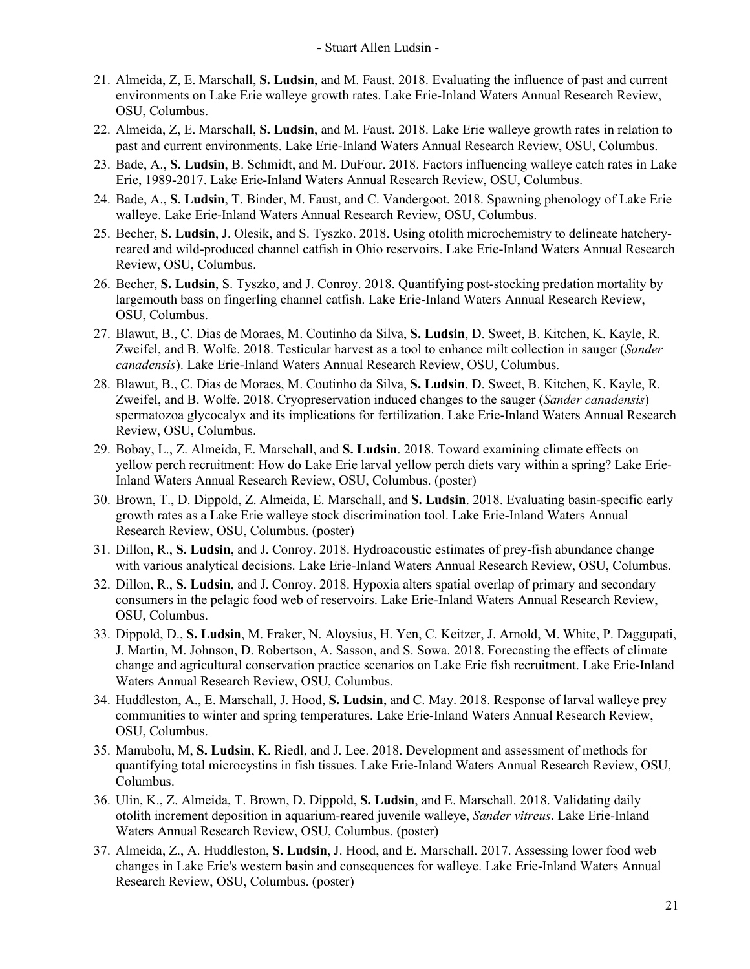- 21. Almeida, Z, E. Marschall, **S. Ludsin**, and M. Faust. 2018. Evaluating the influence of past and current environments on Lake Erie walleye growth rates. Lake Erie-Inland Waters Annual Research Review, OSU, Columbus.
- 22. Almeida, Z, E. Marschall, **S. Ludsin**, and M. Faust. 2018. Lake Erie walleye growth rates in relation to past and current environments. Lake Erie-Inland Waters Annual Research Review, OSU, Columbus.
- 23. Bade, A., **S. Ludsin**, B. Schmidt, and M. DuFour. 2018. Factors influencing walleye catch rates in Lake Erie, 1989-2017. Lake Erie-Inland Waters Annual Research Review, OSU, Columbus.
- 24. Bade, A., **S. Ludsin**, T. Binder, M. Faust, and C. Vandergoot. 2018. Spawning phenology of Lake Erie walleye. Lake Erie-Inland Waters Annual Research Review, OSU, Columbus.
- 25. Becher, **S. Ludsin**, J. Olesik, and S. Tyszko. 2018. Using otolith microchemistry to delineate hatcheryreared and wild-produced channel catfish in Ohio reservoirs. Lake Erie-Inland Waters Annual Research Review, OSU, Columbus.
- 26. Becher, **S. Ludsin**, S. Tyszko, and J. Conroy. 2018. Quantifying post-stocking predation mortality by largemouth bass on fingerling channel catfish. Lake Erie-Inland Waters Annual Research Review, OSU, Columbus.
- 27. Blawut, B., C. Dias de Moraes, M. Coutinho da Silva, **S. Ludsin**, D. Sweet, B. Kitchen, K. Kayle, R. Zweifel, and B. Wolfe. 2018. Testicular harvest as a tool to enhance milt collection in sauger (*Sander canadensis*). Lake Erie-Inland Waters Annual Research Review, OSU, Columbus.
- 28. Blawut, B., C. Dias de Moraes, M. Coutinho da Silva, **S. Ludsin**, D. Sweet, B. Kitchen, K. Kayle, R. Zweifel, and B. Wolfe. 2018. Cryopreservation induced changes to the sauger (*Sander canadensis*) spermatozoa glycocalyx and its implications for fertilization. Lake Erie-Inland Waters Annual Research Review, OSU, Columbus.
- 29. Bobay, L., Z. Almeida, E. Marschall, and **S. Ludsin**. 2018. Toward examining climate effects on yellow perch recruitment: How do Lake Erie larval yellow perch diets vary within a spring? Lake Erie-Inland Waters Annual Research Review, OSU, Columbus. (poster)
- 30. Brown, T., D. Dippold, Z. Almeida, E. Marschall, and **S. Ludsin**. 2018. Evaluating basin-specific early growth rates as a Lake Erie walleye stock discrimination tool. Lake Erie-Inland Waters Annual Research Review, OSU, Columbus. (poster)
- 31. Dillon, R., **S. Ludsin**, and J. Conroy. 2018. Hydroacoustic estimates of prey-fish abundance change with various analytical decisions. Lake Erie-Inland Waters Annual Research Review, OSU, Columbus.
- 32. Dillon, R., **S. Ludsin**, and J. Conroy. 2018. Hypoxia alters spatial overlap of primary and secondary consumers in the pelagic food web of reservoirs. Lake Erie-Inland Waters Annual Research Review, OSU, Columbus.
- 33. Dippold, D., **S. Ludsin**, M. Fraker, N. Aloysius, H. Yen, C. Keitzer, J. Arnold, M. White, P. Daggupati, J. Martin, M. Johnson, D. Robertson, A. Sasson, and S. Sowa. 2018. Forecasting the effects of climate change and agricultural conservation practice scenarios on Lake Erie fish recruitment. Lake Erie-Inland Waters Annual Research Review, OSU, Columbus.
- 34. Huddleston, A., E. Marschall, J. Hood, **S. Ludsin**, and C. May. 2018. Response of larval walleye prey communities to winter and spring temperatures. Lake Erie-Inland Waters Annual Research Review, OSU, Columbus.
- 35. Manubolu, M, **S. Ludsin**, K. Riedl, and J. Lee. 2018. Development and assessment of methods for quantifying total microcystins in fish tissues. Lake Erie-Inland Waters Annual Research Review, OSU, Columbus.
- 36. Ulin, K., Z. Almeida, T. Brown, D. Dippold, **S. Ludsin**, and E. Marschall. 2018. Validating daily otolith increment deposition in aquarium-reared juvenile walleye, *Sander vitreus*. Lake Erie-Inland Waters Annual Research Review, OSU, Columbus. (poster)
- 37. Almeida, Z., A. Huddleston, **S. Ludsin**, J. Hood, and E. Marschall. 2017. Assessing lower food web changes in Lake Erie's western basin and consequences for walleye. Lake Erie-Inland Waters Annual Research Review, OSU, Columbus. (poster)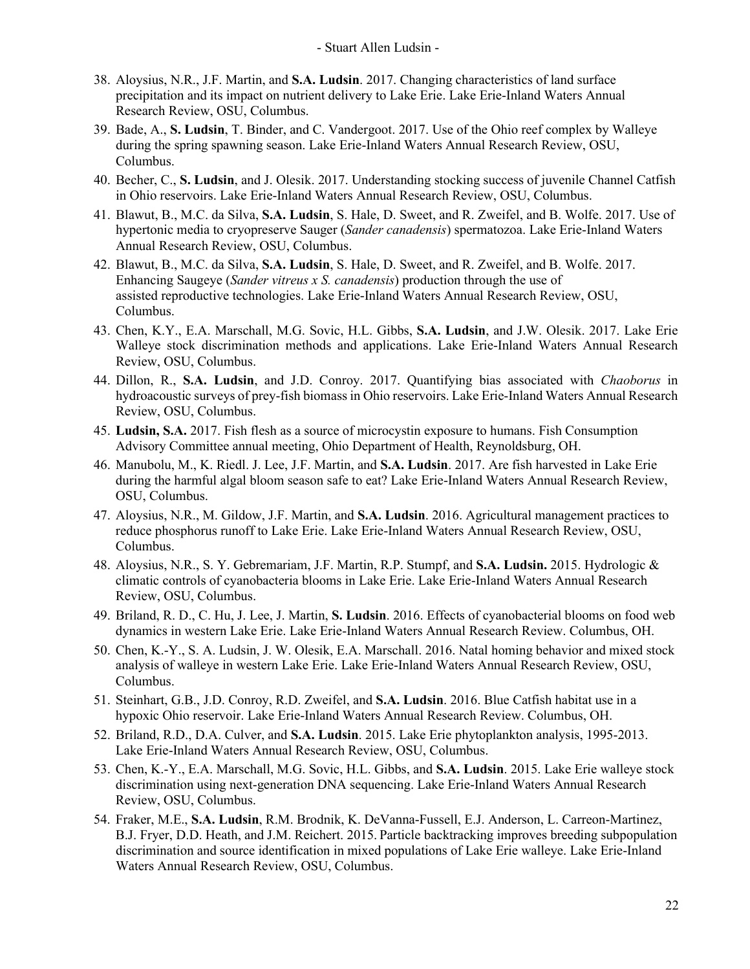- 38. Aloysius, N.R., J.F. Martin, and **S.A. Ludsin**. 2017. Changing characteristics of land surface precipitation and its impact on nutrient delivery to Lake Erie. Lake Erie-Inland Waters Annual Research Review, OSU, Columbus.
- 39. Bade, A., **S. Ludsin**, T. Binder, and C. Vandergoot. 2017. Use of the Ohio reef complex by Walleye during the spring spawning season. Lake Erie-Inland Waters Annual Research Review, OSU, Columbus.
- 40. Becher, C., **S. Ludsin**, and J. Olesik. 2017. Understanding stocking success of juvenile Channel Catfish in Ohio reservoirs. Lake Erie-Inland Waters Annual Research Review, OSU, Columbus.
- 41. Blawut, B., M.C. da Silva, **S.A. Ludsin**, S. Hale, D. Sweet, and R. Zweifel, and B. Wolfe. 2017. Use of hypertonic media to cryopreserve Sauger (*Sander canadensis*) spermatozoa. Lake Erie-Inland Waters Annual Research Review, OSU, Columbus.
- 42. Blawut, B., M.C. da Silva, **S.A. Ludsin**, S. Hale, D. Sweet, and R. Zweifel, and B. Wolfe. 2017. Enhancing Saugeye (*Sander vitreus x S. canadensis*) production through the use of assisted reproductive technologies. Lake Erie-Inland Waters Annual Research Review, OSU, Columbus.
- 43. Chen, K.Y., E.A. Marschall, M.G. Sovic, H.L. Gibbs, **S.A. Ludsin**, and J.W. Olesik. 2017. Lake Erie Walleye stock discrimination methods and applications. Lake Erie-Inland Waters Annual Research Review, OSU, Columbus.
- 44. Dillon, R., **S.A. Ludsin**, and J.D. Conroy. 2017. Quantifying bias associated with *Chaoborus* in hydroacoustic surveys of prey-fish biomass in Ohio reservoirs. Lake Erie-Inland Waters Annual Research Review, OSU, Columbus.
- 45. **Ludsin, S.A.** 2017. Fish flesh as a source of microcystin exposure to humans. Fish Consumption Advisory Committee annual meeting, Ohio Department of Health, Reynoldsburg, OH.
- 46. Manubolu, M., K. Riedl. J. Lee, J.F. Martin, and **S.A. Ludsin**. 2017. Are fish harvested in Lake Erie during the harmful algal bloom season safe to eat? Lake Erie-Inland Waters Annual Research Review, OSU, Columbus.
- 47. Aloysius, N.R., M. Gildow, J.F. Martin, and **S.A. Ludsin**. 2016. Agricultural management practices to reduce phosphorus runoff to Lake Erie. Lake Erie-Inland Waters Annual Research Review, OSU, Columbus.
- 48. Aloysius, N.R., S. Y. Gebremariam, J.F. Martin, R.P. Stumpf, and **S.A. Ludsin.** 2015. Hydrologic & climatic controls of cyanobacteria blooms in Lake Erie. Lake Erie-Inland Waters Annual Research Review, OSU, Columbus.
- 49. Briland, R. D., C. Hu, J. Lee, J. Martin, **S. Ludsin**. 2016. Effects of cyanobacterial blooms on food web dynamics in western Lake Erie. Lake Erie-Inland Waters Annual Research Review. Columbus, OH.
- 50. Chen, K.-Y., S. A. Ludsin, J. W. Olesik, E.A. Marschall. 2016. Natal homing behavior and mixed stock analysis of walleye in western Lake Erie. Lake Erie-Inland Waters Annual Research Review, OSU, Columbus.
- 51. Steinhart, G.B., J.D. Conroy, R.D. Zweifel, and **S.A. Ludsin**. 2016. Blue Catfish habitat use in a hypoxic Ohio reservoir. Lake Erie-Inland Waters Annual Research Review. Columbus, OH.
- 52. Briland, R.D., D.A. Culver, and **S.A. Ludsin**. 2015. Lake Erie phytoplankton analysis, 1995-2013. Lake Erie-Inland Waters Annual Research Review, OSU, Columbus.
- 53. Chen, K.-Y., E.A. Marschall, M.G. Sovic, H.L. Gibbs, and **S.A. Ludsin**. 2015. Lake Erie walleye stock discrimination using next-generation DNA sequencing. Lake Erie-Inland Waters Annual Research Review, OSU, Columbus.
- 54. Fraker, M.E., **S.A. Ludsin**, R.M. Brodnik, K. DeVanna-Fussell, E.J. Anderson, L. Carreon-Martinez, B.J. Fryer, D.D. Heath, and J.M. Reichert. 2015. Particle backtracking improves breeding subpopulation discrimination and source identification in mixed populations of Lake Erie walleye. Lake Erie-Inland Waters Annual Research Review, OSU, Columbus.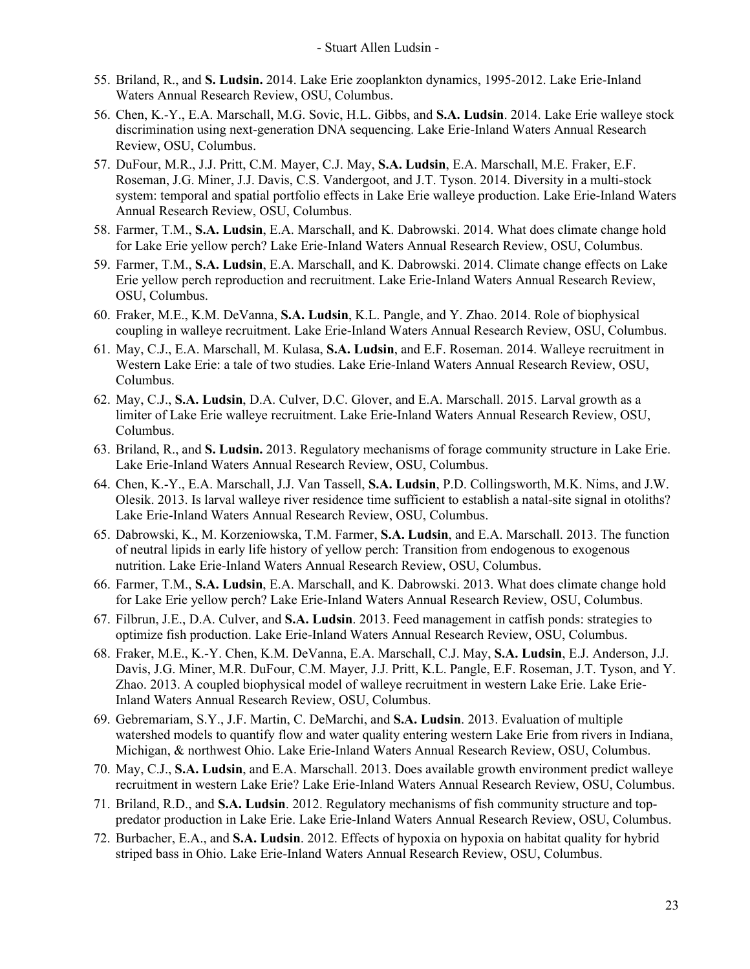- 55. Briland, R., and **S. Ludsin.** 2014. Lake Erie zooplankton dynamics, 1995-2012. Lake Erie-Inland Waters Annual Research Review, OSU, Columbus.
- 56. Chen, K.-Y., E.A. Marschall, M.G. Sovic, H.L. Gibbs, and **S.A. Ludsin**. 2014. Lake Erie walleye stock discrimination using next-generation DNA sequencing. Lake Erie-Inland Waters Annual Research Review, OSU, Columbus.
- 57. DuFour, M.R., J.J. Pritt, C.M. Mayer, C.J. May, **S.A. Ludsin**, E.A. Marschall, M.E. Fraker, E.F. Roseman, J.G. Miner, J.J. Davis, C.S. Vandergoot, and J.T. Tyson. 2014. Diversity in a multi-stock system: temporal and spatial portfolio effects in Lake Erie walleye production. Lake Erie-Inland Waters Annual Research Review, OSU, Columbus.
- 58. Farmer, T.M., **S.A. Ludsin**, E.A. Marschall, and K. Dabrowski. 2014. What does climate change hold for Lake Erie yellow perch? Lake Erie-Inland Waters Annual Research Review, OSU, Columbus.
- 59. Farmer, T.M., **S.A. Ludsin**, E.A. Marschall, and K. Dabrowski. 2014. Climate change effects on Lake Erie yellow perch reproduction and recruitment. Lake Erie-Inland Waters Annual Research Review, OSU, Columbus.
- 60. Fraker, M.E., K.M. DeVanna, **S.A. Ludsin**, K.L. Pangle, and Y. Zhao. 2014. Role of biophysical coupling in walleye recruitment. Lake Erie-Inland Waters Annual Research Review, OSU, Columbus.
- 61. May, C.J., E.A. Marschall, M. Kulasa, **S.A. Ludsin**, and E.F. Roseman. 2014. Walleye recruitment in Western Lake Erie: a tale of two studies. Lake Erie-Inland Waters Annual Research Review, OSU, Columbus.
- 62. May, C.J., **S.A. Ludsin**, D.A. Culver, D.C. Glover, and E.A. Marschall. 2015. Larval growth as a limiter of Lake Erie walleye recruitment. Lake Erie-Inland Waters Annual Research Review, OSU, Columbus.
- 63. Briland, R., and **S. Ludsin.** 2013. Regulatory mechanisms of forage community structure in Lake Erie. Lake Erie-Inland Waters Annual Research Review, OSU, Columbus.
- 64. Chen, K.-Y., E.A. Marschall, J.J. Van Tassell, **S.A. Ludsin**, P.D. Collingsworth, M.K. Nims, and J.W. Olesik. 2013. Is larval walleye river residence time sufficient to establish a natal-site signal in otoliths? Lake Erie-Inland Waters Annual Research Review, OSU, Columbus.
- 65. Dabrowski, K., M. Korzeniowska, T.M. Farmer, **S.A. Ludsin**, and E.A. Marschall. 2013. The function of neutral lipids in early life history of yellow perch: Transition from endogenous to exogenous nutrition. Lake Erie-Inland Waters Annual Research Review, OSU, Columbus.
- 66. Farmer, T.M., **S.A. Ludsin**, E.A. Marschall, and K. Dabrowski. 2013. What does climate change hold for Lake Erie yellow perch? Lake Erie-Inland Waters Annual Research Review, OSU, Columbus.
- 67. Filbrun, J.E., D.A. Culver, and **S.A. Ludsin**. 2013. Feed management in catfish ponds: strategies to optimize fish production. Lake Erie-Inland Waters Annual Research Review, OSU, Columbus.
- 68. Fraker, M.E., K.-Y. Chen, K.M. DeVanna, E.A. Marschall, C.J. May, **S.A. Ludsin**, E.J. Anderson, J.J. Davis, J.G. Miner, M.R. DuFour, C.M. Mayer, J.J. Pritt, K.L. Pangle, E.F. Roseman, J.T. Tyson, and Y. Zhao. 2013. A coupled biophysical model of walleye recruitment in western Lake Erie. Lake Erie-Inland Waters Annual Research Review, OSU, Columbus.
- 69. Gebremariam, S.Y., J.F. Martin, C. DeMarchi, and **S.A. Ludsin**. 2013. Evaluation of multiple watershed models to quantify flow and water quality entering western Lake Erie from rivers in Indiana, Michigan, & northwest Ohio. Lake Erie-Inland Waters Annual Research Review, OSU, Columbus.
- 70. May, C.J., **S.A. Ludsin**, and E.A. Marschall. 2013. Does available growth environment predict walleye recruitment in western Lake Erie? Lake Erie-Inland Waters Annual Research Review, OSU, Columbus.
- 71. Briland, R.D., and **S.A. Ludsin**. 2012. Regulatory mechanisms of fish community structure and toppredator production in Lake Erie. Lake Erie-Inland Waters Annual Research Review, OSU, Columbus.
- 72. Burbacher, E.A., and **S.A. Ludsin**. 2012. Effects of hypoxia on hypoxia on habitat quality for hybrid striped bass in Ohio. Lake Erie-Inland Waters Annual Research Review, OSU, Columbus.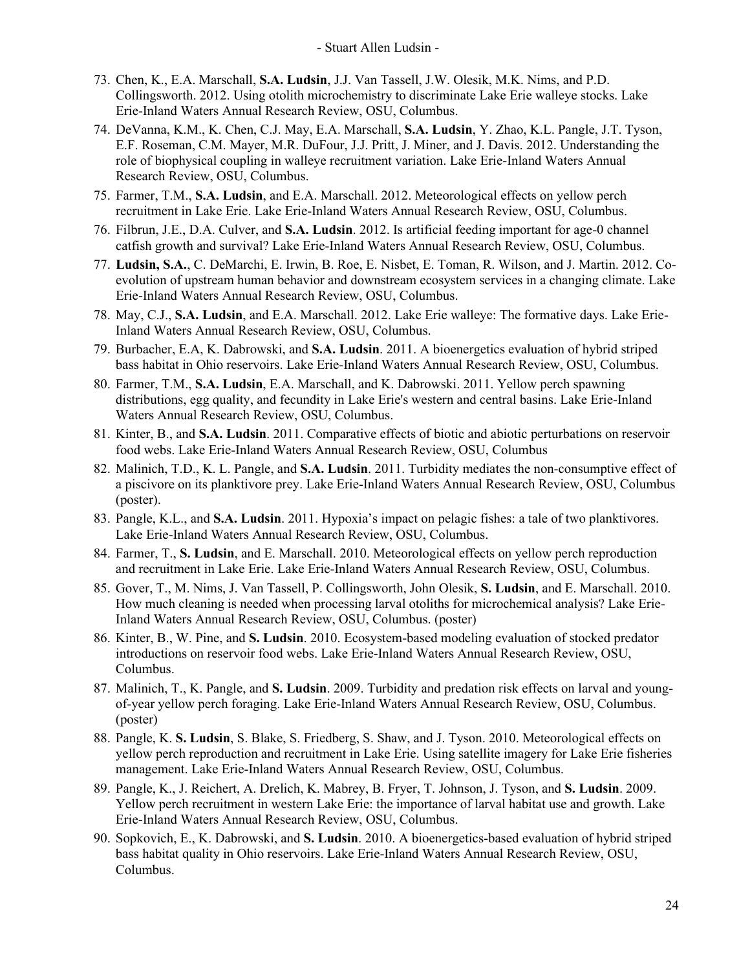- 73. Chen, K., E.A. Marschall, **S.A. Ludsin**, J.J. Van Tassell, J.W. Olesik, M.K. Nims, and P.D. Collingsworth. 2012. Using otolith microchemistry to discriminate Lake Erie walleye stocks. Lake Erie-Inland Waters Annual Research Review, OSU, Columbus.
- 74. DeVanna, K.M., K. Chen, C.J. May, E.A. Marschall, **S.A. Ludsin**, Y. Zhao, K.L. Pangle, J.T. Tyson, E.F. Roseman, C.M. Mayer, M.R. DuFour, J.J. Pritt, J. Miner, and J. Davis. 2012. Understanding the role of biophysical coupling in walleye recruitment variation. Lake Erie-Inland Waters Annual Research Review, OSU, Columbus.
- 75. Farmer, T.M., **S.A. Ludsin**, and E.A. Marschall. 2012. Meteorological effects on yellow perch recruitment in Lake Erie. Lake Erie-Inland Waters Annual Research Review, OSU, Columbus.
- 76. Filbrun, J.E., D.A. Culver, and **S.A. Ludsin**. 2012. Is artificial feeding important for age-0 channel catfish growth and survival? Lake Erie-Inland Waters Annual Research Review, OSU, Columbus.
- 77. **Ludsin, S.A.**, C. DeMarchi, E. Irwin, B. Roe, E. Nisbet, E. Toman, R. Wilson, and J. Martin. 2012. Coevolution of upstream human behavior and downstream ecosystem services in a changing climate. Lake Erie-Inland Waters Annual Research Review, OSU, Columbus.
- 78. May, C.J., **S.A. Ludsin**, and E.A. Marschall. 2012. Lake Erie walleye: The formative days. Lake Erie-Inland Waters Annual Research Review, OSU, Columbus.
- 79. Burbacher, E.A, K. Dabrowski, and **S.A. Ludsin**. 2011. A bioenergetics evaluation of hybrid striped bass habitat in Ohio reservoirs. Lake Erie-Inland Waters Annual Research Review, OSU, Columbus.
- 80. Farmer, T.M., **S.A. Ludsin**, E.A. Marschall, and K. Dabrowski. 2011. Yellow perch spawning distributions, egg quality, and fecundity in Lake Erie's western and central basins. Lake Erie-Inland Waters Annual Research Review, OSU, Columbus.
- 81. Kinter, B., and **S.A. Ludsin**. 2011. Comparative effects of biotic and abiotic perturbations on reservoir food webs. Lake Erie-Inland Waters Annual Research Review, OSU, Columbus
- 82. Malinich, T.D., K. L. Pangle, and **S.A. Ludsin**. 2011. Turbidity mediates the non-consumptive effect of a piscivore on its planktivore prey. Lake Erie-Inland Waters Annual Research Review, OSU, Columbus (poster).
- 83. Pangle, K.L., and **S.A. Ludsin**. 2011. Hypoxia's impact on pelagic fishes: a tale of two planktivores. Lake Erie-Inland Waters Annual Research Review, OSU, Columbus.
- 84. Farmer, T., **S. Ludsin**, and E. Marschall. 2010. Meteorological effects on yellow perch reproduction and recruitment in Lake Erie. Lake Erie-Inland Waters Annual Research Review, OSU, Columbus.
- 85. Gover, T., M. Nims, J. Van Tassell, P. Collingsworth, John Olesik, **S. Ludsin**, and E. Marschall. 2010. How much cleaning is needed when processing larval otoliths for microchemical analysis? Lake Erie-Inland Waters Annual Research Review, OSU, Columbus. (poster)
- 86. Kinter, B., W. Pine, and **S. Ludsin**. 2010. Ecosystem-based modeling evaluation of stocked predator introductions on reservoir food webs. Lake Erie-Inland Waters Annual Research Review, OSU, Columbus.
- 87. Malinich, T., K. Pangle, and **S. Ludsin**. 2009. Turbidity and predation risk effects on larval and youngof-year yellow perch foraging. Lake Erie-Inland Waters Annual Research Review, OSU, Columbus. (poster)
- 88. Pangle, K. **S. Ludsin**, S. Blake, S. Friedberg, S. Shaw, and J. Tyson. 2010. Meteorological effects on yellow perch reproduction and recruitment in Lake Erie. Using satellite imagery for Lake Erie fisheries management. Lake Erie-Inland Waters Annual Research Review, OSU, Columbus.
- 89. Pangle, K., J. Reichert, A. Drelich, K. Mabrey, B. Fryer, T. Johnson, J. Tyson, and **S. Ludsin**. 2009. Yellow perch recruitment in western Lake Erie: the importance of larval habitat use and growth. Lake Erie-Inland Waters Annual Research Review, OSU, Columbus.
- 90. Sopkovich, E., K. Dabrowski, and **S. Ludsin**. 2010. A bioenergetics-based evaluation of hybrid striped bass habitat quality in Ohio reservoirs. Lake Erie-Inland Waters Annual Research Review, OSU, Columbus.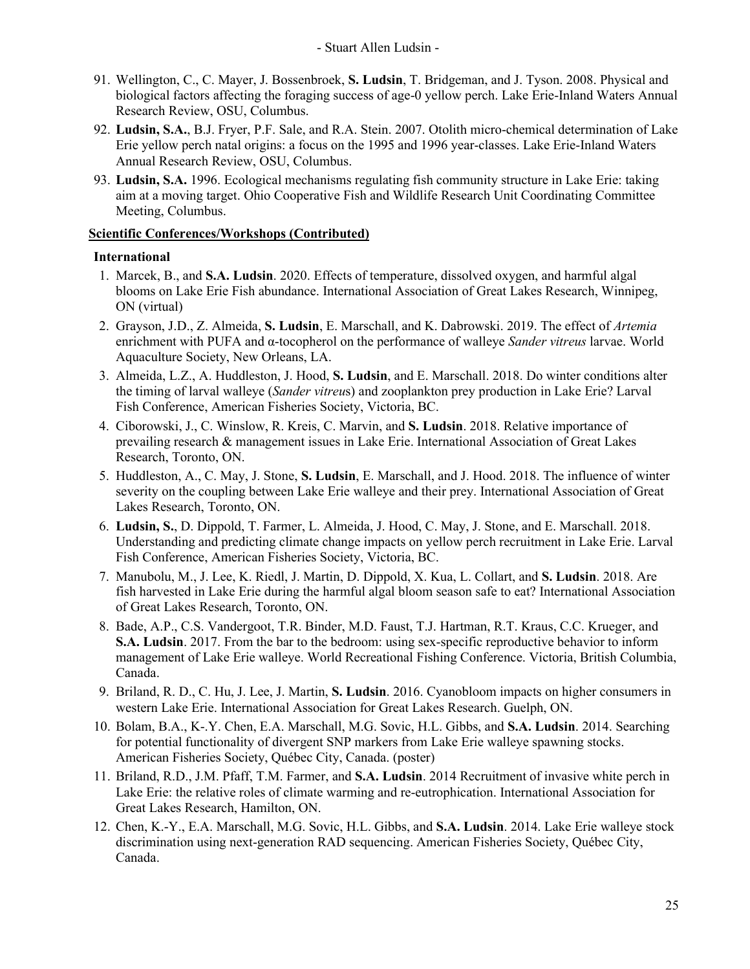- 91. Wellington, C., C. Mayer, J. Bossenbroek, **S. Ludsin**, T. Bridgeman, and J. Tyson. 2008. Physical and biological factors affecting the foraging success of age-0 yellow perch. Lake Erie-Inland Waters Annual Research Review, OSU, Columbus.
- 92. **Ludsin, S.A.**, B.J. Fryer, P.F. Sale, and R.A. Stein. 2007. Otolith micro-chemical determination of Lake Erie yellow perch natal origins: a focus on the 1995 and 1996 year-classes. Lake Erie-Inland Waters Annual Research Review, OSU, Columbus.
- 93. **Ludsin, S.A.** 1996. Ecological mechanisms regulating fish community structure in Lake Erie: taking aim at a moving target. Ohio Cooperative Fish and Wildlife Research Unit Coordinating Committee Meeting, Columbus.

## **Scientific Conferences/Workshops (Contributed)**

### **International**

- 1. Marcek, B., and **S.A. Ludsin**. 2020. Effects of temperature, dissolved oxygen, and harmful algal blooms on Lake Erie Fish abundance. International Association of Great Lakes Research, Winnipeg, ON (virtual)
- 2. Grayson, J.D., Z. Almeida, **S. Ludsin**, E. Marschall, and K. Dabrowski. 2019. The effect of *Artemia*  enrichment with PUFA and α-tocopherol on the performance of walleye *Sander vitreus* larvae. World Aquaculture Society, New Orleans, LA.
- 3. Almeida, L.Z., A. Huddleston, J. Hood, **S. Ludsin**, and E. Marschall. 2018. Do winter conditions alter the timing of larval walleye (*Sander vitreu*s) and zooplankton prey production in Lake Erie? Larval Fish Conference, American Fisheries Society, Victoria, BC.
- 4. Ciborowski, J., C. Winslow, R. Kreis, C. Marvin, and **S. Ludsin**. 2018. Relative importance of prevailing research & management issues in Lake Erie. International Association of Great Lakes Research, Toronto, ON.
- 5. Huddleston, A., C. May, J. Stone, **S. Ludsin**, E. Marschall, and J. Hood. 2018. The influence of winter severity on the coupling between Lake Erie walleye and their prey. International Association of Great Lakes Research, Toronto, ON.
- 6. **Ludsin, S.**, D. Dippold, T. Farmer, L. Almeida, J. Hood, C. May, J. Stone, and E. Marschall. 2018. Understanding and predicting climate change impacts on yellow perch recruitment in Lake Erie. Larval Fish Conference, American Fisheries Society, Victoria, BC.
- 7. Manubolu, M., J. Lee, K. Riedl, J. Martin, D. Dippold, X. Kua, L. Collart, and **S. Ludsin**. 2018. Are fish harvested in Lake Erie during the harmful algal bloom season safe to eat? International Association of Great Lakes Research, Toronto, ON.
- 8. Bade, A.P., C.S. Vandergoot, T.R. Binder, M.D. Faust, T.J. Hartman, R.T. Kraus, C.C. Krueger, and **S.A. Ludsin**. 2017. From the bar to the bedroom: using sex-specific reproductive behavior to inform management of Lake Erie walleye. World Recreational Fishing Conference. Victoria, British Columbia, Canada.
- 9. Briland, R. D., C. Hu, J. Lee, J. Martin, **S. Ludsin**. 2016. Cyanobloom impacts on higher consumers in western Lake Erie. International Association for Great Lakes Research. Guelph, ON.
- 10. Bolam, B.A., K-.Y. Chen, E.A. Marschall, M.G. Sovic, H.L. Gibbs, and **S.A. Ludsin**. 2014. Searching for potential functionality of divergent SNP markers from Lake Erie walleye spawning stocks. American Fisheries Society, Québec City, Canada. (poster)
- 11. Briland, R.D., J.M. Pfaff, T.M. Farmer, and **S.A. Ludsin**. 2014 Recruitment of invasive white perch in Lake Erie: the relative roles of climate warming and re-eutrophication. International Association for Great Lakes Research, Hamilton, ON.
- 12. Chen, K.-Y., E.A. Marschall, M.G. Sovic, H.L. Gibbs, and **S.A. Ludsin**. 2014. Lake Erie walleye stock discrimination using next-generation RAD sequencing. American Fisheries Society, Québec City, Canada.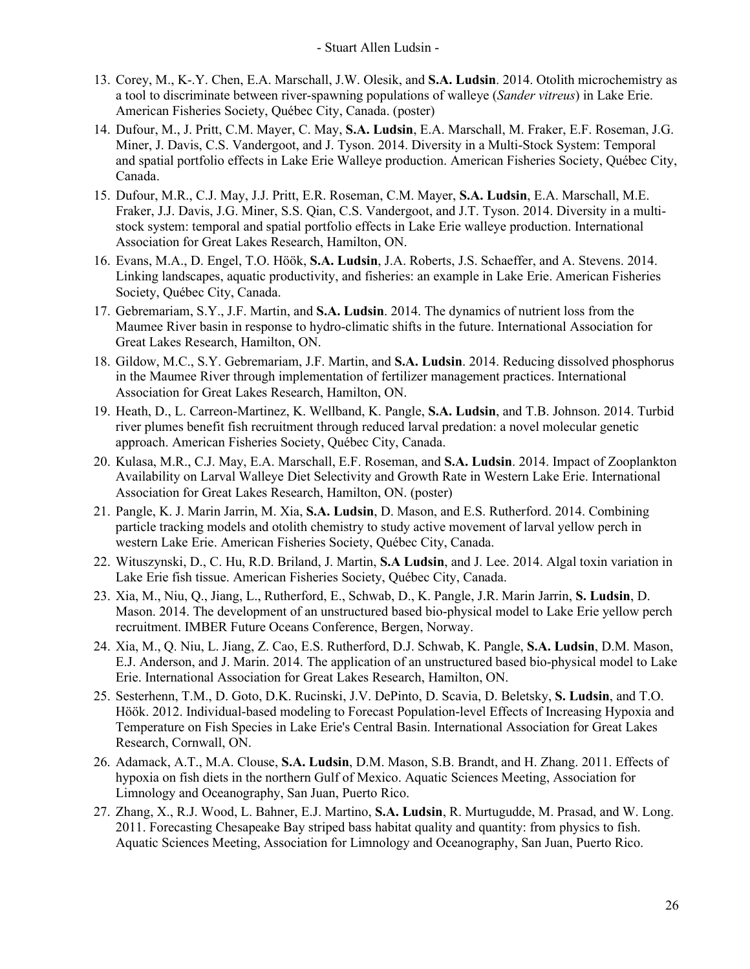- 13. Corey, M., K-.Y. Chen, E.A. Marschall, J.W. Olesik, and **S.A. Ludsin**. 2014. Otolith microchemistry as a tool to discriminate between river-spawning populations of walleye (*Sander vitreus*) in Lake Erie. American Fisheries Society, Québec City, Canada. (poster)
- 14. Dufour, M., J. Pritt, C.M. Mayer, C. May, **S.A. Ludsin**, E.A. Marschall, M. Fraker, E.F. Roseman, J.G. Miner, J. Davis, C.S. Vandergoot, and J. Tyson. 2014. Diversity in a Multi-Stock System: Temporal and spatial portfolio effects in Lake Erie Walleye production. American Fisheries Society, Québec City, Canada.
- 15. Dufour, M.R., C.J. May, J.J. Pritt, E.R. Roseman, C.M. Mayer, **S.A. Ludsin**, E.A. Marschall, M.E. Fraker, J.J. Davis, J.G. Miner, S.S. Qian, C.S. Vandergoot, and J.T. Tyson. 2014. Diversity in a multistock system: temporal and spatial portfolio effects in Lake Erie walleye production. International Association for Great Lakes Research, Hamilton, ON.
- 16. Evans, M.A., D. Engel, T.O. Höök, **S.A. Ludsin**, J.A. Roberts, J.S. Schaeffer, and A. Stevens. 2014. Linking landscapes, aquatic productivity, and fisheries: an example in Lake Erie. American Fisheries Society, Québec City, Canada.
- 17. Gebremariam, S.Y., J.F. Martin, and **S.A. Ludsin**. 2014. The dynamics of nutrient loss from the Maumee River basin in response to hydro-climatic shifts in the future. International Association for Great Lakes Research, Hamilton, ON.
- 18. Gildow, M.C., S.Y. Gebremariam, J.F. Martin, and **S.A. Ludsin**. 2014. Reducing dissolved phosphorus in the Maumee River through implementation of fertilizer management practices. International Association for Great Lakes Research, Hamilton, ON.
- 19. Heath, D., L. Carreon-Martinez, K. Wellband, K. Pangle, **S.A. Ludsin**, and T.B. Johnson. 2014. Turbid river plumes benefit fish recruitment through reduced larval predation: a novel molecular genetic approach. American Fisheries Society, Québec City, Canada.
- 20. Kulasa, M.R., C.J. May, E.A. Marschall, E.F. Roseman, and **S.A. Ludsin**. 2014. Impact of Zooplankton Availability on Larval Walleye Diet Selectivity and Growth Rate in Western Lake Erie. International Association for Great Lakes Research, Hamilton, ON. (poster)
- 21. Pangle, K. J. Marin Jarrin, M. Xia, **S.A. Ludsin**, D. Mason, and E.S. Rutherford. 2014. Combining particle tracking models and otolith chemistry to study active movement of larval yellow perch in western Lake Erie. American Fisheries Society, Québec City, Canada.
- 22. Wituszynski, D., C. Hu, R.D. Briland, J. Martin, **S.A Ludsin**, and J. Lee. 2014. Algal toxin variation in Lake Erie fish tissue. American Fisheries Society, Québec City, Canada.
- 23. Xia, M., Niu, Q., Jiang, L., Rutherford, E., Schwab, D., K. Pangle, J.R. Marin Jarrin, **S. Ludsin**, D. Mason. 2014. The development of an unstructured based bio-physical model to Lake Erie yellow perch recruitment. IMBER Future Oceans Conference, Bergen, Norway.
- 24. Xia, M., Q. Niu, L. Jiang, Z. Cao, E.S. Rutherford, D.J. Schwab, K. Pangle, **S.A. Ludsin**, D.M. Mason, E.J. Anderson, and J. Marin. 2014. The application of an unstructured based bio-physical model to Lake Erie. International Association for Great Lakes Research, Hamilton, ON.
- 25. Sesterhenn, T.M., D. Goto, D.K. Rucinski, J.V. DePinto, D. Scavia, D. Beletsky, **S. Ludsin**, and T.O. Höök. 2012. Individual-based modeling to Forecast Population-level Effects of Increasing Hypoxia and Temperature on Fish Species in Lake Erie's Central Basin. International Association for Great Lakes Research, Cornwall, ON.
- 26. Adamack, A.T., M.A. Clouse, **S.A. Ludsin**, D.M. Mason, S.B. Brandt, and H. Zhang. 2011. Effects of hypoxia on fish diets in the northern Gulf of Mexico. Aquatic Sciences Meeting, Association for Limnology and Oceanography, San Juan, Puerto Rico.
- 27. Zhang, X., R.J. Wood, L. Bahner, E.J. Martino, **S.A. Ludsin**, R. Murtugudde, M. Prasad, and W. Long. 2011. Forecasting Chesapeake Bay striped bass habitat quality and quantity: from physics to fish. Aquatic Sciences Meeting, Association for Limnology and Oceanography, San Juan, Puerto Rico.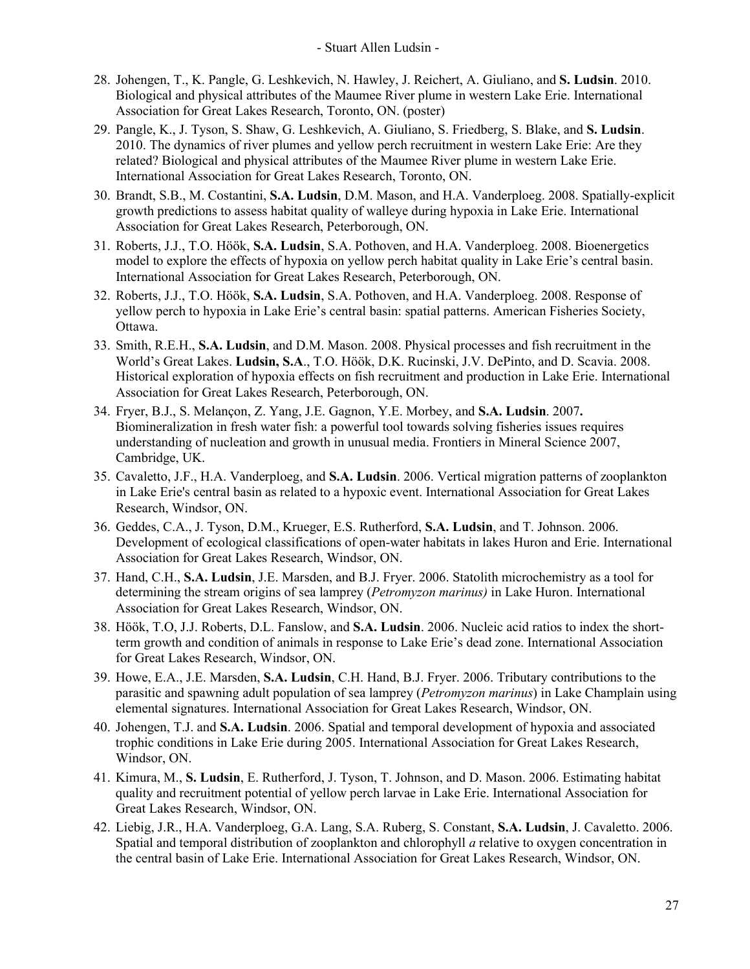- 28. Johengen, T., K. Pangle, G. Leshkevich, N. Hawley, J. Reichert, A. Giuliano, and **S. Ludsin**. 2010. Biological and physical attributes of the Maumee River plume in western Lake Erie. International Association for Great Lakes Research, Toronto, ON. (poster)
- 29. Pangle, K., J. Tyson, S. Shaw, G. Leshkevich, A. Giuliano, S. Friedberg, S. Blake, and **S. Ludsin**. 2010. The dynamics of river plumes and yellow perch recruitment in western Lake Erie: Are they related? Biological and physical attributes of the Maumee River plume in western Lake Erie. International Association for Great Lakes Research, Toronto, ON.
- 30. Brandt, S.B., M. Costantini, **S.A. Ludsin**, D.M. Mason, and H.A. Vanderploeg. 2008. Spatially-explicit growth predictions to assess habitat quality of walleye during hypoxia in Lake Erie. International Association for Great Lakes Research, Peterborough, ON.
- 31. Roberts, J.J., T.O. Höök, **S.A. Ludsin**, S.A. Pothoven, and H.A. Vanderploeg. 2008. Bioenergetics model to explore the effects of hypoxia on yellow perch habitat quality in Lake Erie's central basin. International Association for Great Lakes Research, Peterborough, ON.
- 32. Roberts, J.J., T.O. Höök, **S.A. Ludsin**, S.A. Pothoven, and H.A. Vanderploeg. 2008. Response of yellow perch to hypoxia in Lake Erie's central basin: spatial patterns. American Fisheries Society, Ottawa.
- 33. Smith, R.E.H., **S.A. Ludsin**, and D.M. Mason. 2008. Physical processes and fish recruitment in the World's Great Lakes. **Ludsin, S.A**., T.O. Höök, D.K. Rucinski, J.V. DePinto, and D. Scavia. 2008. Historical exploration of hypoxia effects on fish recruitment and production in Lake Erie. International Association for Great Lakes Research, Peterborough, ON.
- 34. Fryer, B.J., S. Melançon, Z. Yang, J.E. Gagnon, Y.E. Morbey, and **S.A. Ludsin**. 2007**.**  Biomineralization in fresh water fish: a powerful tool towards solving fisheries issues requires understanding of nucleation and growth in unusual media. Frontiers in Mineral Science 2007, Cambridge, UK.
- 35. Cavaletto, J.F., H.A. Vanderploeg, and **S.A. Ludsin**. 2006. Vertical migration patterns of zooplankton in Lake Erie's central basin as related to a hypoxic event. International Association for Great Lakes Research, Windsor, ON.
- 36. Geddes, C.A., J. Tyson, D.M., Krueger, E.S. Rutherford, **S.A. Ludsin**, and T. Johnson. 2006. Development of ecological classifications of open-water habitats in lakes Huron and Erie. International Association for Great Lakes Research, Windsor, ON.
- 37. Hand, C.H., **S.A. Ludsin**, J.E. Marsden, and B.J. Fryer. 2006. Statolith microchemistry as a tool for determining the stream origins of sea lamprey (*Petromyzon marinus)* in Lake Huron. International Association for Great Lakes Research, Windsor, ON.
- 38. Höök, T.O, J.J. Roberts, D.L. Fanslow, and **S.A. Ludsin**. 2006. Nucleic acid ratios to index the shortterm growth and condition of animals in response to Lake Erie's dead zone. International Association for Great Lakes Research, Windsor, ON.
- 39. Howe, E.A., J.E. Marsden, **S.A. Ludsin**, C.H. Hand, B.J. Fryer. 2006. Tributary contributions to the parasitic and spawning adult population of sea lamprey (*Petromyzon marinus*) in Lake Champlain using elemental signatures. International Association for Great Lakes Research, Windsor, ON.
- 40. Johengen, T.J. and **S.A. Ludsin**. 2006. Spatial and temporal development of hypoxia and associated trophic conditions in Lake Erie during 2005. International Association for Great Lakes Research, Windsor, ON.
- 41. Kimura, M., **S. Ludsin**, E. Rutherford, J. Tyson, T. Johnson, and D. Mason. 2006. Estimating habitat quality and recruitment potential of yellow perch larvae in Lake Erie. International Association for Great Lakes Research, Windsor, ON.
- 42. Liebig, J.R., H.A. Vanderploeg, G.A. Lang, S.A. Ruberg, S. Constant, **S.A. Ludsin**, J. Cavaletto. 2006. Spatial and temporal distribution of zooplankton and chlorophyll *a* relative to oxygen concentration in the central basin of Lake Erie. International Association for Great Lakes Research, Windsor, ON.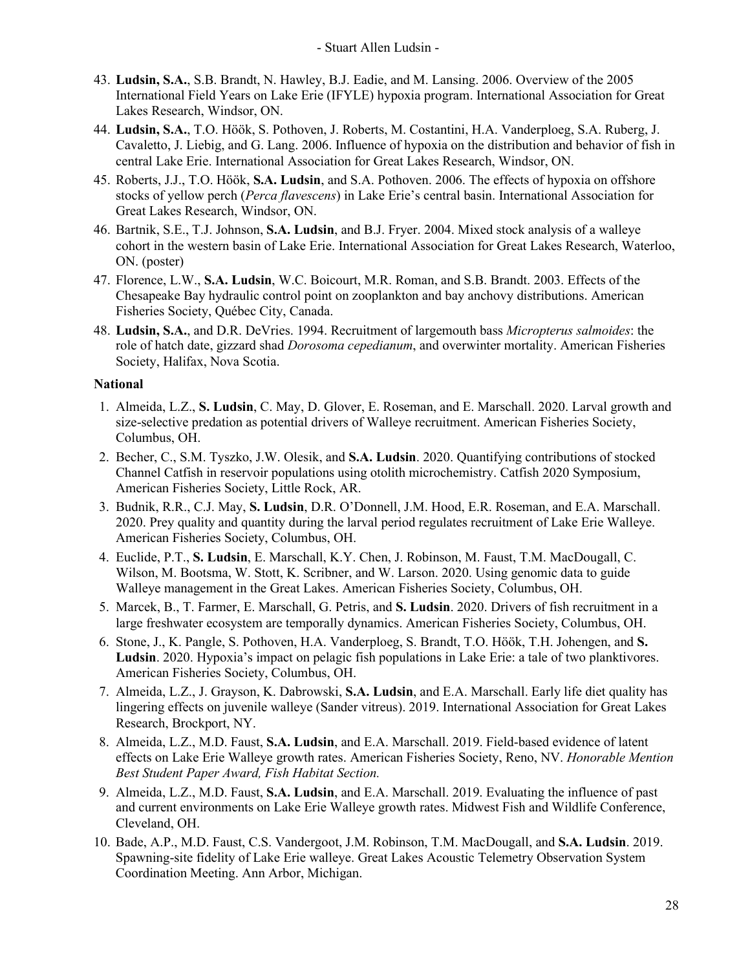- 43. **Ludsin, S.A.**, S.B. Brandt, N. Hawley, B.J. Eadie, and M. Lansing. 2006. Overview of the 2005 International Field Years on Lake Erie (IFYLE) hypoxia program. International Association for Great Lakes Research, Windsor, ON.
- 44. **Ludsin, S.A.**, T.O. Höök, S. Pothoven, J. Roberts, M. Costantini, H.A. Vanderploeg, S.A. Ruberg, J. Cavaletto, J. Liebig, and G. Lang. 2006. Influence of hypoxia on the distribution and behavior of fish in central Lake Erie. International Association for Great Lakes Research, Windsor, ON.
- 45. Roberts, J.J., T.O. Höök, **S.A. Ludsin**, and S.A. Pothoven. 2006. The effects of hypoxia on offshore stocks of yellow perch (*Perca flavescens*) in Lake Erie's central basin. International Association for Great Lakes Research, Windsor, ON.
- 46. Bartnik, S.E., T.J. Johnson, **S.A. Ludsin**, and B.J. Fryer. 2004. Mixed stock analysis of a walleye cohort in the western basin of Lake Erie. International Association for Great Lakes Research, Waterloo, ON. (poster)
- 47. Florence, L.W., **S.A. Ludsin**, W.C. Boicourt, M.R. Roman, and S.B. Brandt. 2003. Effects of the Chesapeake Bay hydraulic control point on zooplankton and bay anchovy distributions. American Fisheries Society, Québec City, Canada.
- 48. **Ludsin, S.A.**, and D.R. DeVries. 1994. Recruitment of largemouth bass *Micropterus salmoides*: the role of hatch date, gizzard shad *Dorosoma cepedianum*, and overwinter mortality. American Fisheries Society, Halifax, Nova Scotia.

## **National**

- 1. Almeida, L.Z., **S. Ludsin**, C. May, D. Glover, E. Roseman, and E. Marschall. 2020. Larval growth and size-selective predation as potential drivers of Walleye recruitment. American Fisheries Society, Columbus, OH.
- 2. Becher, C., S.M. Tyszko, J.W. Olesik, and **S.A. Ludsin**. 2020. Quantifying contributions of stocked Channel Catfish in reservoir populations using otolith microchemistry. Catfish 2020 Symposium, American Fisheries Society, Little Rock, AR.
- 3. Budnik, R.R., C.J. May, **S. Ludsin**, D.R. O'Donnell, J.M. Hood, E.R. Roseman, and E.A. Marschall. 2020. Prey quality and quantity during the larval period regulates recruitment of Lake Erie Walleye. American Fisheries Society, Columbus, OH.
- 4. Euclide, P.T., **S. Ludsin**, E. Marschall, K.Y. Chen, J. Robinson, M. Faust, T.M. MacDougall, C. Wilson, M. Bootsma, W. Stott, K. Scribner, and W. Larson. 2020. Using genomic data to guide Walleye management in the Great Lakes. American Fisheries Society, Columbus, OH.
- 5. Marcek, B., T. Farmer, E. Marschall, G. Petris, and **S. Ludsin**. 2020. Drivers of fish recruitment in a large freshwater ecosystem are temporally dynamics. American Fisheries Society, Columbus, OH.
- 6. Stone, J., K. Pangle, S. Pothoven, H.A. Vanderploeg, S. Brandt, T.O. Höök, T.H. Johengen, and **S. Ludsin**. 2020. Hypoxia's impact on pelagic fish populations in Lake Erie: a tale of two planktivores. American Fisheries Society, Columbus, OH.
- 7. Almeida, L.Z., J. Grayson, K. Dabrowski, **S.A. Ludsin**, and E.A. Marschall. Early life diet quality has lingering effects on juvenile walleye (Sander vitreus). 2019. International Association for Great Lakes Research, Brockport, NY.
- 8. Almeida, L.Z., M.D. Faust, **S.A. Ludsin**, and E.A. Marschall. 2019. Field-based evidence of latent effects on Lake Erie Walleye growth rates. American Fisheries Society, Reno, NV. *Honorable Mention Best Student Paper Award, Fish Habitat Section.*
- 9. Almeida, L.Z., M.D. Faust, **S.A. Ludsin**, and E.A. Marschall. 2019. Evaluating the influence of past and current environments on Lake Erie Walleye growth rates. Midwest Fish and Wildlife Conference, Cleveland, OH.
- 10. Bade, A.P., M.D. Faust, C.S. Vandergoot, J.M. Robinson, T.M. MacDougall, and **S.A. Ludsin**. 2019. Spawning-site fidelity of Lake Erie walleye. Great Lakes Acoustic Telemetry Observation System Coordination Meeting. Ann Arbor, Michigan.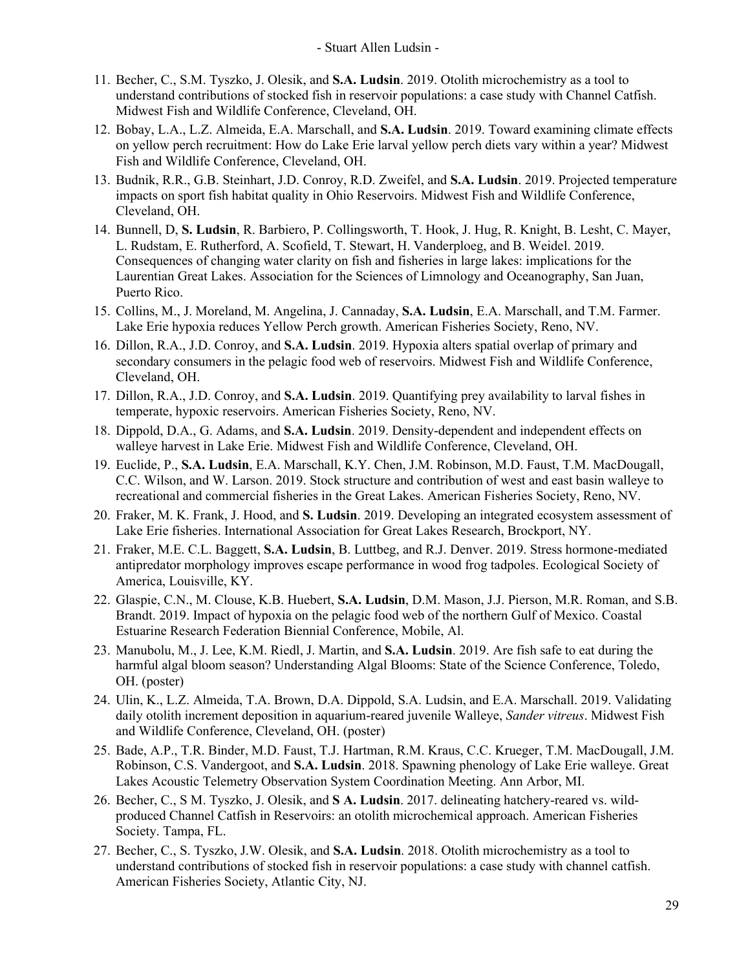- 11. Becher, C., S.M. Tyszko, J. Olesik, and **S.A. Ludsin**. 2019. Otolith microchemistry as a tool to understand contributions of stocked fish in reservoir populations: a case study with Channel Catfish. Midwest Fish and Wildlife Conference, Cleveland, OH.
- 12. Bobay, L.A., L.Z. Almeida, E.A. Marschall, and **S.A. Ludsin**. 2019. Toward examining climate effects on yellow perch recruitment: How do Lake Erie larval yellow perch diets vary within a year? Midwest Fish and Wildlife Conference, Cleveland, OH.
- 13. Budnik, R.R., G.B. Steinhart, J.D. Conroy, R.D. Zweifel, and **S.A. Ludsin**. 2019. Projected temperature impacts on sport fish habitat quality in Ohio Reservoirs. Midwest Fish and Wildlife Conference, Cleveland, OH.
- 14. Bunnell, D, **S. Ludsin**, R. Barbiero, P. Collingsworth, T. Hook, J. Hug, R. Knight, B. Lesht, C. Mayer, L. Rudstam, E. Rutherford, A. Scofield, T. Stewart, H. Vanderploeg, and B. Weidel. 2019. Consequences of changing water clarity on fish and fisheries in large lakes: implications for the Laurentian Great Lakes. Association for the Sciences of Limnology and Oceanography, San Juan, Puerto Rico.
- 15. Collins, M., J. Moreland, M. Angelina, J. Cannaday, **S.A. Ludsin**, E.A. Marschall, and T.M. Farmer. Lake Erie hypoxia reduces Yellow Perch growth. American Fisheries Society, Reno, NV.
- 16. Dillon, R.A., J.D. Conroy, and **S.A. Ludsin**. 2019. Hypoxia alters spatial overlap of primary and secondary consumers in the pelagic food web of reservoirs. Midwest Fish and Wildlife Conference, Cleveland, OH.
- 17. Dillon, R.A., J.D. Conroy, and **S.A. Ludsin**. 2019. Quantifying prey availability to larval fishes in temperate, hypoxic reservoirs. American Fisheries Society, Reno, NV.
- 18. Dippold, D.A., G. Adams, and **S.A. Ludsin**. 2019. Density-dependent and independent effects on walleye harvest in Lake Erie. Midwest Fish and Wildlife Conference, Cleveland, OH.
- 19. Euclide, P., **S.A. Ludsin**, E.A. Marschall, K.Y. Chen, J.M. Robinson, M.D. Faust, T.M. MacDougall, C.C. Wilson, and W. Larson. 2019. Stock structure and contribution of west and east basin walleye to recreational and commercial fisheries in the Great Lakes. American Fisheries Society, Reno, NV.
- 20. Fraker, M. K. Frank, J. Hood, and **S. Ludsin**. 2019. Developing an integrated ecosystem assessment of Lake Erie fisheries. International Association for Great Lakes Research, Brockport, NY.
- 21. Fraker, M.E. C.L. Baggett, **S.A. Ludsin**, B. Luttbeg, and R.J. Denver. 2019. Stress hormone-mediated antipredator morphology improves escape performance in wood frog tadpoles. Ecological Society of America, Louisville, KY.
- 22. Glaspie, C.N., M. Clouse, K.B. Huebert, **S.A. Ludsin**, D.M. Mason, J.J. Pierson, M.R. Roman, and S.B. Brandt. 2019. Impact of hypoxia on the pelagic food web of the northern Gulf of Mexico. Coastal Estuarine Research Federation Biennial Conference, Mobile, Al.
- 23. Manubolu, M., J. Lee, K.M. Riedl, J. Martin, and **S.A. Ludsin**. 2019. Are fish safe to eat during the harmful algal bloom season? Understanding Algal Blooms: State of the Science Conference, Toledo, OH. (poster)
- 24. Ulin, K., L.Z. Almeida, T.A. Brown, D.A. Dippold, S.A. Ludsin, and E.A. Marschall. 2019. Validating daily otolith increment deposition in aquarium-reared juvenile Walleye, *Sander vitreus*. Midwest Fish and Wildlife Conference, Cleveland, OH. (poster)
- 25. Bade, A.P., T.R. Binder, M.D. Faust, T.J. Hartman, R.M. Kraus, C.C. Krueger, T.M. MacDougall, J.M. Robinson, C.S. Vandergoot, and **S.A. Ludsin**. 2018. Spawning phenology of Lake Erie walleye. Great Lakes Acoustic Telemetry Observation System Coordination Meeting. Ann Arbor, MI.
- 26. Becher, C., S M. Tyszko, J. Olesik, and **S A. Ludsin**. 2017. delineating hatchery-reared vs. wildproduced Channel Catfish in Reservoirs: an otolith microchemical approach. American Fisheries Society. Tampa, FL.
- 27. Becher, C., S. Tyszko, J.W. Olesik, and **S.A. Ludsin**. 2018. Otolith microchemistry as a tool to understand contributions of stocked fish in reservoir populations: a case study with channel catfish. American Fisheries Society, Atlantic City, NJ.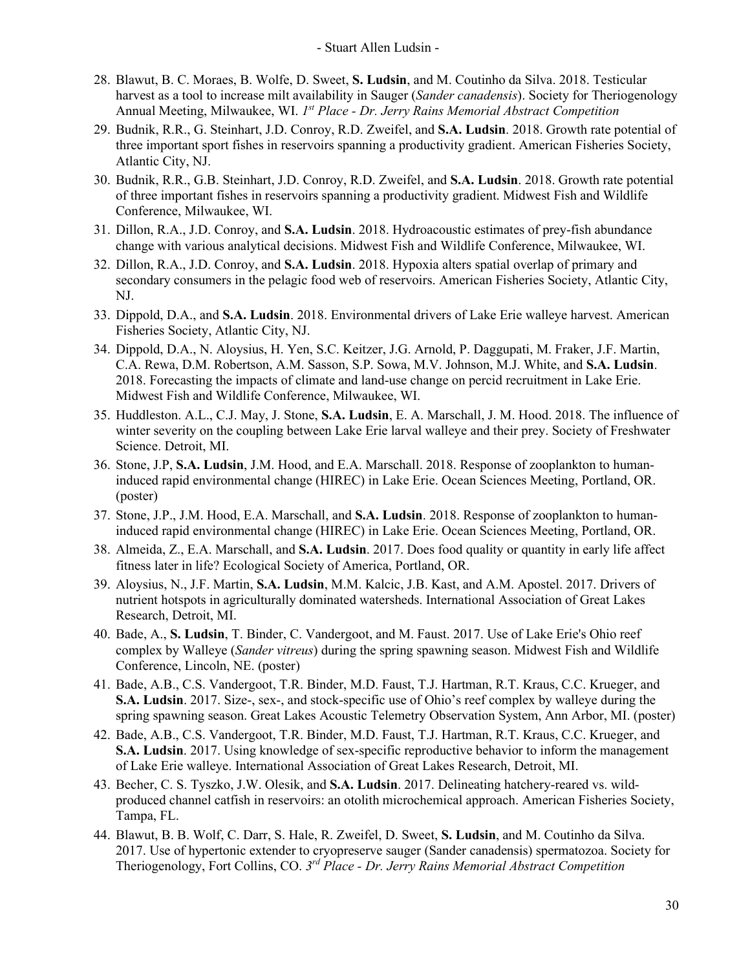- 28. Blawut, B. C. Moraes, B. Wolfe, D. Sweet, **S. Ludsin**, and M. Coutinho da Silva. 2018. Testicular harvest as a tool to increase milt availability in Sauger (*Sander canadensis*). Society for Theriogenology Annual Meeting, Milwaukee, WI. *1st Place - Dr. Jerry Rains Memorial Abstract Competition*
- 29. Budnik, R.R., G. Steinhart, J.D. Conroy, R.D. Zweifel, and **S.A. Ludsin**. 2018. Growth rate potential of three important sport fishes in reservoirs spanning a productivity gradient. American Fisheries Society, Atlantic City, NJ.
- 30. Budnik, R.R., G.B. Steinhart, J.D. Conroy, R.D. Zweifel, and **S.A. Ludsin**. 2018. Growth rate potential of three important fishes in reservoirs spanning a productivity gradient. Midwest Fish and Wildlife Conference, Milwaukee, WI.
- 31. Dillon, R.A., J.D. Conroy, and **S.A. Ludsin**. 2018. Hydroacoustic estimates of prey-fish abundance change with various analytical decisions. Midwest Fish and Wildlife Conference, Milwaukee, WI.
- 32. Dillon, R.A., J.D. Conroy, and **S.A. Ludsin**. 2018. Hypoxia alters spatial overlap of primary and secondary consumers in the pelagic food web of reservoirs. American Fisheries Society, Atlantic City, NJ.
- 33. Dippold, D.A., and **S.A. Ludsin**. 2018. Environmental drivers of Lake Erie walleye harvest. American Fisheries Society, Atlantic City, NJ.
- 34. Dippold, D.A., N. Aloysius, H. Yen, S.C. Keitzer, J.G. Arnold, P. Daggupati, M. Fraker, J.F. Martin, C.A. Rewa, D.M. Robertson, A.M. Sasson, S.P. Sowa, M.V. Johnson, M.J. White, and **S.A. Ludsin**. 2018. Forecasting the impacts of climate and land-use change on percid recruitment in Lake Erie. Midwest Fish and Wildlife Conference, Milwaukee, WI.
- 35. Huddleston. A.L., C.J. May, J. Stone, **S.A. Ludsin**, E. A. Marschall, J. M. Hood. 2018. The influence of winter severity on the coupling between Lake Erie larval walleye and their prey. Society of Freshwater Science. Detroit, MI.
- 36. Stone, J.P, **S.A. Ludsin**, J.M. Hood, and E.A. Marschall. 2018. Response of zooplankton to humaninduced rapid environmental change (HIREC) in Lake Erie. Ocean Sciences Meeting, Portland, OR. (poster)
- 37. Stone, J.P., J.M. Hood, E.A. Marschall, and **S.A. Ludsin**. 2018. Response of zooplankton to humaninduced rapid environmental change (HIREC) in Lake Erie. Ocean Sciences Meeting, Portland, OR.
- 38. Almeida, Z., E.A. Marschall, and **S.A. Ludsin**. 2017. Does food quality or quantity in early life affect fitness later in life? Ecological Society of America, Portland, OR.
- 39. Aloysius, N., J.F. Martin, **S.A. Ludsin**, M.M. Kalcic, J.B. Kast, and A.M. Apostel. 2017. Drivers of nutrient hotspots in agriculturally dominated watersheds. International Association of Great Lakes Research, Detroit, MI.
- 40. Bade, A., **S. Ludsin**, T. Binder, C. Vandergoot, and M. Faust. 2017. Use of Lake Erie's Ohio reef complex by Walleye (*Sander vitreus*) during the spring spawning season. Midwest Fish and Wildlife Conference, Lincoln, NE. (poster)
- 41. Bade, A.B., C.S. Vandergoot, T.R. Binder, M.D. Faust, T.J. Hartman, R.T. Kraus, C.C. Krueger, and **S.A. Ludsin**. 2017. Size-, sex-, and stock-specific use of Ohio's reef complex by walleye during the spring spawning season. Great Lakes Acoustic Telemetry Observation System, Ann Arbor, MI. (poster)
- 42. Bade, A.B., C.S. Vandergoot, T.R. Binder, M.D. Faust, T.J. Hartman, R.T. Kraus, C.C. Krueger, and **S.A. Ludsin**. 2017. Using knowledge of sex-specific reproductive behavior to inform the management of Lake Erie walleye. International Association of Great Lakes Research, Detroit, MI.
- 43. Becher, C. S. Tyszko, J.W. Olesik, and **S.A. Ludsin**. 2017. Delineating hatchery-reared vs. wildproduced channel catfish in reservoirs: an otolith microchemical approach. American Fisheries Society, Tampa, FL.
- 44. Blawut, B. B. Wolf, C. Darr, S. Hale, R. Zweifel, D. Sweet, **S. Ludsin**, and M. Coutinho da Silva. 2017. Use of hypertonic extender to cryopreserve sauger (Sander canadensis) spermatozoa. Society for Theriogenology, Fort Collins, CO. *3rd Place - Dr. Jerry Rains Memorial Abstract Competition*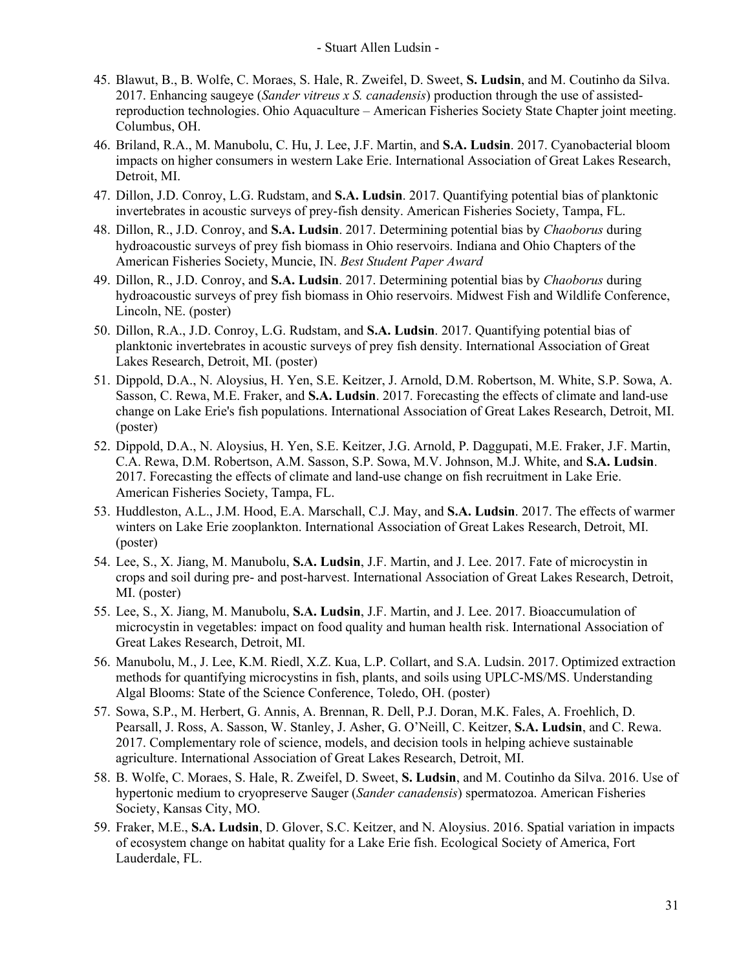- 45. Blawut, B., B. Wolfe, C. Moraes, S. Hale, R. Zweifel, D. Sweet, **S. Ludsin**, and M. Coutinho da Silva. 2017. Enhancing saugeye (*Sander vitreus x S. canadensis*) production through the use of assistedreproduction technologies. Ohio Aquaculture – American Fisheries Society State Chapter joint meeting. Columbus, OH.
- 46. Briland, R.A., M. Manubolu, C. Hu, J. Lee, J.F. Martin, and **S.A. Ludsin**. 2017. Cyanobacterial bloom impacts on higher consumers in western Lake Erie. International Association of Great Lakes Research, Detroit, MI.
- 47. Dillon, J.D. Conroy, L.G. Rudstam, and **S.A. Ludsin**. 2017. Quantifying potential bias of planktonic invertebrates in acoustic surveys of prey-fish density. American Fisheries Society, Tampa, FL.
- 48. Dillon, R., J.D. Conroy, and **S.A. Ludsin**. 2017. Determining potential bias by *Chaoborus* during hydroacoustic surveys of prey fish biomass in Ohio reservoirs. Indiana and Ohio Chapters of the American Fisheries Society, Muncie, IN. *Best Student Paper Award*
- 49. Dillon, R., J.D. Conroy, and **S.A. Ludsin**. 2017. Determining potential bias by *Chaoborus* during hydroacoustic surveys of prey fish biomass in Ohio reservoirs. Midwest Fish and Wildlife Conference, Lincoln, NE. (poster)
- 50. Dillon, R.A., J.D. Conroy, L.G. Rudstam, and **S.A. Ludsin**. 2017. Quantifying potential bias of planktonic invertebrates in acoustic surveys of prey fish density. International Association of Great Lakes Research, Detroit, MI. (poster)
- 51. Dippold, D.A., N. Aloysius, H. Yen, S.E. Keitzer, J. Arnold, D.M. Robertson, M. White, S.P. Sowa, A. Sasson, C. Rewa, M.E. Fraker, and **S.A. Ludsin**. 2017. Forecasting the effects of climate and land-use change on Lake Erie's fish populations. International Association of Great Lakes Research, Detroit, MI. (poster)
- 52. Dippold, D.A., N. Aloysius, H. Yen, S.E. Keitzer, J.G. Arnold, P. Daggupati, M.E. Fraker, J.F. Martin, C.A. Rewa, D.M. Robertson, A.M. Sasson, S.P. Sowa, M.V. Johnson, M.J. White, and **S.A. Ludsin**. 2017. Forecasting the effects of climate and land-use change on fish recruitment in Lake Erie. American Fisheries Society, Tampa, FL.
- 53. Huddleston, A.L., J.M. Hood, E.A. Marschall, C.J. May, and **S.A. Ludsin**. 2017. The effects of warmer winters on Lake Erie zooplankton. International Association of Great Lakes Research, Detroit, MI. (poster)
- 54. Lee, S., X. Jiang, M. Manubolu, **S.A. Ludsin**, J.F. Martin, and J. Lee. 2017. Fate of microcystin in crops and soil during pre- and post-harvest. International Association of Great Lakes Research, Detroit, MI. (poster)
- 55. Lee, S., X. Jiang, M. Manubolu, **S.A. Ludsin**, J.F. Martin, and J. Lee. 2017. Bioaccumulation of microcystin in vegetables: impact on food quality and human health risk. International Association of Great Lakes Research, Detroit, MI.
- 56. Manubolu, M., J. Lee, K.M. Riedl, X.Z. Kua, L.P. Collart, and S.A. Ludsin. 2017. Optimized extraction methods for quantifying microcystins in fish, plants, and soils using UPLC-MS/MS. Understanding Algal Blooms: State of the Science Conference, Toledo, OH. (poster)
- 57. Sowa, S.P., M. Herbert, G. Annis, A. Brennan, R. Dell, P.J. Doran, M.K. Fales, A. Froehlich, D. Pearsall, J. Ross, A. Sasson, W. Stanley, J. Asher, G. O'Neill, C. Keitzer, **S.A. Ludsin**, and C. Rewa. 2017. Complementary role of science, models, and decision tools in helping achieve sustainable agriculture. International Association of Great Lakes Research, Detroit, MI.
- 58. B. Wolfe, C. Moraes, S. Hale, R. Zweifel, D. Sweet, **S. Ludsin**, and M. Coutinho da Silva. 2016. Use of hypertonic medium to cryopreserve Sauger (*Sander canadensis*) spermatozoa. American Fisheries Society, Kansas City, MO.
- 59. Fraker, M.E., **S.A. Ludsin**, D. Glover, S.C. Keitzer, and N. Aloysius. 2016. Spatial variation in impacts of ecosystem change on habitat quality for a Lake Erie fish. Ecological Society of America, Fort Lauderdale, FL.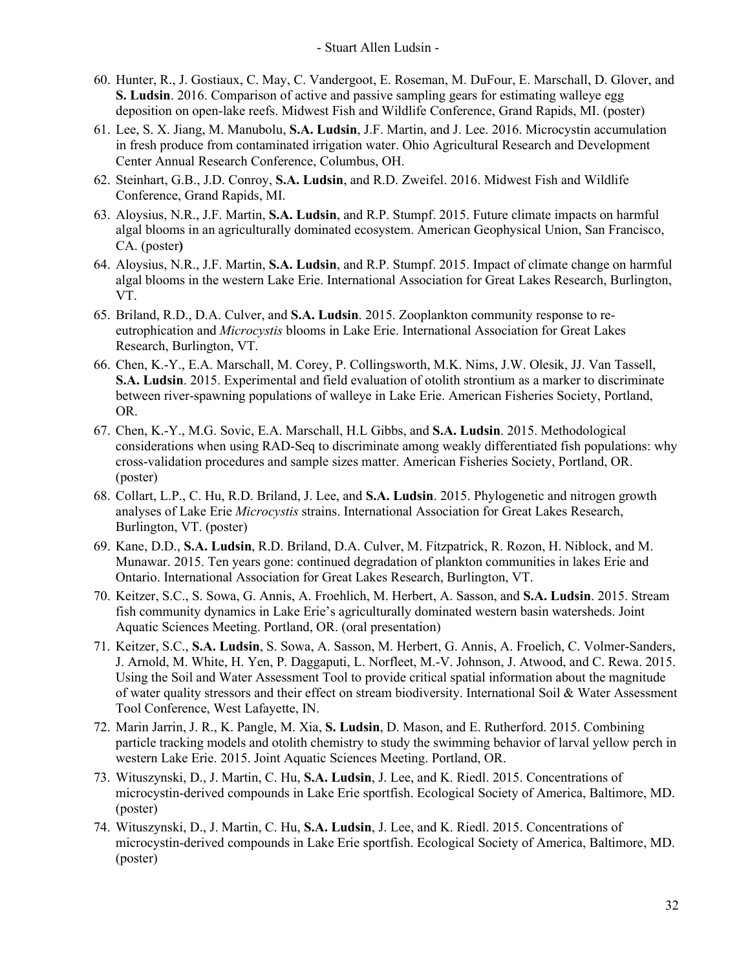- 60. Hunter, R., J. Gostiaux, C. May, C. Vandergoot, E. Roseman, M. DuFour, E. Marschall, D. Glover, and **S. Ludsin**. 2016. Comparison of active and passive sampling gears for estimating walleye egg deposition on open-lake reefs. Midwest Fish and Wildlife Conference, Grand Rapids, MI. (poster)
- 61. Lee, S. X. Jiang, M. Manubolu, **S.A. Ludsin**, J.F. Martin, and J. Lee. 2016. Microcystin accumulation in fresh produce from contaminated irrigation water. Ohio Agricultural Research and Development Center Annual Research Conference, Columbus, OH.
- 62. Steinhart, G.B., J.D. Conroy, **S.A. Ludsin**, and R.D. Zweifel. 2016. Midwest Fish and Wildlife Conference, Grand Rapids, MI.
- 63. Aloysius, N.R., J.F. Martin, **S.A. Ludsin**, and R.P. Stumpf. 2015. Future climate impacts on harmful algal blooms in an agriculturally dominated ecosystem. American Geophysical Union, San Francisco, CA. (poster**)**
- 64. Aloysius, N.R., J.F. Martin, **S.A. Ludsin**, and R.P. Stumpf. 2015. Impact of climate change on harmful algal blooms in the western Lake Erie. International Association for Great Lakes Research, Burlington, VT.
- 65. Briland, R.D., D.A. Culver, and **S.A. Ludsin**. 2015. Zooplankton community response to reeutrophication and *Microcystis* blooms in Lake Erie. International Association for Great Lakes Research, Burlington, VT.
- 66. Chen, K.-Y., E.A. Marschall, M. Corey, P. Collingsworth, M.K. Nims, J.W. Olesik, JJ. Van Tassell, **S.A. Ludsin**. 2015. Experimental and field evaluation of otolith strontium as a marker to discriminate between river-spawning populations of walleye in Lake Erie. American Fisheries Society, Portland, OR.
- 67. Chen, K.-Y., M.G. Sovic, E.A. Marschall, H.L Gibbs, and **S.A. Ludsin**. 2015. Methodological considerations when using RAD-Seq to discriminate among weakly differentiated fish populations: why cross-validation procedures and sample sizes matter. American Fisheries Society, Portland, OR. (poster)
- 68. Collart, L.P., C. Hu, R.D. Briland, J. Lee, and **S.A. Ludsin**. 2015. Phylogenetic and nitrogen growth analyses of Lake Erie *Microcystis* strains. International Association for Great Lakes Research, Burlington, VT. (poster)
- 69. Kane, D.D., **S.A. Ludsin**, R.D. Briland, D.A. Culver, M. Fitzpatrick, R. Rozon, H. Niblock, and M. Munawar. 2015. Ten years gone: continued degradation of plankton communities in lakes Erie and Ontario. International Association for Great Lakes Research, Burlington, VT.
- 70. Keitzer, S.C., S. Sowa, G. Annis, A. Froehlich, M. Herbert, A. Sasson, and **S.A. Ludsin**. 2015. Stream fish community dynamics in Lake Erie's agriculturally dominated western basin watersheds. Joint Aquatic Sciences Meeting. Portland, OR. (oral presentation)
- 71. Keitzer, S.C., **S.A. Ludsin**, S. Sowa, A. Sasson, M. Herbert, G. Annis, A. Froelich, C. Volmer-Sanders, J. Arnold, M. White, H. Yen, P. Daggaputi, L. Norfleet, M.-V. Johnson, J. Atwood, and C. Rewa. 2015. Using the Soil and Water Assessment Tool to provide critical spatial information about the magnitude of water quality stressors and their effect on stream biodiversity. International Soil & Water Assessment Tool Conference, West Lafayette, IN.
- 72. Marin Jarrin, J. R., K. Pangle, M. Xia, **S. Ludsin**, D. Mason, and E. Rutherford. 2015. Combining particle tracking models and otolith chemistry to study the swimming behavior of larval yellow perch in western Lake Erie. 2015. Joint Aquatic Sciences Meeting. Portland, OR.
- 73. Wituszynski, D., J. Martin, C. Hu, **S.A. Ludsin**, J. Lee, and K. Riedl. 2015. Concentrations of microcystin-derived compounds in Lake Erie sportfish. Ecological Society of America, Baltimore, MD. (poster)
- 74. Wituszynski, D., J. Martin, C. Hu, **S.A. Ludsin**, J. Lee, and K. Riedl. 2015. Concentrations of microcystin-derived compounds in Lake Erie sportfish. Ecological Society of America, Baltimore, MD. (poster)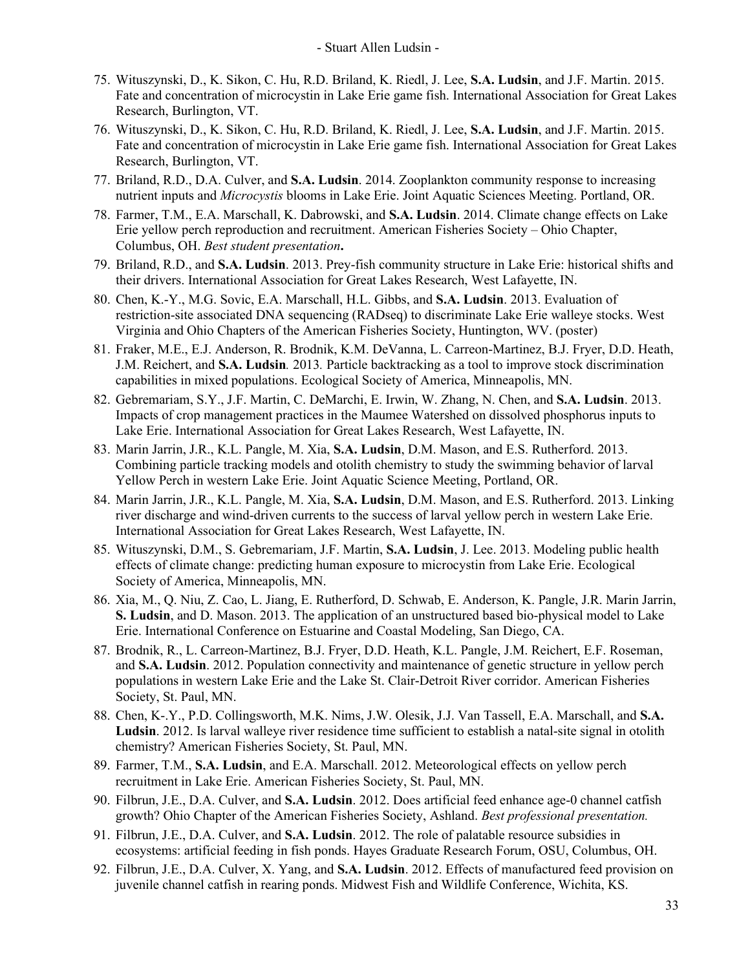- 75. Wituszynski, D., K. Sikon, C. Hu, R.D. Briland, K. Riedl, J. Lee, **S.A. Ludsin**, and J.F. Martin. 2015. Fate and concentration of microcystin in Lake Erie game fish. International Association for Great Lakes Research, Burlington, VT.
- 76. Wituszynski, D., K. Sikon, C. Hu, R.D. Briland, K. Riedl, J. Lee, **S.A. Ludsin**, and J.F. Martin. 2015. Fate and concentration of microcystin in Lake Erie game fish. International Association for Great Lakes Research, Burlington, VT.
- 77. Briland, R.D., D.A. Culver, and **S.A. Ludsin**. 2014. Zooplankton community response to increasing nutrient inputs and *Microcystis* blooms in Lake Erie. Joint Aquatic Sciences Meeting. Portland, OR.
- 78. Farmer, T.M., E.A. Marschall, K. Dabrowski, and **S.A. Ludsin**. 2014. Climate change effects on Lake Erie yellow perch reproduction and recruitment. American Fisheries Society – Ohio Chapter, Columbus, OH. *Best student presentation***.**
- 79. Briland, R.D., and **S.A. Ludsin**. 2013. Prey-fish community structure in Lake Erie: historical shifts and their drivers. International Association for Great Lakes Research, West Lafayette, IN.
- 80. Chen, K.-Y., M.G. Sovic, E.A. Marschall, H.L. Gibbs, and **S.A. Ludsin**. 2013. Evaluation of restriction-site associated DNA sequencing (RADseq) to discriminate Lake Erie walleye stocks. West Virginia and Ohio Chapters of the American Fisheries Society, Huntington, WV. (poster)
- 81. Fraker, M.E., E.J. Anderson, R. Brodnik, K.M. DeVanna, L. Carreon-Martinez, B.J. Fryer, D.D. Heath, J.M. Reichert, and **S.A. Ludsin***.* 2013*.* Particle backtracking as a tool to improve stock discrimination capabilities in mixed populations. Ecological Society of America, Minneapolis, MN.
- 82. Gebremariam, S.Y., J.F. Martin, C. DeMarchi, E. Irwin, W. Zhang, N. Chen, and **S.A. Ludsin**. 2013. Impacts of crop management practices in the Maumee Watershed on dissolved phosphorus inputs to Lake Erie. International Association for Great Lakes Research, West Lafayette, IN.
- 83. Marin Jarrin, J.R., K.L. Pangle, M. Xia, **S.A. Ludsin**, D.M. Mason, and E.S. Rutherford. 2013. Combining particle tracking models and otolith chemistry to study the swimming behavior of larval Yellow Perch in western Lake Erie. Joint Aquatic Science Meeting, Portland, OR.
- 84. Marin Jarrin, J.R., K.L. Pangle, M. Xia, **S.A. Ludsin**, D.M. Mason, and E.S. Rutherford. 2013. Linking river discharge and wind-driven currents to the success of larval yellow perch in western Lake Erie. International Association for Great Lakes Research, West Lafayette, IN.
- 85. Wituszynski, D.M., S. Gebremariam, J.F. Martin, **S.A. Ludsin**, J. Lee. 2013. Modeling public health effects of climate change: predicting human exposure to microcystin from Lake Erie. Ecological Society of America, Minneapolis, MN.
- 86. Xia, M., Q. Niu, Z. Cao, L. Jiang, E. Rutherford, D. Schwab, E. Anderson, K. Pangle, J.R. Marin Jarrin, **S. Ludsin**, and D. Mason. 2013. The application of an unstructured based bio-physical model to Lake Erie. International Conference on Estuarine and Coastal Modeling, San Diego, CA.
- 87. Brodnik, R., L. Carreon-Martinez, B.J. Fryer, D.D. Heath, K.L. Pangle, J.M. Reichert, E.F. Roseman, and **S.A. Ludsin**. 2012. Population connectivity and maintenance of genetic structure in yellow perch populations in western Lake Erie and the Lake St. Clair-Detroit River corridor. American Fisheries Society, St. Paul, MN.
- 88. Chen, K-.Y., P.D. Collingsworth, M.K. Nims, J.W. Olesik, J.J. Van Tassell, E.A. Marschall, and **S.A. Ludsin**. 2012. Is larval walleye river residence time sufficient to establish a natal-site signal in otolith chemistry? American Fisheries Society, St. Paul, MN.
- 89. Farmer, T.M., **S.A. Ludsin**, and E.A. Marschall. 2012. Meteorological effects on yellow perch recruitment in Lake Erie. American Fisheries Society, St. Paul, MN.
- 90. Filbrun, J.E., D.A. Culver, and **S.A. Ludsin**. 2012. Does artificial feed enhance age-0 channel catfish growth? Ohio Chapter of the American Fisheries Society, Ashland. *Best professional presentation.*
- 91. Filbrun, J.E., D.A. Culver, and **S.A. Ludsin**. 2012. The role of palatable resource subsidies in ecosystems: artificial feeding in fish ponds. Hayes Graduate Research Forum, OSU, Columbus, OH.
- 92. Filbrun, J.E., D.A. Culver, X. Yang, and **S.A. Ludsin**. 2012. Effects of manufactured feed provision on juvenile channel catfish in rearing ponds. Midwest Fish and Wildlife Conference, Wichita, KS.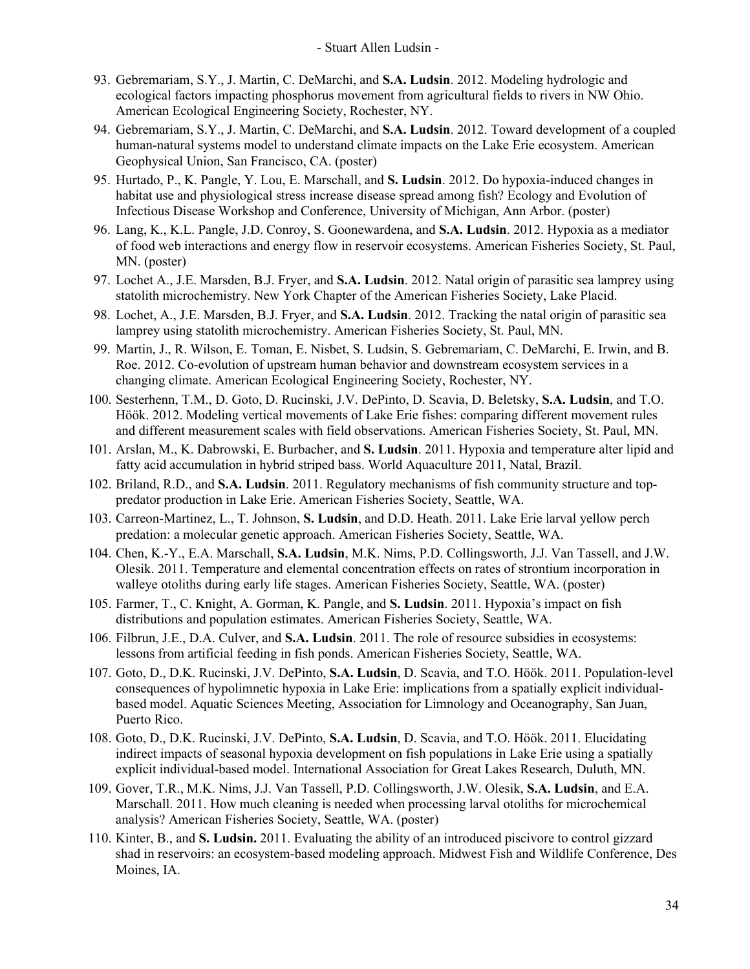- 93. Gebremariam, S.Y., J. Martin, C. DeMarchi, and **S.A. Ludsin**. 2012. Modeling hydrologic and ecological factors impacting phosphorus movement from agricultural fields to rivers in NW Ohio. American Ecological Engineering Society, Rochester, NY.
- 94. Gebremariam, S.Y., J. Martin, C. DeMarchi, and **S.A. Ludsin**. 2012. Toward development of a coupled human-natural systems model to understand climate impacts on the Lake Erie ecosystem. American Geophysical Union, San Francisco, CA. (poster)
- 95. Hurtado, P., K. Pangle, Y. Lou, E. Marschall, and **S. Ludsin**. 2012. Do hypoxia-induced changes in habitat use and physiological stress increase disease spread among fish? Ecology and Evolution of Infectious Disease Workshop and Conference, University of Michigan, Ann Arbor. (poster)
- 96. Lang, K., K.L. Pangle, J.D. Conroy, S. Goonewardena, and **S.A. Ludsin**. 2012. Hypoxia as a mediator of food web interactions and energy flow in reservoir ecosystems. American Fisheries Society, St. Paul, MN. (poster)
- 97. Lochet A., J.E. Marsden, B.J. Fryer, and **S.A. Ludsin**. 2012. Natal origin of parasitic sea lamprey using statolith microchemistry. New York Chapter of the American Fisheries Society, Lake Placid.
- 98. Lochet, A., J.E. Marsden, B.J. Fryer, and **S.A. Ludsin**. 2012. Tracking the natal origin of parasitic sea lamprey using statolith microchemistry. American Fisheries Society, St. Paul, MN.
- 99. Martin, J., R. Wilson, E. Toman, E. Nisbet, S. Ludsin, S. Gebremariam, C. DeMarchi, E. Irwin, and B. Roe. 2012. Co-evolution of upstream human behavior and downstream ecosystem services in a changing climate. American Ecological Engineering Society, Rochester, NY.
- 100. Sesterhenn, T.M., D. Goto, D. Rucinski, J.V. DePinto, D. Scavia, D. Beletsky, **S.A. Ludsin**, and T.O. Höök. 2012. Modeling vertical movements of Lake Erie fishes: comparing different movement rules and different measurement scales with field observations. American Fisheries Society, St. Paul, MN.
- 101. Arslan, M., K. Dabrowski, E. Burbacher, and **S. Ludsin**. 2011. Hypoxia and temperature alter lipid and fatty acid accumulation in hybrid striped bass. World Aquaculture 2011, Natal, Brazil.
- 102. Briland, R.D., and **S.A. Ludsin**. 2011. Regulatory mechanisms of fish community structure and toppredator production in Lake Erie. American Fisheries Society, Seattle, WA.
- 103. Carreon-Martinez, L., T. Johnson, **S. Ludsin**, and D.D. Heath. 2011. Lake Erie larval yellow perch predation: a molecular genetic approach. American Fisheries Society, Seattle, WA.
- 104. Chen, K.-Y., E.A. Marschall, **S.A. Ludsin**, M.K. Nims, P.D. Collingsworth, J.J. Van Tassell, and J.W. Olesik. 2011. Temperature and elemental concentration effects on rates of strontium incorporation in walleye otoliths during early life stages. American Fisheries Society, Seattle, WA. (poster)
- 105. Farmer, T., C. Knight, A. Gorman, K. Pangle, and **S. Ludsin**. 2011. Hypoxia's impact on fish distributions and population estimates. American Fisheries Society, Seattle, WA.
- 106. Filbrun, J.E., D.A. Culver, and **S.A. Ludsin**. 2011. The role of resource subsidies in ecosystems: lessons from artificial feeding in fish ponds. American Fisheries Society, Seattle, WA.
- 107. Goto, D., D.K. Rucinski, J.V. DePinto, **S.A. Ludsin**, D. Scavia, and T.O. Höök. 2011. Population-level consequences of hypolimnetic hypoxia in Lake Erie: implications from a spatially explicit individualbased model. Aquatic Sciences Meeting, Association for Limnology and Oceanography, San Juan, Puerto Rico.
- 108. Goto, D., D.K. Rucinski, J.V. DePinto, **S.A. Ludsin**, D. Scavia, and T.O. Höök. 2011. Elucidating indirect impacts of seasonal hypoxia development on fish populations in Lake Erie using a spatially explicit individual-based model. International Association for Great Lakes Research, Duluth, MN.
- 109. Gover, T.R., M.K. Nims, J.J. Van Tassell, P.D. Collingsworth, J.W. Olesik, **S.A. Ludsin**, and E.A. Marschall. 2011. How much cleaning is needed when processing larval otoliths for microchemical analysis? American Fisheries Society, Seattle, WA. (poster)
- 110. Kinter, B., and **S. Ludsin.** 2011. Evaluating the ability of an introduced piscivore to control gizzard shad in reservoirs: an ecosystem-based modeling approach. Midwest Fish and Wildlife Conference, Des Moines, IA.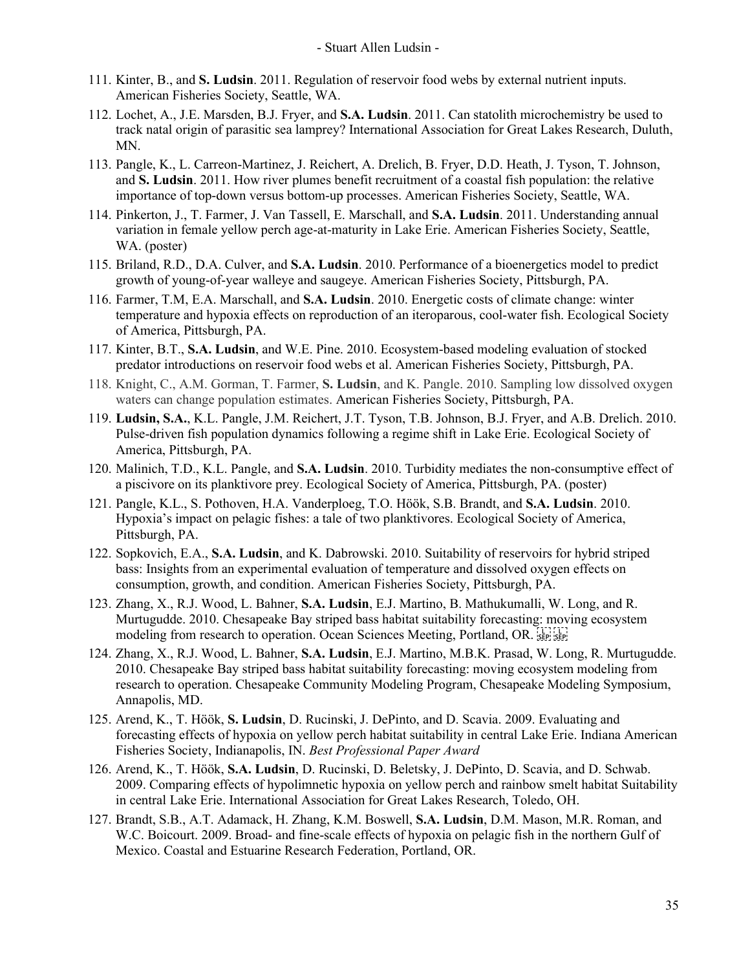- 111. Kinter, B., and **S. Ludsin**. 2011. Regulation of reservoir food webs by external nutrient inputs. American Fisheries Society, Seattle, WA.
- 112. Lochet, A., J.E. Marsden, B.J. Fryer, and **S.A. Ludsin**. 2011. Can statolith microchemistry be used to track natal origin of parasitic sea lamprey? International Association for Great Lakes Research, Duluth, MN.
- 113. Pangle, K., L. Carreon-Martinez, J. Reichert, A. Drelich, B. Fryer, D.D. Heath, J. Tyson, T. Johnson, and **S. Ludsin**. 2011. How river plumes benefit recruitment of a coastal fish population: the relative importance of top-down versus bottom-up processes. American Fisheries Society, Seattle, WA.
- 114. Pinkerton, J., T. Farmer, J. Van Tassell, E. Marschall, and **S.A. Ludsin**. 2011. Understanding annual variation in female yellow perch age-at-maturity in Lake Erie. American Fisheries Society, Seattle, WA. (poster)
- 115. Briland, R.D., D.A. Culver, and **S.A. Ludsin**. 2010. Performance of a bioenergetics model to predict growth of young-of-year walleye and saugeye. American Fisheries Society, Pittsburgh, PA.
- 116. Farmer, T.M, E.A. Marschall, and **S.A. Ludsin**. 2010. Energetic costs of climate change: winter temperature and hypoxia effects on reproduction of an iteroparous, cool-water fish. Ecological Society of America, Pittsburgh, PA.
- 117. Kinter, B.T., **S.A. Ludsin**, and W.E. Pine. 2010. Ecosystem-based modeling evaluation of stocked predator introductions on reservoir food webs et al. American Fisheries Society, Pittsburgh, PA.
- 118. Knight, C., A.M. Gorman, T. Farmer, **S. Ludsin**, and K. Pangle. 2010. Sampling low dissolved oxygen waters can change population estimates. American Fisheries Society, Pittsburgh, PA.
- 119. **Ludsin, S.A.**, K.L. Pangle, J.M. Reichert, J.T. Tyson, T.B. Johnson, B.J. Fryer, and A.B. Drelich. 2010. Pulse-driven fish population dynamics following a regime shift in Lake Erie. Ecological Society of America, Pittsburgh, PA.
- 120. Malinich, T.D., K.L. Pangle, and **S.A. Ludsin**. 2010. Turbidity mediates the non-consumptive effect of a piscivore on its planktivore prey. Ecological Society of America, Pittsburgh, PA. (poster)
- 121. Pangle, K.L., S. Pothoven, H.A. Vanderploeg, T.O. Höök, S.B. Brandt, and **S.A. Ludsin**. 2010. Hypoxia's impact on pelagic fishes: a tale of two planktivores. Ecological Society of America, Pittsburgh, PA.
- 122. Sopkovich, E.A., **S.A. Ludsin**, and K. Dabrowski. 2010. Suitability of reservoirs for hybrid striped bass: Insights from an experimental evaluation of temperature and dissolved oxygen effects on consumption, growth, and condition. American Fisheries Society, Pittsburgh, PA.
- 123. Zhang, X., R.J. Wood, L. Bahner, **S.A. Ludsin**, E.J. Martino, B. Mathukumalli, W. Long, and R. Murtugudde. 2010. Chesapeake Bay striped bass habitat suitability forecasting: moving ecosystem modeling from research to operation. Ocean Sciences Meeting, Portland, OR.
- 124. Zhang, X., R.J. Wood, L. Bahner, **S.A. Ludsin**, E.J. Martino, M.B.K. Prasad, W. Long, R. Murtugudde. 2010. Chesapeake Bay striped bass habitat suitability forecasting: moving ecosystem modeling from research to operation. Chesapeake Community Modeling Program, Chesapeake Modeling Symposium, Annapolis, MD.
- 125. Arend, K., T. Höök, **S. Ludsin**, D. Rucinski, J. DePinto, and D. Scavia. 2009. Evaluating and forecasting effects of hypoxia on yellow perch habitat suitability in central Lake Erie. Indiana American Fisheries Society, Indianapolis, IN. *Best Professional Paper Award*
- 126. Arend, K., T. Höök, **S.A. Ludsin**, D. Rucinski, D. Beletsky, J. DePinto, D. Scavia, and D. Schwab. 2009. Comparing effects of hypolimnetic hypoxia on yellow perch and rainbow smelt habitat Suitability in central Lake Erie. International Association for Great Lakes Research, Toledo, OH.
- 127. Brandt, S.B., A.T. Adamack, H. Zhang, K.M. Boswell, **S.A. Ludsin**, D.M. Mason, M.R. Roman, and W.C. Boicourt. 2009. Broad- and fine-scale effects of hypoxia on pelagic fish in the northern Gulf of Mexico. Coastal and Estuarine Research Federation, Portland, OR.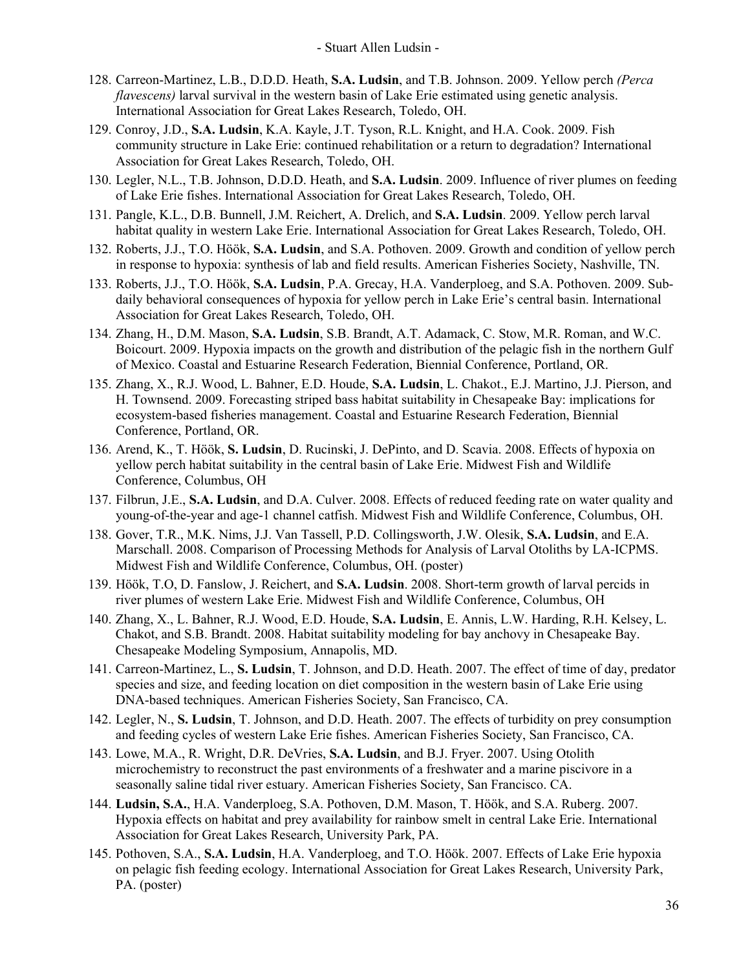- 128. Carreon-Martinez, L.B., D.D.D. Heath, **S.A. Ludsin**, and T.B. Johnson. 2009. Yellow perch *(Perca flavescens)* larval survival in the western basin of Lake Erie estimated using genetic analysis. International Association for Great Lakes Research, Toledo, OH.
- 129. Conroy, J.D., **S.A. Ludsin**, K.A. Kayle, J.T. Tyson, R.L. Knight, and H.A. Cook. 2009. Fish community structure in Lake Erie: continued rehabilitation or a return to degradation? International Association for Great Lakes Research, Toledo, OH.
- 130. Legler, N.L., T.B. Johnson, D.D.D. Heath, and **S.A. Ludsin**. 2009. Influence of river plumes on feeding of Lake Erie fishes. International Association for Great Lakes Research, Toledo, OH.
- 131. Pangle, K.L., D.B. Bunnell, J.M. Reichert, A. Drelich, and **S.A. Ludsin**. 2009. Yellow perch larval habitat quality in western Lake Erie. International Association for Great Lakes Research, Toledo, OH.
- 132. Roberts, J.J., T.O. Höök, **S.A. Ludsin**, and S.A. Pothoven. 2009. Growth and condition of yellow perch in response to hypoxia: synthesis of lab and field results. American Fisheries Society, Nashville, TN.
- 133. Roberts, J.J., T.O. Höök, **S.A. Ludsin**, P.A. Grecay, H.A. Vanderploeg, and S.A. Pothoven. 2009. Subdaily behavioral consequences of hypoxia for yellow perch in Lake Erie's central basin. International Association for Great Lakes Research, Toledo, OH.
- 134. Zhang, H., D.M. Mason, **S.A. Ludsin**, S.B. Brandt, A.T. Adamack, C. Stow, M.R. Roman, and W.C. Boicourt. 2009. Hypoxia impacts on the growth and distribution of the pelagic fish in the northern Gulf of Mexico. Coastal and Estuarine Research Federation, Biennial Conference, Portland, OR.
- 135. Zhang, X., R.J. Wood, L. Bahner, E.D. Houde, **S.A. Ludsin**, L. Chakot., E.J. Martino, J.J. Pierson, and H. Townsend. 2009. Forecasting striped bass habitat suitability in Chesapeake Bay: implications for ecosystem-based fisheries management. Coastal and Estuarine Research Federation, Biennial Conference, Portland, OR.
- 136. Arend, K., T. Höök, **S. Ludsin**, D. Rucinski, J. DePinto, and D. Scavia. 2008. Effects of hypoxia on yellow perch habitat suitability in the central basin of Lake Erie. Midwest Fish and Wildlife Conference, Columbus, OH
- 137. Filbrun, J.E., **S.A. Ludsin**, and D.A. Culver. 2008. Effects of reduced feeding rate on water quality and young-of-the-year and age-1 channel catfish. Midwest Fish and Wildlife Conference, Columbus, OH.
- 138. Gover, T.R., M.K. Nims, J.J. Van Tassell, P.D. Collingsworth, J.W. Olesik, **S.A. Ludsin**, and E.A. Marschall. 2008. Comparison of Processing Methods for Analysis of Larval Otoliths by LA-ICPMS. Midwest Fish and Wildlife Conference, Columbus, OH. (poster)
- 139. Höök, T.O, D. Fanslow, J. Reichert, and **S.A. Ludsin**. 2008. Short-term growth of larval percids in river plumes of western Lake Erie. Midwest Fish and Wildlife Conference, Columbus, OH
- 140. Zhang, X., L. Bahner, R.J. Wood, E.D. Houde, **S.A. Ludsin**, E. Annis, L.W. Harding, R.H. Kelsey, L. Chakot, and S.B. Brandt. 2008. Habitat suitability modeling for bay anchovy in Chesapeake Bay. Chesapeake Modeling Symposium, Annapolis, MD.
- 141. Carreon-Martinez, L., **S. Ludsin**, T. Johnson, and D.D. Heath. 2007. The effect of time of day, predator species and size, and feeding location on diet composition in the western basin of Lake Erie using DNA-based techniques. American Fisheries Society, San Francisco, CA.
- 142. Legler, N., **S. Ludsin**, T. Johnson, and D.D. Heath. 2007. The effects of turbidity on prey consumption and feeding cycles of western Lake Erie fishes. American Fisheries Society, San Francisco, CA.
- 143. Lowe, M.A., R. Wright, D.R. DeVries, **S.A. Ludsin**, and B.J. Fryer. 2007. Using Otolith microchemistry to reconstruct the past environments of a freshwater and a marine piscivore in a seasonally saline tidal river estuary. American Fisheries Society, San Francisco. CA.
- 144. **Ludsin, S.A.**, H.A. Vanderploeg, S.A. Pothoven, D.M. Mason, T. Höök, and S.A. Ruberg. 2007. Hypoxia effects on habitat and prey availability for rainbow smelt in central Lake Erie. International Association for Great Lakes Research, University Park, PA.
- 145. Pothoven, S.A., **S.A. Ludsin**, H.A. Vanderploeg, and T.O. Höök. 2007. Effects of Lake Erie hypoxia on pelagic fish feeding ecology. International Association for Great Lakes Research, University Park, PA. (poster)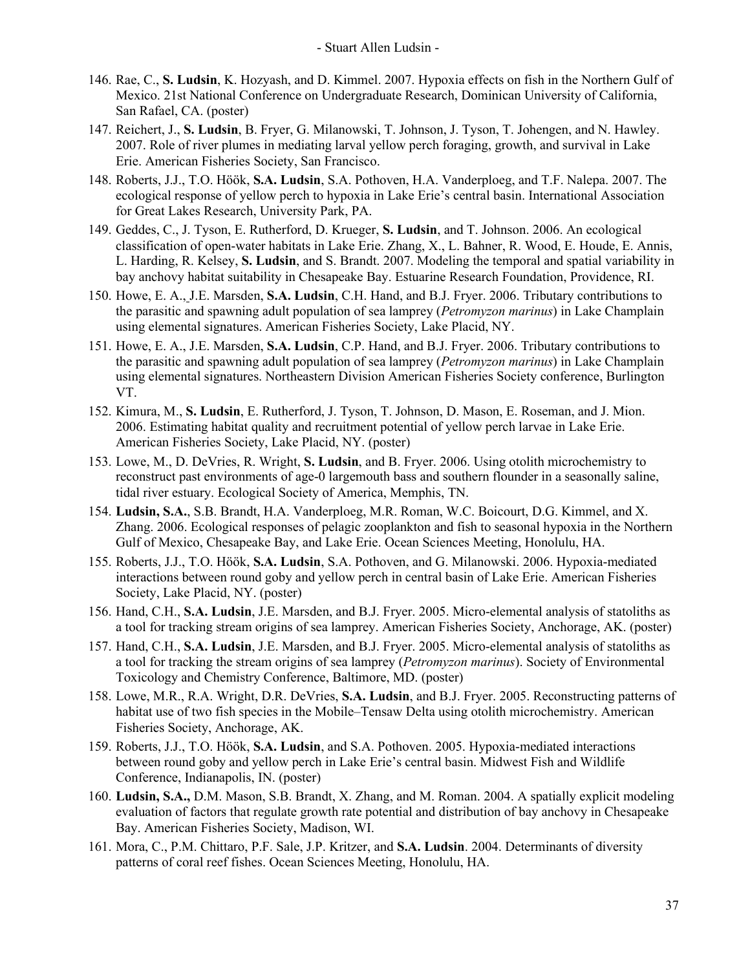- 146. Rae, C., **S. Ludsin**, K. Hozyash, and D. Kimmel. 2007. Hypoxia effects on fish in the Northern Gulf of Mexico. 21st National Conference on Undergraduate Research, Dominican University of California, San Rafael, CA. (poster)
- 147. Reichert, J., **S. Ludsin**, B. Fryer, G. Milanowski, T. Johnson, J. Tyson, T. Johengen, and N. Hawley. 2007. Role of river plumes in mediating larval yellow perch foraging, growth, and survival in Lake Erie. American Fisheries Society, San Francisco.
- 148. Roberts, J.J., T.O. Höök, **S.A. Ludsin**, S.A. Pothoven, H.A. Vanderploeg, and T.F. Nalepa. 2007. The ecological response of yellow perch to hypoxia in Lake Erie's central basin. International Association for Great Lakes Research, University Park, PA.
- 149. Geddes, C., J. Tyson, E. Rutherford, D. Krueger, **S. Ludsin**, and T. Johnson. 2006. An ecological classification of open-water habitats in Lake Erie. Zhang, X., L. Bahner, R. Wood, E. Houde, E. Annis, L. Harding, R. Kelsey, **S. Ludsin**, and S. Brandt. 2007. Modeling the temporal and spatial variability in bay anchovy habitat suitability in Chesapeake Bay. Estuarine Research Foundation, Providence, RI.
- 150. Howe, E. A., J.E. Marsden, **S.A. Ludsin**, C.H. Hand, and B.J. Fryer. 2006. Tributary contributions to the parasitic and spawning adult population of sea lamprey (*Petromyzon marinus*) in Lake Champlain using elemental signatures. American Fisheries Society, Lake Placid, NY.
- 151. Howe, E. A., J.E. Marsden, **S.A. Ludsin**, C.P. Hand, and B.J. Fryer. 2006. Tributary contributions to the parasitic and spawning adult population of sea lamprey (*Petromyzon marinus*) in Lake Champlain using elemental signatures. Northeastern Division American Fisheries Society conference, Burlington VT.
- 152. Kimura, M., **S. Ludsin**, E. Rutherford, J. Tyson, T. Johnson, D. Mason, E. Roseman, and J. Mion. 2006. Estimating habitat quality and recruitment potential of yellow perch larvae in Lake Erie. American Fisheries Society, Lake Placid, NY. (poster)
- 153. Lowe, M., D. DeVries, R. Wright, **S. Ludsin**, and B. Fryer. 2006. Using otolith microchemistry to reconstruct past environments of age-0 largemouth bass and southern flounder in a seasonally saline, tidal river estuary. Ecological Society of America, Memphis, TN.
- 154. **Ludsin, S.A.**, S.B. Brandt, H.A. Vanderploeg, M.R. Roman, W.C. Boicourt, D.G. Kimmel, and X. Zhang. 2006. Ecological responses of pelagic zooplankton and fish to seasonal hypoxia in the Northern Gulf of Mexico, Chesapeake Bay, and Lake Erie. Ocean Sciences Meeting, Honolulu, HA.
- 155. Roberts, J.J., T.O. Höök, **S.A. Ludsin**, S.A. Pothoven, and G. Milanowski. 2006. Hypoxia-mediated interactions between round goby and yellow perch in central basin of Lake Erie. American Fisheries Society, Lake Placid, NY. (poster)
- 156. Hand, C.H., **S.A. Ludsin**, J.E. Marsden, and B.J. Fryer. 2005. Micro-elemental analysis of statoliths as a tool for tracking stream origins of sea lamprey. American Fisheries Society, Anchorage, AK. (poster)
- 157. Hand, C.H., **S.A. Ludsin**, J.E. Marsden, and B.J. Fryer. 2005. Micro-elemental analysis of statoliths as a tool for tracking the stream origins of sea lamprey (*Petromyzon marinus*). Society of Environmental Toxicology and Chemistry Conference, Baltimore, MD. (poster)
- 158. Lowe, M.R., R.A. Wright, D.R. DeVries, **S.A. Ludsin**, and B.J. Fryer. 2005. Reconstructing patterns of habitat use of two fish species in the Mobile–Tensaw Delta using otolith microchemistry. American Fisheries Society, Anchorage, AK.
- 159. Roberts, J.J., T.O. Höök, **S.A. Ludsin**, and S.A. Pothoven. 2005. Hypoxia-mediated interactions between round goby and yellow perch in Lake Erie's central basin. Midwest Fish and Wildlife Conference, Indianapolis, IN. (poster)
- 160. **Ludsin, S.A.,** D.M. Mason, S.B. Brandt, X. Zhang, and M. Roman. 2004. A spatially explicit modeling evaluation of factors that regulate growth rate potential and distribution of bay anchovy in Chesapeake Bay. American Fisheries Society, Madison, WI.
- 161. Mora, C., P.M. Chittaro, P.F. Sale, J.P. Kritzer, and **S.A. Ludsin**. 2004. Determinants of diversity patterns of coral reef fishes. Ocean Sciences Meeting, Honolulu, HA.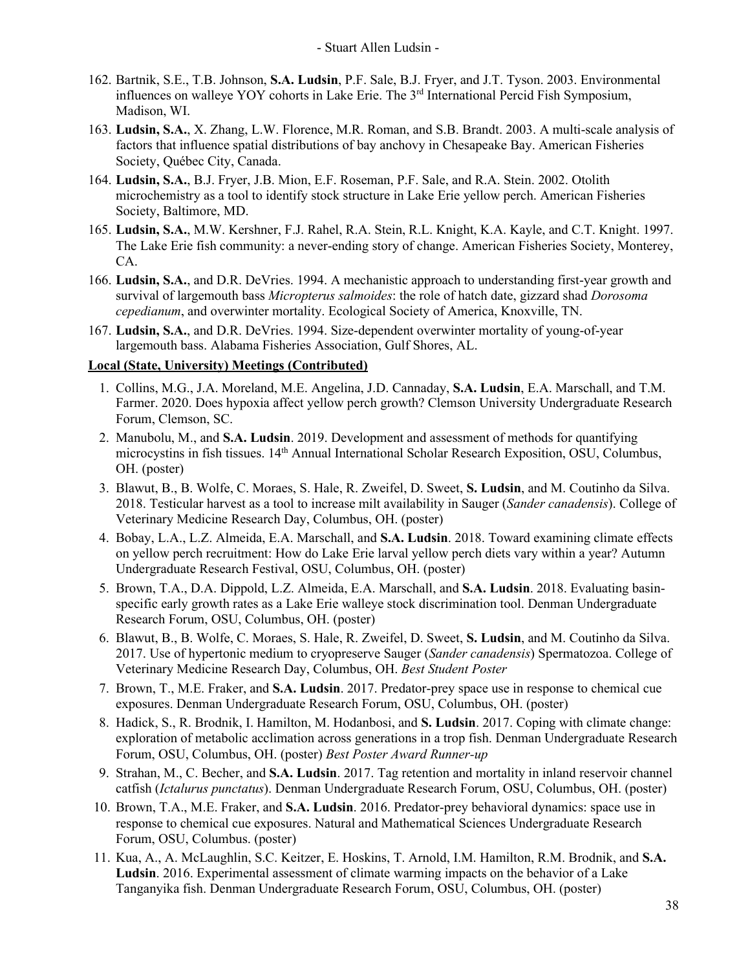- 162. Bartnik, S.E., T.B. Johnson, **S.A. Ludsin**, P.F. Sale, B.J. Fryer, and J.T. Tyson. 2003. Environmental influences on walleye YOY cohorts in Lake Erie. The 3<sup>rd</sup> International Percid Fish Symposium, Madison, WI.
- 163. **Ludsin, S.A.**, X. Zhang, L.W. Florence, M.R. Roman, and S.B. Brandt. 2003. A multi-scale analysis of factors that influence spatial distributions of bay anchovy in Chesapeake Bay. American Fisheries Society, Québec City, Canada.
- 164. **Ludsin, S.A.**, B.J. Fryer, J.B. Mion, E.F. Roseman, P.F. Sale, and R.A. Stein. 2002. Otolith microchemistry as a tool to identify stock structure in Lake Erie yellow perch. American Fisheries Society, Baltimore, MD.
- 165. **Ludsin, S.A.**, M.W. Kershner, F.J. Rahel, R.A. Stein, R.L. Knight, K.A. Kayle, and C.T. Knight. 1997. The Lake Erie fish community: a never-ending story of change. American Fisheries Society, Monterey, CA.
- 166. **Ludsin, S.A.**, and D.R. DeVries. 1994. A mechanistic approach to understanding first-year growth and survival of largemouth bass *Micropterus salmoides*: the role of hatch date, gizzard shad *Dorosoma cepedianum*, and overwinter mortality. Ecological Society of America, Knoxville, TN.
- 167. **Ludsin, S.A.**, and D.R. DeVries. 1994. Size-dependent overwinter mortality of young-of-year largemouth bass. Alabama Fisheries Association, Gulf Shores, AL.

### **Local (State, University) Meetings (Contributed)**

- 1. Collins, M.G., J.A. Moreland, M.E. Angelina, J.D. Cannaday, **S.A. Ludsin**, E.A. Marschall, and T.M. Farmer. 2020. Does hypoxia affect yellow perch growth? Clemson University Undergraduate Research Forum, Clemson, SC.
- 2. Manubolu, M., and **S.A. Ludsin**. 2019. Development and assessment of methods for quantifying microcystins in fish tissues. 14<sup>th</sup> Annual International Scholar Research Exposition, OSU, Columbus, OH. (poster)
- 3. Blawut, B., B. Wolfe, C. Moraes, S. Hale, R. Zweifel, D. Sweet, **S. Ludsin**, and M. Coutinho da Silva. 2018. Testicular harvest as a tool to increase milt availability in Sauger (*Sander canadensis*). College of Veterinary Medicine Research Day, Columbus, OH. (poster)
- 4. Bobay, L.A., L.Z. Almeida, E.A. Marschall, and **S.A. Ludsin**. 2018. Toward examining climate effects on yellow perch recruitment: How do Lake Erie larval yellow perch diets vary within a year? Autumn Undergraduate Research Festival, OSU, Columbus, OH. (poster)
- 5. Brown, T.A., D.A. Dippold, L.Z. Almeida, E.A. Marschall, and **S.A. Ludsin**. 2018. Evaluating basinspecific early growth rates as a Lake Erie walleye stock discrimination tool. Denman Undergraduate Research Forum, OSU, Columbus, OH. (poster)
- 6. Blawut, B., B. Wolfe, C. Moraes, S. Hale, R. Zweifel, D. Sweet, **S. Ludsin**, and M. Coutinho da Silva. 2017. Use of hypertonic medium to cryopreserve Sauger (*Sander canadensis*) Spermatozoa. College of Veterinary Medicine Research Day, Columbus, OH. *Best Student Poster*
- 7. Brown, T., M.E. Fraker, and **S.A. Ludsin**. 2017. Predator-prey space use in response to chemical cue exposures. Denman Undergraduate Research Forum, OSU, Columbus, OH. (poster)
- 8. Hadick, S., R. Brodnik, I. Hamilton, M. Hodanbosi, and **S. Ludsin**. 2017. Coping with climate change: exploration of metabolic acclimation across generations in a trop fish. Denman Undergraduate Research Forum, OSU, Columbus, OH. (poster) *Best Poster Award Runner-up*
- 9. Strahan, M., C. Becher, and **S.A. Ludsin**. 2017. Tag retention and mortality in inland reservoir channel catfish (*Ictalurus punctatus*). Denman Undergraduate Research Forum, OSU, Columbus, OH. (poster)
- 10. Brown, T.A., M.E. Fraker, and **S.A. Ludsin**. 2016. Predator-prey behavioral dynamics: space use in response to chemical cue exposures. Natural and Mathematical Sciences Undergraduate Research Forum, OSU, Columbus. (poster)
- 11. Kua, A., A. McLaughlin, S.C. Keitzer, E. Hoskins, T. Arnold, I.M. Hamilton, R.M. Brodnik, and **S.A. Ludsin**. 2016. Experimental assessment of climate warming impacts on the behavior of a Lake Tanganyika fish. Denman Undergraduate Research Forum, OSU, Columbus, OH. (poster)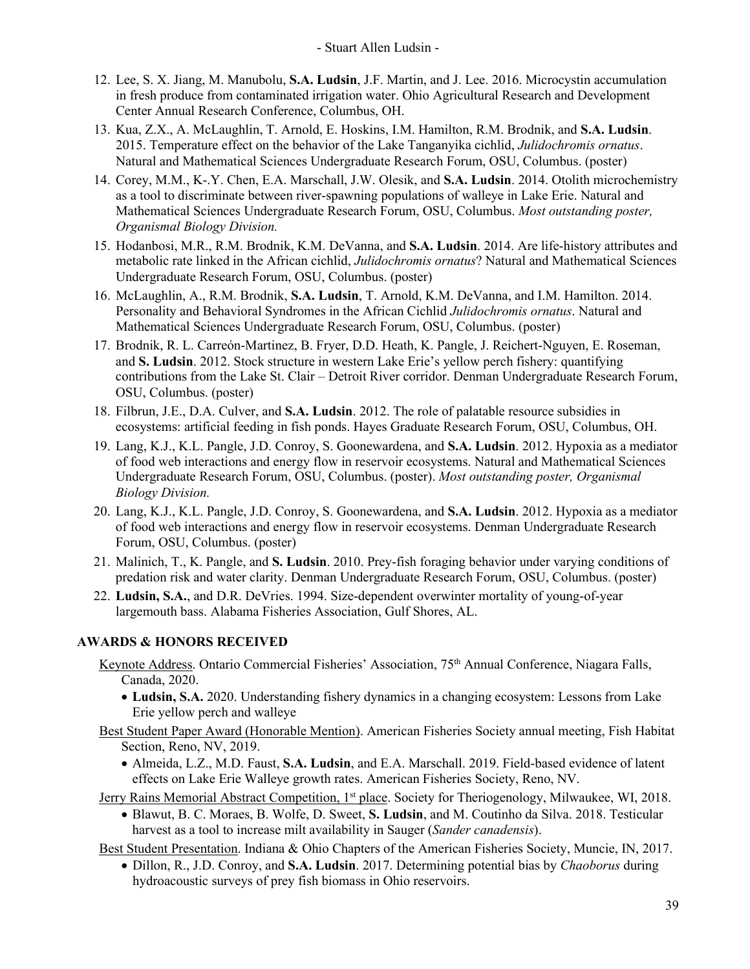- 12. Lee, S. X. Jiang, M. Manubolu, **S.A. Ludsin**, J.F. Martin, and J. Lee. 2016. Microcystin accumulation in fresh produce from contaminated irrigation water. Ohio Agricultural Research and Development Center Annual Research Conference, Columbus, OH.
- 13. Kua, Z.X., A. McLaughlin, T. Arnold, E. Hoskins, I.M. Hamilton, R.M. Brodnik, and **S.A. Ludsin**. 2015. Temperature effect on the behavior of the Lake Tanganyika cichlid, *Julidochromis ornatus*. Natural and Mathematical Sciences Undergraduate Research Forum, OSU, Columbus. (poster)
- 14. Corey, M.M., K-.Y. Chen, E.A. Marschall, J.W. Olesik, and **S.A. Ludsin**. 2014. Otolith microchemistry as a tool to discriminate between river-spawning populations of walleye in Lake Erie. Natural and Mathematical Sciences Undergraduate Research Forum, OSU, Columbus. *Most outstanding poster, Organismal Biology Division.*
- 15. Hodanbosi, M.R., R.M. Brodnik, K.M. DeVanna, and **S.A. Ludsin**. 2014. Are life-history attributes and metabolic rate linked in the African cichlid, *Julidochromis ornatus*? Natural and Mathematical Sciences Undergraduate Research Forum, OSU, Columbus. (poster)
- 16. McLaughlin, A., R.M. Brodnik, **S.A. Ludsin**, T. Arnold, K.M. DeVanna, and I.M. Hamilton. 2014. Personality and Behavioral Syndromes in the African Cichlid *Julidochromis ornatus*. Natural and Mathematical Sciences Undergraduate Research Forum, OSU, Columbus. (poster)
- 17. Brodnik, R. L. Carreón-Martinez, B. Fryer, D.D. Heath, K. Pangle, J. Reichert-Nguyen, E. Roseman, and **S. Ludsin**. 2012. Stock structure in western Lake Erie's yellow perch fishery: quantifying contributions from the Lake St. Clair – Detroit River corridor. Denman Undergraduate Research Forum, OSU, Columbus. (poster)
- 18. Filbrun, J.E., D.A. Culver, and **S.A. Ludsin**. 2012. The role of palatable resource subsidies in ecosystems: artificial feeding in fish ponds. Hayes Graduate Research Forum, OSU, Columbus, OH.
- 19. Lang, K.J., K.L. Pangle, J.D. Conroy, S. Goonewardena, and **S.A. Ludsin**. 2012. Hypoxia as a mediator of food web interactions and energy flow in reservoir ecosystems. Natural and Mathematical Sciences Undergraduate Research Forum, OSU, Columbus. (poster). *Most outstanding poster, Organismal Biology Division.*
- 20. Lang, K.J., K.L. Pangle, J.D. Conroy, S. Goonewardena, and **S.A. Ludsin**. 2012. Hypoxia as a mediator of food web interactions and energy flow in reservoir ecosystems. Denman Undergraduate Research Forum, OSU, Columbus. (poster)
- 21. Malinich, T., K. Pangle, and **S. Ludsin**. 2010. Prey-fish foraging behavior under varying conditions of predation risk and water clarity. Denman Undergraduate Research Forum, OSU, Columbus. (poster)
- 22. **Ludsin, S.A.**, and D.R. DeVries. 1994. Size-dependent overwinter mortality of young-of-year largemouth bass. Alabama Fisheries Association, Gulf Shores, AL.

## **AWARDS & HONORS RECEIVED**

- Keynote Address. Ontario Commercial Fisheries' Association, 75<sup>th</sup> Annual Conference, Niagara Falls, Canada, 2020.
	- **Ludsin, S.A.** 2020. Understanding fishery dynamics in a changing ecosystem: Lessons from Lake Erie yellow perch and walleye
- Best Student Paper Award (Honorable Mention). American Fisheries Society annual meeting, Fish Habitat Section, Reno, NV, 2019.
	- Almeida, L.Z., M.D. Faust, **S.A. Ludsin**, and E.A. Marschall. 2019. Field-based evidence of latent effects on Lake Erie Walleye growth rates. American Fisheries Society, Reno, NV.
- Jerry Rains Memorial Abstract Competition, 1<sup>st</sup> place. Society for Theriogenology, Milwaukee, WI, 2018.
	- Blawut, B. C. Moraes, B. Wolfe, D. Sweet, **S. Ludsin**, and M. Coutinho da Silva. 2018. Testicular harvest as a tool to increase milt availability in Sauger (*Sander canadensis*).

Best Student Presentation. Indiana & Ohio Chapters of the American Fisheries Society, Muncie, IN, 2017.

• Dillon, R., J.D. Conroy, and **S.A. Ludsin**. 2017. Determining potential bias by *Chaoborus* during hydroacoustic surveys of prey fish biomass in Ohio reservoirs.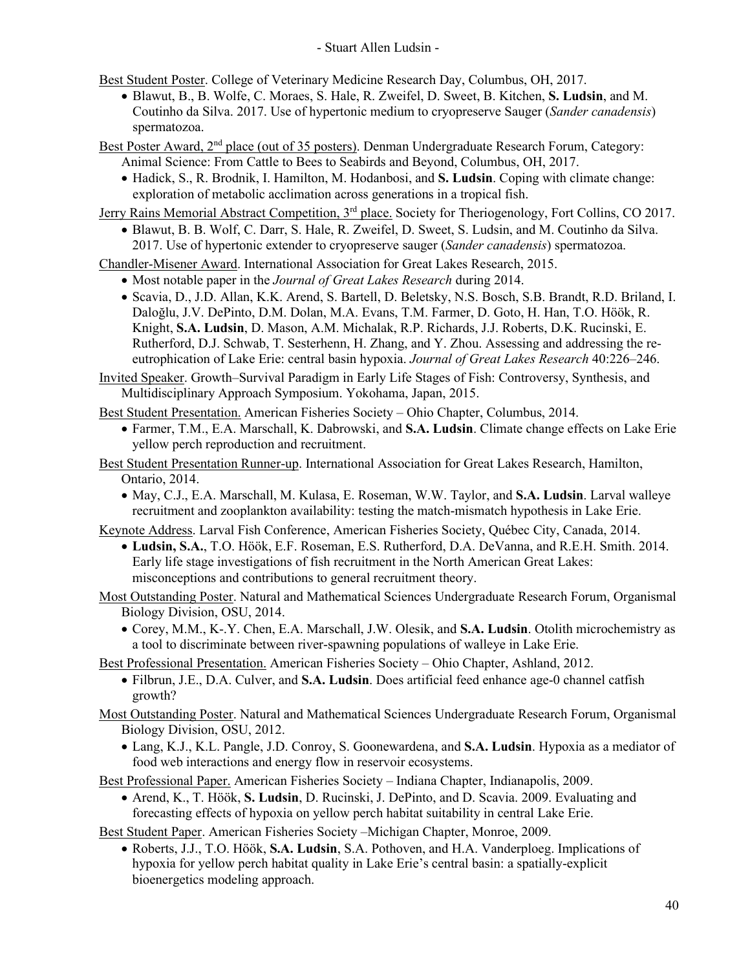Best Student Poster. College of Veterinary Medicine Research Day, Columbus, OH, 2017.

• Blawut, B., B. Wolfe, C. Moraes, S. Hale, R. Zweifel, D. Sweet, B. Kitchen, **S. Ludsin**, and M. Coutinho da Silva. 2017. Use of hypertonic medium to cryopreserve Sauger (*Sander canadensis*) spermatozoa.

Best Poster Award, 2<sup>nd</sup> place (out of 35 posters). Denman Undergraduate Research Forum, Category: Animal Science: From Cattle to Bees to Seabirds and Beyond, Columbus, OH, 2017.

• Hadick, S., R. Brodnik, I. Hamilton, M. Hodanbosi, and **S. Ludsin**. Coping with climate change: exploration of metabolic acclimation across generations in a tropical fish.

Jerry Rains Memorial Abstract Competition, 3<sup>rd</sup> place. Society for Theriogenology, Fort Collins, CO 2017.

• Blawut, B. B. Wolf, C. Darr, S. Hale, R. Zweifel, D. Sweet, S. Ludsin, and M. Coutinho da Silva. 2017. Use of hypertonic extender to cryopreserve sauger (*Sander canadensis*) spermatozoa.

Chandler-Misener Award. International Association for Great Lakes Research, 2015.

- Most notable paper in the *Journal of Great Lakes Research* during 2014.
- Scavia, D., J.D. Allan, K.K. Arend, S. Bartell, D. Beletsky, N.S. Bosch, S.B. Brandt, R.D. Briland, I. Daloğlu, J.V. DePinto, D.M. Dolan, M.A. Evans, T.M. Farmer, D. Goto, H. Han, T.O. Höök, R. Knight, **S.A. Ludsin**, D. Mason, A.M. Michalak, R.P. Richards, J.J. Roberts, D.K. Rucinski, E. Rutherford, D.J. Schwab, T. Sesterhenn, H. Zhang, and Y. Zhou. Assessing and addressing the reeutrophication of Lake Erie: central basin hypoxia. *Journal of Great Lakes Research* 40:226–246.

Invited Speaker. Growth–Survival Paradigm in Early Life Stages of Fish: Controversy, Synthesis, and Multidisciplinary Approach Symposium. Yokohama, Japan, 2015.

Best Student Presentation. American Fisheries Society – Ohio Chapter, Columbus, 2014.

- Farmer, T.M., E.A. Marschall, K. Dabrowski, and **S.A. Ludsin**. Climate change effects on Lake Erie yellow perch reproduction and recruitment.
- Best Student Presentation Runner-up. International Association for Great Lakes Research, Hamilton, Ontario, 2014.
	- May, C.J., E.A. Marschall, M. Kulasa, E. Roseman, W.W. Taylor, and **S.A. Ludsin**. Larval walleye recruitment and zooplankton availability: testing the match-mismatch hypothesis in Lake Erie.

Keynote Address. Larval Fish Conference, American Fisheries Society, Québec City, Canada, 2014.

• **Ludsin, S.A.**, T.O. Höök, E.F. Roseman, E.S. Rutherford, D.A. DeVanna, and R.E.H. Smith. 2014. Early life stage investigations of fish recruitment in the North American Great Lakes: misconceptions and contributions to general recruitment theory.

Most Outstanding Poster. Natural and Mathematical Sciences Undergraduate Research Forum, Organismal Biology Division, OSU, 2014.

• Corey, M.M., K-.Y. Chen, E.A. Marschall, J.W. Olesik, and **S.A. Ludsin**. Otolith microchemistry as a tool to discriminate between river-spawning populations of walleye in Lake Erie.

Best Professional Presentation. American Fisheries Society – Ohio Chapter, Ashland, 2012.

• Filbrun, J.E., D.A. Culver, and **S.A. Ludsin**. Does artificial feed enhance age-0 channel catfish growth?

Most Outstanding Poster. Natural and Mathematical Sciences Undergraduate Research Forum, Organismal Biology Division, OSU, 2012.

• Lang, K.J., K.L. Pangle, J.D. Conroy, S. Goonewardena, and **S.A. Ludsin**. Hypoxia as a mediator of food web interactions and energy flow in reservoir ecosystems.

Best Professional Paper. American Fisheries Society – Indiana Chapter, Indianapolis, 2009.

• Arend, K., T. Höök, **S. Ludsin**, D. Rucinski, J. DePinto, and D. Scavia. 2009. Evaluating and forecasting effects of hypoxia on yellow perch habitat suitability in central Lake Erie.

Best Student Paper. American Fisheries Society –Michigan Chapter, Monroe, 2009.

• Roberts, J.J., T.O. Höök, **S.A. Ludsin**, S.A. Pothoven, and H.A. Vanderploeg. Implications of hypoxia for yellow perch habitat quality in Lake Erie's central basin: a spatially-explicit bioenergetics modeling approach.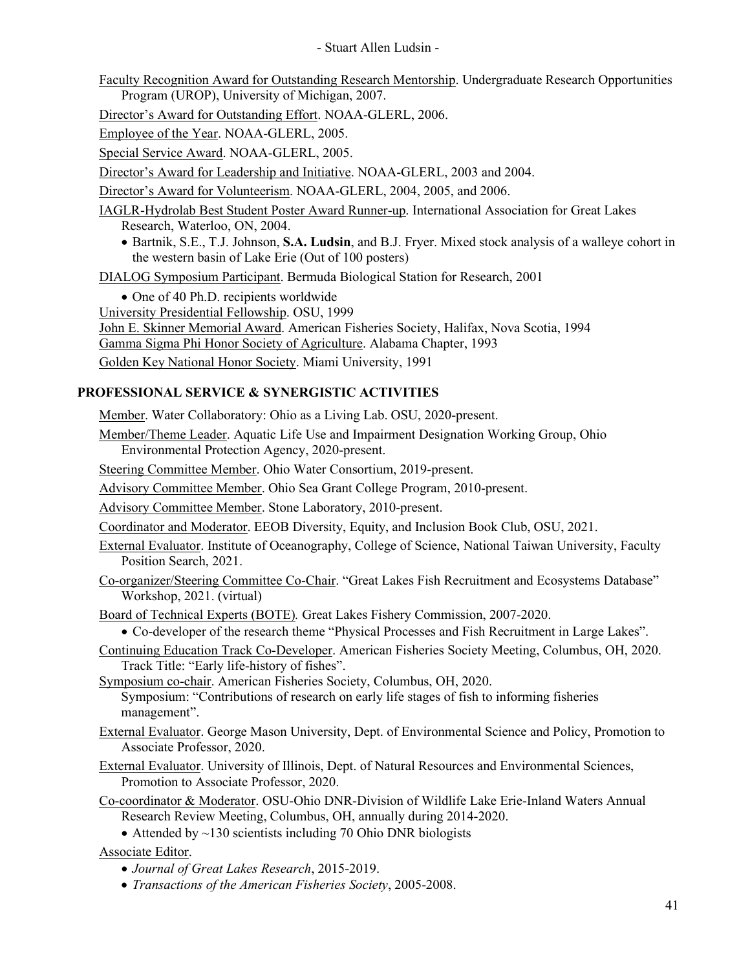Faculty Recognition Award for Outstanding Research Mentorship. Undergraduate Research Opportunities Program (UROP), University of Michigan, 2007.

Director's Award for Outstanding Effort. NOAA-GLERL, 2006.

Employee of the Year. NOAA-GLERL, 2005.

Special Service Award. NOAA-GLERL, 2005.

Director's Award for Leadership and Initiative. NOAA-GLERL, 2003 and 2004.

Director's Award for Volunteerism. NOAA-GLERL, 2004, 2005, and 2006.

IAGLR-Hydrolab Best Student Poster Award Runner-up. International Association for Great Lakes Research, Waterloo, ON, 2004.

• Bartnik, S.E., T.J. Johnson, **S.A. Ludsin**, and B.J. Fryer. Mixed stock analysis of a walleye cohort in the western basin of Lake Erie (Out of 100 posters)

DIALOG Symposium Participant. Bermuda Biological Station for Research, 2001

• One of 40 Ph.D. recipients worldwide University Presidential Fellowship. OSU, 1999 John E. Skinner Memorial Award. American Fisheries Society, Halifax, Nova Scotia, 1994 Gamma Sigma Phi Honor Society of Agriculture. Alabama Chapter, 1993 Golden Key National Honor Society. Miami University, 1991

# **PROFESSIONAL SERVICE & SYNERGISTIC ACTIVITIES**

Member. Water Collaboratory: Ohio as a Living Lab. OSU, 2020-present.

Member/Theme Leader. Aquatic Life Use and Impairment Designation Working Group, Ohio Environmental Protection Agency, 2020-present.

Steering Committee Member. Ohio Water Consortium, 2019-present.

Advisory Committee Member. Ohio Sea Grant College Program, 2010-present.

Advisory Committee Member. Stone Laboratory, 2010-present.

Coordinator and Moderator. EEOB Diversity, Equity, and Inclusion Book Club, OSU, 2021.

- External Evaluator. Institute of Oceanography, College of Science, National Taiwan University, Faculty Position Search, 2021.
- Co-organizer/Steering Committee Co-Chair. "Great Lakes Fish Recruitment and Ecosystems Database" Workshop, 2021. (virtual)

Board of Technical Experts (BOTE)*.* Great Lakes Fishery Commission, 2007-2020.

• Co-developer of the research theme "Physical Processes and Fish Recruitment in Large Lakes".

Continuing Education Track Co-Developer. American Fisheries Society Meeting, Columbus, OH, 2020. Track Title: "Early life-history of fishes".

Symposium co-chair. American Fisheries Society, Columbus, OH, 2020. Symposium: "Contributions of research on early life stages of fish to informing fisheries management".

- External Evaluator. George Mason University, Dept. of Environmental Science and Policy, Promotion to Associate Professor, 2020.
- External Evaluator. University of Illinois, Dept. of Natural Resources and Environmental Sciences, Promotion to Associate Professor, 2020.
- Co-coordinator & Moderator. OSU-Ohio DNR-Division of Wildlife Lake Erie-Inland Waters Annual Research Review Meeting, Columbus, OH, annually during 2014-2020.
	- Attended by  $\sim$ 130 scientists including 70 Ohio DNR biologists

Associate Editor.

- *Journal of Great Lakes Research*, 2015-2019.
- *Transactions of the American Fisheries Society*, 2005-2008.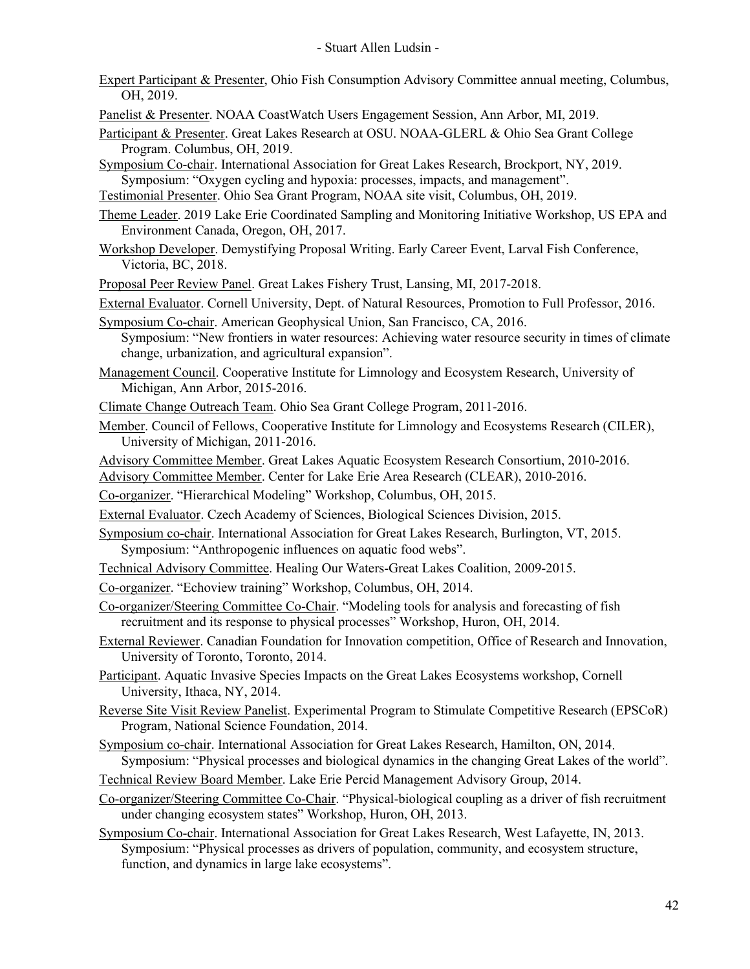- Expert Participant & Presenter, Ohio Fish Consumption Advisory Committee annual meeting, Columbus, OH, 2019.
- Panelist & Presenter. NOAA CoastWatch Users Engagement Session, Ann Arbor, MI, 2019.
- Participant & Presenter. Great Lakes Research at OSU. NOAA-GLERL & Ohio Sea Grant College Program. Columbus, OH, 2019.
- Symposium Co-chair. International Association for Great Lakes Research, Brockport, NY, 2019. Symposium: "Oxygen cycling and hypoxia: processes, impacts, and management".
- Testimonial Presenter. Ohio Sea Grant Program, NOAA site visit, Columbus, OH, 2019.
- Theme Leader. 2019 Lake Erie Coordinated Sampling and Monitoring Initiative Workshop, US EPA and Environment Canada, Oregon, OH, 2017.
- Workshop Developer. Demystifying Proposal Writing. Early Career Event, Larval Fish Conference, Victoria, BC, 2018.
- Proposal Peer Review Panel. Great Lakes Fishery Trust, Lansing, MI, 2017-2018.
- External Evaluator. Cornell University, Dept. of Natural Resources, Promotion to Full Professor, 2016.
- Symposium Co-chair. American Geophysical Union, San Francisco, CA, 2016. Symposium: "New frontiers in water resources: Achieving water resource security in times of climate change, urbanization, and agricultural expansion".
- Management Council. Cooperative Institute for Limnology and Ecosystem Research, University of Michigan, Ann Arbor, 2015-2016.
- Climate Change Outreach Team. Ohio Sea Grant College Program, 2011-2016.
- Member. Council of Fellows, Cooperative Institute for Limnology and Ecosystems Research (CILER), University of Michigan, 2011-2016.
- Advisory Committee Member. Great Lakes Aquatic Ecosystem Research Consortium, 2010-2016.

Advisory Committee Member. Center for Lake Erie Area Research (CLEAR), 2010-2016.

- Co-organizer. "Hierarchical Modeling" Workshop, Columbus, OH, 2015.
- External Evaluator. Czech Academy of Sciences, Biological Sciences Division, 2015.
- Symposium co-chair. International Association for Great Lakes Research, Burlington, VT, 2015. Symposium: "Anthropogenic influences on aquatic food webs".
- Technical Advisory Committee. Healing Our Waters-Great Lakes Coalition, 2009-2015.
- Co-organizer. "Echoview training" Workshop, Columbus, OH, 2014.
- Co-organizer/Steering Committee Co-Chair. "Modeling tools for analysis and forecasting of fish recruitment and its response to physical processes" Workshop, Huron, OH, 2014.
- External Reviewer. Canadian Foundation for Innovation competition, Office of Research and Innovation, University of Toronto, Toronto, 2014.
- Participant. Aquatic Invasive Species Impacts on the Great Lakes Ecosystems workshop, Cornell University, Ithaca, NY, 2014.
- Reverse Site Visit Review Panelist. Experimental Program to Stimulate Competitive Research (EPSCoR) Program, National Science Foundation, 2014.
- Symposium co-chair. International Association for Great Lakes Research, Hamilton, ON, 2014. Symposium: "Physical processes and biological dynamics in the changing Great Lakes of the world".
- Technical Review Board Member. Lake Erie Percid Management Advisory Group, 2014.
- Co-organizer/Steering Committee Co-Chair. "Physical-biological coupling as a driver of fish recruitment under changing ecosystem states" Workshop, Huron, OH, 2013.
- Symposium Co-chair. International Association for Great Lakes Research, West Lafayette, IN, 2013. Symposium: "Physical processes as drivers of population, community, and ecosystem structure, function, and dynamics in large lake ecosystems".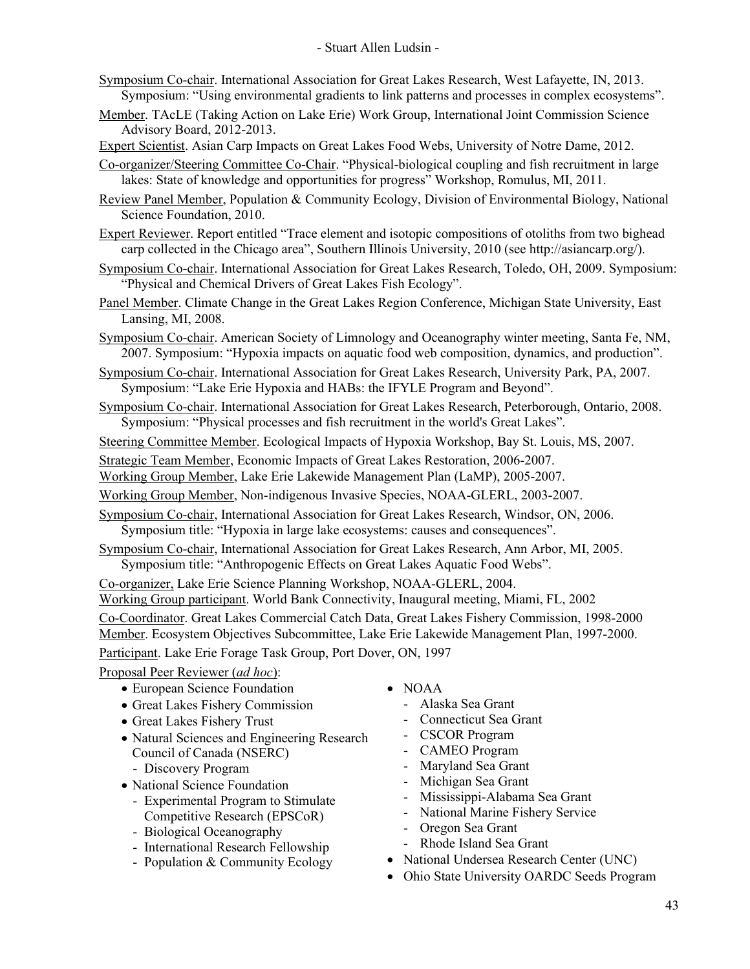- Symposium Co-chair. International Association for Great Lakes Research, West Lafayette, IN, 2013. Symposium: "Using environmental gradients to link patterns and processes in complex ecosystems".
- Member. TAcLE (Taking Action on Lake Erie) Work Group, International Joint Commission Science Advisory Board, 2012-2013.
- Expert Scientist. Asian Carp Impacts on Great Lakes Food Webs, University of Notre Dame, 2012.

Co-organizer/Steering Committee Co-Chair. "Physical-biological coupling and fish recruitment in large lakes: State of knowledge and opportunities for progress" Workshop, Romulus, MI, 2011.

- Review Panel Member, Population & Community Ecology, Division of Environmental Biology, National Science Foundation, 2010.
- Expert Reviewer. Report entitled "Trace element and isotopic compositions of otoliths from two bighead carp collected in the Chicago area", Southern Illinois University, 2010 (see http://asiancarp.org/).
- Symposium Co-chair. International Association for Great Lakes Research, Toledo, OH, 2009. Symposium: "Physical and Chemical Drivers of Great Lakes Fish Ecology".
- Panel Member. Climate Change in the Great Lakes Region Conference, Michigan State University, East Lansing, MI, 2008.
- Symposium Co-chair. American Society of Limnology and Oceanography winter meeting, Santa Fe, NM, 2007. Symposium: "Hypoxia impacts on aquatic food web composition, dynamics, and production".
- Symposium Co-chair. International Association for Great Lakes Research, University Park, PA, 2007. Symposium: "Lake Erie Hypoxia and HABs: the IFYLE Program and Beyond".
- Symposium Co-chair. International Association for Great Lakes Research, Peterborough, Ontario, 2008. Symposium: "Physical processes and fish recruitment in the world's Great Lakes".

Steering Committee Member. Ecological Impacts of Hypoxia Workshop, Bay St. Louis, MS, 2007.

Strategic Team Member, Economic Impacts of Great Lakes Restoration, 2006-2007.

Working Group Member, Lake Erie Lakewide Management Plan (LaMP), 2005-2007.

Working Group Member, Non-indigenous Invasive Species, NOAA-GLERL, 2003-2007.

Symposium Co-chair, International Association for Great Lakes Research, Windsor, ON, 2006. Symposium title: "Hypoxia in large lake ecosystems: causes and consequences".

Symposium Co-chair, International Association for Great Lakes Research, Ann Arbor, MI, 2005. Symposium title: "Anthropogenic Effects on Great Lakes Aquatic Food Webs".

Co-organizer, Lake Erie Science Planning Workshop, NOAA-GLERL, 2004.

Working Group participant. World Bank Connectivity, Inaugural meeting, Miami, FL, 2002

Co-Coordinator. Great Lakes Commercial Catch Data, Great Lakes Fishery Commission, 1998-2000

Member. Ecosystem Objectives Subcommittee, Lake Erie Lakewide Management Plan, 1997-2000.

Participant. Lake Erie Forage Task Group, Port Dover, ON, 1997

Proposal Peer Reviewer (*ad hoc*):

- European Science Foundation
- Great Lakes Fishery Commission
- Great Lakes Fishery Trust
- Natural Sciences and Engineering Research Council of Canada (NSERC)
	- Discovery Program
- National Science Foundation
	- Experimental Program to Stimulate Competitive Research (EPSCoR)
	- Biological Oceanography
	- International Research Fellowship
	- Population & Community Ecology
- NOAA
	- Alaska Sea Grant
	- Connecticut Sea Grant
	- CSCOR Program
	- CAMEO Program
	- Maryland Sea Grant
	- Michigan Sea Grant
	- Mississippi-Alabama Sea Grant
	- National Marine Fishery Service
	- Oregon Sea Grant
	- Rhode Island Sea Grant
- National Undersea Research Center (UNC)
- Ohio State University OARDC Seeds Program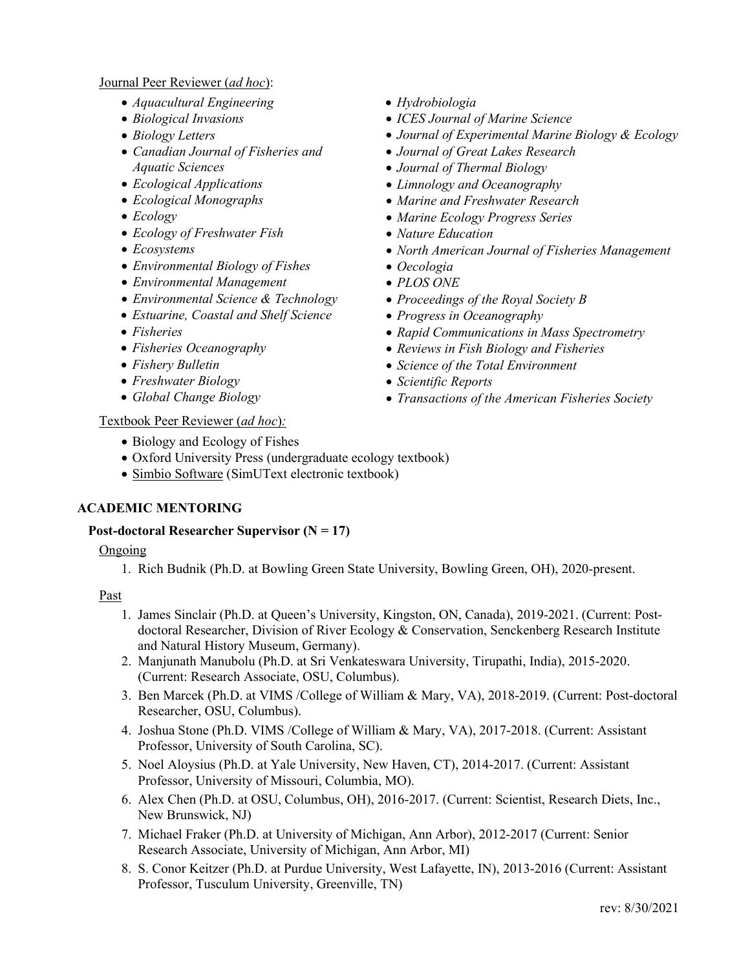### Journal Peer Reviewer (*ad hoc*):

- *Aquacultural Engineering*
- *Biological Invasions*
- *Biology Letters*
- *Canadian Journal of Fisheries and Aquatic Sciences*
- *Ecological Applications*
- *Ecological Monographs*
- *Ecology*
- *Ecology of Freshwater Fish*
- *Ecosystems*
- *Environmental Biology of Fishes*
- *Environmental Management*
- *Environmental Science & Technology*
- *Estuarine, Coastal and Shelf Science*
- *Fisheries*
- *Fisheries Oceanography*
- *Fishery Bulletin*
- *Freshwater Biology*
- *Global Change Biology*

### Textbook Peer Reviewer (*ad hoc*)*:*

- Biology and Ecology of Fishes
- Oxford University Press (undergraduate ecology textbook)
- Simbio Software (SimUText electronic textbook)

## **ACADEMIC MENTORING**

### **Post-doctoral Researcher Supervisor (N = 17)**

### Ongoing

1. Rich Budnik (Ph.D. at Bowling Green State University, Bowling Green, OH), 2020-present.

- 1. James Sinclair (Ph.D. at Queen's University, Kingston, ON, Canada), 2019-2021. (Current: Postdoctoral Researcher, Division of River Ecology & Conservation, Senckenberg Research Institute and Natural History Museum, Germany).
- 2. Manjunath Manubolu (Ph.D. at Sri Venkateswara University, Tirupathi, India), 2015-2020. (Current: Research Associate, OSU, Columbus).
- 3. Ben Marcek (Ph.D. at VIMS /College of William & Mary, VA), 2018-2019. (Current: Post-doctoral Researcher, OSU, Columbus).
- 4. Joshua Stone (Ph.D. VIMS /College of William & Mary, VA), 2017-2018. (Current: Assistant Professor, University of South Carolina, SC).
- 5. Noel Aloysius (Ph.D. at Yale University, New Haven, CT), 2014-2017. (Current: Assistant Professor, University of Missouri, Columbia, MO).
- 6. Alex Chen (Ph.D. at OSU, Columbus, OH), 2016-2017. (Current: Scientist, Research Diets, Inc., New Brunswick, NJ)
- 7. Michael Fraker (Ph.D. at University of Michigan, Ann Arbor), 2012-2017 (Current: Senior Research Associate, University of Michigan, Ann Arbor, MI)
- 8. S. Conor Keitzer (Ph.D. at Purdue University, West Lafayette, IN), 2013-2016 (Current: Assistant Professor, Tusculum University, Greenville, TN)
- *Hydrobiologia*
- *ICES Journal of Marine Science*
- *Journal of Experimental Marine Biology & Ecology*
- *Journal of Great Lakes Research*
- *Journal of Thermal Biology*
- *Limnology and Oceanography*
- *Marine and Freshwater Research*
- *Marine Ecology Progress Series*
- *Nature Education*
- *North American Journal of Fisheries Management*
- *Oecologia*
- *PLOS ONE*
- *Proceedings of the Royal Society B*
- *Progress in Oceanography*
- *Rapid Communications in Mass Spectrometry*
- *Reviews in Fish Biology and Fisheries*
- *Science of the Total Environment*
- *Scientific Reports*
- *Transactions of the American Fisheries Society*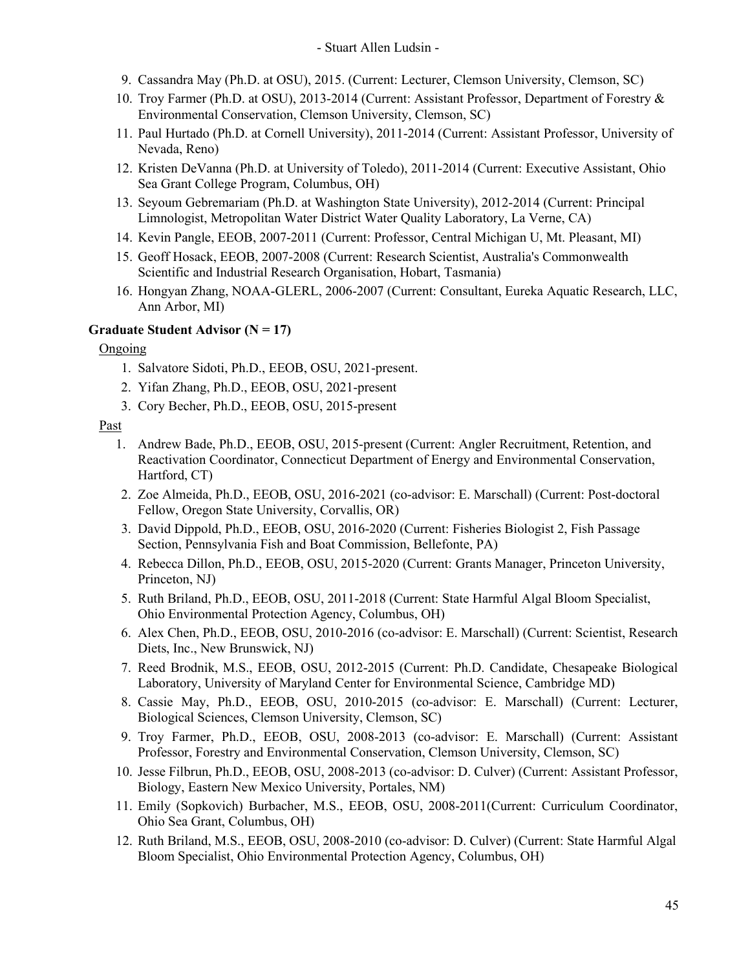- 9. Cassandra May (Ph.D. at OSU), 2015. (Current: Lecturer, Clemson University, Clemson, SC)
- 10. Troy Farmer (Ph.D. at OSU), 2013-2014 (Current: Assistant Professor, Department of Forestry & Environmental Conservation, Clemson University, Clemson, SC)
- 11. Paul Hurtado (Ph.D. at Cornell University), 2011-2014 (Current: Assistant Professor, University of Nevada, Reno)
- 12. Kristen DeVanna (Ph.D. at University of Toledo), 2011-2014 (Current: Executive Assistant, Ohio Sea Grant College Program, Columbus, OH)
- 13. Seyoum Gebremariam (Ph.D. at Washington State University), 2012-2014 (Current: Principal Limnologist, Metropolitan Water District Water Quality Laboratory, La Verne, CA)
- 14. Kevin Pangle, EEOB, 2007-2011 (Current: Professor, Central Michigan U, Mt. Pleasant, MI)
- 15. Geoff Hosack, EEOB, 2007-2008 (Current: Research Scientist, Australia's Commonwealth Scientific and Industrial Research Organisation, Hobart, Tasmania)
- 16. Hongyan Zhang, NOAA-GLERL, 2006-2007 (Current: Consultant, Eureka Aquatic Research, LLC, Ann Arbor, MI)

### **Graduate Student Advisor (N = 17)**

#### Ongoing

- 1. Salvatore Sidoti, Ph.D., EEOB, OSU, 2021-present.
- 2. Yifan Zhang, Ph.D., EEOB, OSU, 2021-present
- 3. Cory Becher, Ph.D., EEOB, OSU, 2015-present

- 1. Andrew Bade, Ph.D., EEOB, OSU, 2015-present (Current: Angler Recruitment, Retention, and Reactivation Coordinator, Connecticut Department of Energy and Environmental Conservation, Hartford, CT)
- 2. Zoe Almeida, Ph.D., EEOB, OSU, 2016-2021 (co-advisor: E. Marschall) (Current: Post-doctoral Fellow, Oregon State University, Corvallis, OR)
- 3. David Dippold, Ph.D., EEOB, OSU, 2016-2020 (Current: Fisheries Biologist 2, Fish Passage Section, Pennsylvania Fish and Boat Commission, Bellefonte, PA)
- 4. Rebecca Dillon, Ph.D., EEOB, OSU, 2015-2020 (Current: Grants Manager, Princeton University, Princeton, NJ)
- 5. Ruth Briland, Ph.D., EEOB, OSU, 2011-2018 (Current: State Harmful Algal Bloom Specialist, Ohio Environmental Protection Agency, Columbus, OH)
- 6. Alex Chen, Ph.D., EEOB, OSU, 2010-2016 (co-advisor: E. Marschall) (Current: Scientist, Research Diets, Inc., New Brunswick, NJ)
- 7. Reed Brodnik, M.S., EEOB, OSU, 2012-2015 (Current: Ph.D. Candidate, Chesapeake Biological Laboratory, University of Maryland Center for Environmental Science, Cambridge MD)
- 8. Cassie May, Ph.D., EEOB, OSU, 2010-2015 (co-advisor: E. Marschall) (Current: Lecturer, Biological Sciences, Clemson University, Clemson, SC)
- 9. Troy Farmer, Ph.D., EEOB, OSU, 2008-2013 (co-advisor: E. Marschall) (Current: Assistant Professor, Forestry and Environmental Conservation, Clemson University, Clemson, SC)
- 10. Jesse Filbrun, Ph.D., EEOB, OSU, 2008-2013 (co-advisor: D. Culver) (Current: Assistant Professor, Biology, Eastern New Mexico University, Portales, NM)
- 11. Emily (Sopkovich) Burbacher, M.S., EEOB, OSU, 2008-2011(Current: Curriculum Coordinator, Ohio Sea Grant, Columbus, OH)
- 12. Ruth Briland, M.S., EEOB, OSU, 2008-2010 (co-advisor: D. Culver) (Current: State Harmful Algal Bloom Specialist, Ohio Environmental Protection Agency, Columbus, OH)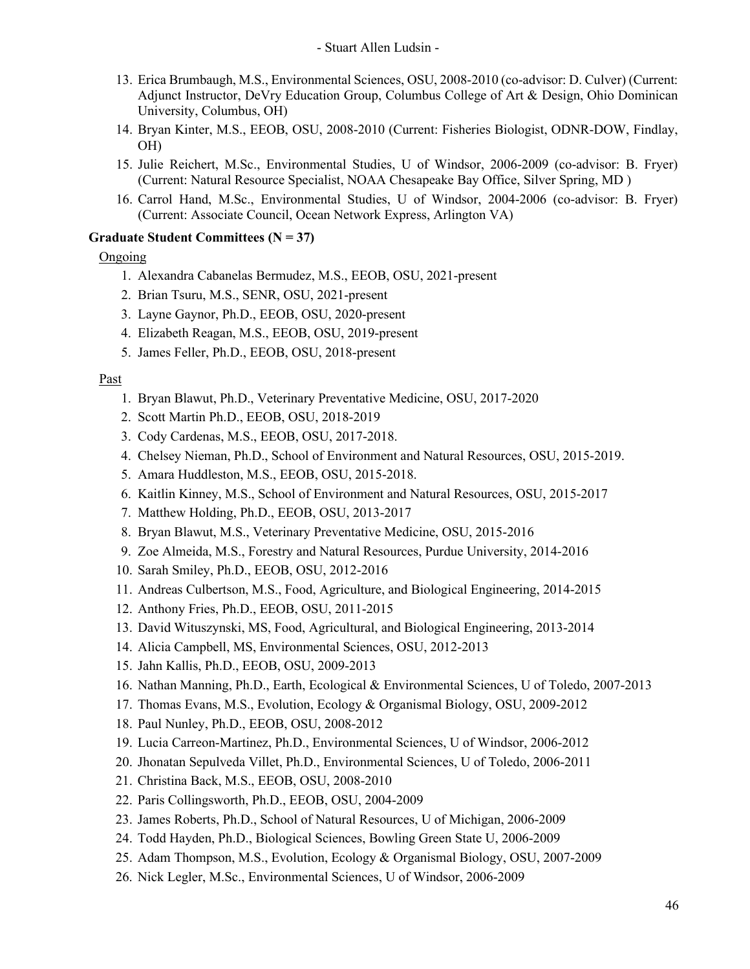- 13. Erica Brumbaugh, M.S., Environmental Sciences, OSU, 2008-2010 (co-advisor: D. Culver) (Current: Adjunct Instructor, DeVry Education Group, Columbus College of Art & Design, Ohio Dominican University, Columbus, OH)
- 14. Bryan Kinter, M.S., EEOB, OSU, 2008-2010 (Current: Fisheries Biologist, ODNR-DOW, Findlay, OH)
- 15. Julie Reichert, M.Sc., Environmental Studies, U of Windsor, 2006-2009 (co-advisor: B. Fryer) (Current: Natural Resource Specialist, NOAA Chesapeake Bay Office, Silver Spring, MD )
- 16. Carrol Hand, M.Sc., Environmental Studies, U of Windsor, 2004-2006 (co-advisor: B. Fryer) (Current: Associate Council, Ocean Network Express, Arlington VA)

### **Graduate Student Committees (N = 37)**

## Ongoing

- 1. Alexandra Cabanelas Bermudez, M.S., EEOB, OSU, 2021-present
- 2. Brian Tsuru, M.S., SENR, OSU, 2021-present
- 3. Layne Gaynor, Ph.D., EEOB, OSU, 2020-present
- 4. Elizabeth Reagan, M.S., EEOB, OSU, 2019-present
- 5. James Feller, Ph.D., EEOB, OSU, 2018-present

- 1. Bryan Blawut, Ph.D., Veterinary Preventative Medicine, OSU, 2017-2020
- 2. Scott Martin Ph.D., EEOB, OSU, 2018-2019
- 3. Cody Cardenas, M.S., EEOB, OSU, 2017-2018.
- 4. Chelsey Nieman, Ph.D., School of Environment and Natural Resources, OSU, 2015-2019.
- 5. Amara Huddleston, M.S., EEOB, OSU, 2015-2018.
- 6. Kaitlin Kinney, M.S., School of Environment and Natural Resources, OSU, 2015-2017
- 7. Matthew Holding, Ph.D., EEOB, OSU, 2013-2017
- 8. Bryan Blawut, M.S., Veterinary Preventative Medicine, OSU, 2015-2016
- 9. Zoe Almeida, M.S., Forestry and Natural Resources, Purdue University, 2014-2016
- 10. Sarah Smiley, Ph.D., EEOB, OSU, 2012-2016
- 11. Andreas Culbertson, M.S., Food, Agriculture, and Biological Engineering, 2014-2015
- 12. Anthony Fries, Ph.D., EEOB, OSU, 2011-2015
- 13. David Wituszynski, MS, Food, Agricultural, and Biological Engineering, 2013-2014
- 14. Alicia Campbell, MS, Environmental Sciences, OSU, 2012-2013
- 15. Jahn Kallis, Ph.D., EEOB, OSU, 2009-2013
- 16. Nathan Manning, Ph.D., Earth, Ecological & Environmental Sciences, U of Toledo, 2007-2013
- 17. Thomas Evans, M.S., Evolution, Ecology & Organismal Biology, OSU, 2009-2012
- 18. Paul Nunley, Ph.D., EEOB, OSU, 2008-2012
- 19. Lucia Carreon-Martinez, Ph.D., Environmental Sciences, U of Windsor, 2006-2012
- 20. Jhonatan Sepulveda Villet, Ph.D., Environmental Sciences, U of Toledo, 2006-2011
- 21. Christina Back, M.S., EEOB, OSU, 2008-2010
- 22. Paris Collingsworth, Ph.D., EEOB, OSU, 2004-2009
- 23. James Roberts, Ph.D., School of Natural Resources, U of Michigan, 2006-2009
- 24. Todd Hayden, Ph.D., Biological Sciences, Bowling Green State U, 2006-2009
- 25. Adam Thompson, M.S., Evolution, Ecology & Organismal Biology, OSU, 2007-2009
- 26. Nick Legler, M.Sc., Environmental Sciences, U of Windsor, 2006-2009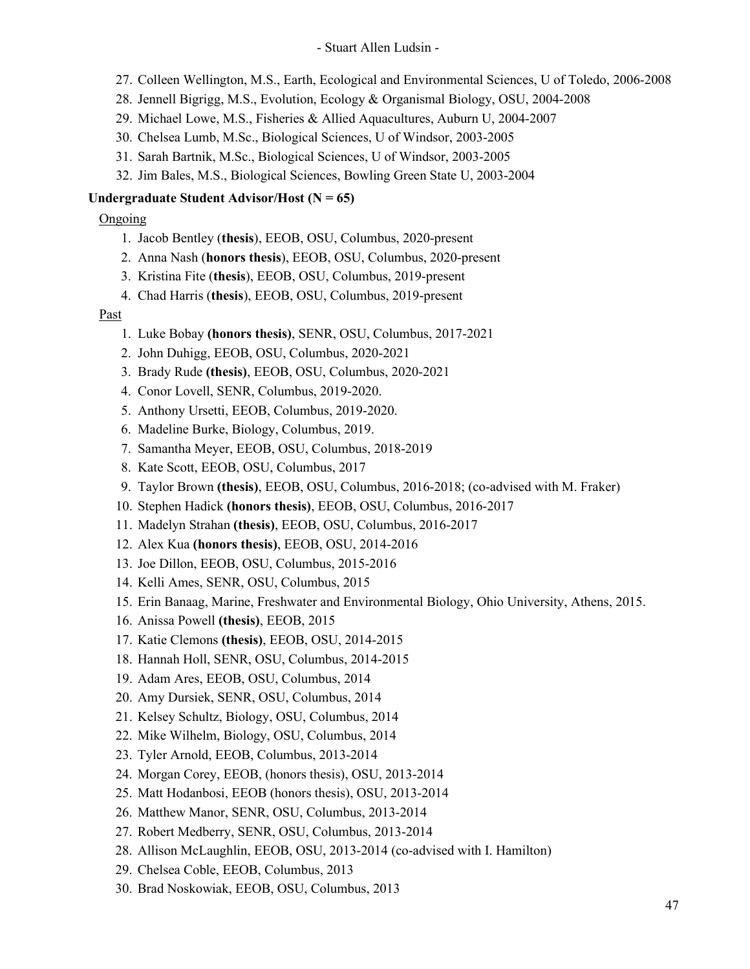- 27. Colleen Wellington, M.S., Earth, Ecological and Environmental Sciences, U of Toledo, 2006-2008
- 28. Jennell Bigrigg, M.S., Evolution, Ecology & Organismal Biology, OSU, 2004-2008
- 29. Michael Lowe, M.S., Fisheries & Allied Aquacultures, Auburn U, 2004-2007
- 30. Chelsea Lumb, M.Sc., Biological Sciences, U of Windsor, 2003-2005
- 31. Sarah Bartnik, M.Sc., Biological Sciences, U of Windsor, 2003-2005
- 32. Jim Bales, M.S., Biological Sciences, Bowling Green State U, 2003-2004

## **Undergraduate Student Advisor/Host (N = 65)**

Ongoing

- 1. Jacob Bentley (**thesis**), EEOB, OSU, Columbus, 2020-present
- 2. Anna Nash (**honors thesis**), EEOB, OSU, Columbus, 2020-present
- 3. Kristina Fite (**thesis**), EEOB, OSU, Columbus, 2019-present
- 4. Chad Harris (**thesis**), EEOB, OSU, Columbus, 2019-present

- 1. Luke Bobay **(honors thesis)**, SENR, OSU, Columbus, 2017-2021
- 2. John Duhigg, EEOB, OSU, Columbus, 2020-2021
- 3. Brady Rude **(thesis)**, EEOB, OSU, Columbus, 2020-2021
- 4. Conor Lovell, SENR, Columbus, 2019-2020.
- 5. Anthony Ursetti, EEOB, Columbus, 2019-2020.
- 6. Madeline Burke, Biology, Columbus, 2019.
- 7. Samantha Meyer, EEOB, OSU, Columbus, 2018-2019
- 8. Kate Scott, EEOB, OSU, Columbus, 2017
- 9. Taylor Brown **(thesis)**, EEOB, OSU, Columbus, 2016-2018; (co-advised with M. Fraker)
- 10. Stephen Hadick **(honors thesis)**, EEOB, OSU, Columbus, 2016-2017
- 11. Madelyn Strahan **(thesis)**, EEOB, OSU, Columbus, 2016-2017
- 12. Alex Kua **(honors thesis)**, EEOB, OSU, 2014-2016
- 13. Joe Dillon, EEOB, OSU, Columbus, 2015-2016
- 14. Kelli Ames, SENR, OSU, Columbus, 2015
- 15. Erin Banaag, Marine, Freshwater and Environmental Biology, Ohio University, Athens, 2015.
- 16. Anissa Powell **(thesis)**, EEOB, 2015
- 17. Katie Clemons **(thesis)**, EEOB, OSU, 2014-2015
- 18. Hannah Holl, SENR, OSU, Columbus, 2014-2015
- 19. Adam Ares, EEOB, OSU, Columbus, 2014
- 20. Amy Dursiek, SENR, OSU, Columbus, 2014
- 21. Kelsey Schultz, Biology, OSU, Columbus, 2014
- 22. Mike Wilhelm, Biology, OSU, Columbus, 2014
- 23. Tyler Arnold, EEOB, Columbus, 2013-2014
- 24. Morgan Corey, EEOB, (honors thesis), OSU, 2013-2014
- 25. Matt Hodanbosi, EEOB (honors thesis), OSU, 2013-2014
- 26. Matthew Manor, SENR, OSU, Columbus, 2013-2014
- 27. Robert Medberry, SENR, OSU, Columbus, 2013-2014
- 28. Allison McLaughlin, EEOB, OSU, 2013-2014 (co-advised with I. Hamilton)
- 29. Chelsea Coble, EEOB, Columbus, 2013
- 30. Brad Noskowiak, EEOB, OSU, Columbus, 2013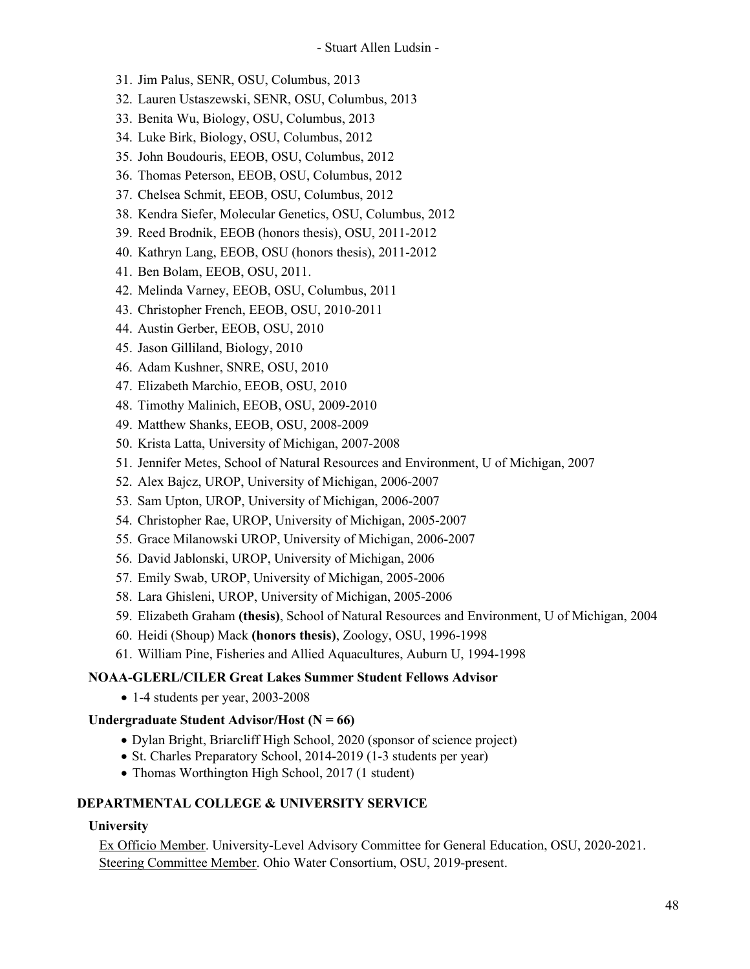- 31. Jim Palus, SENR, OSU, Columbus, 2013
- 32. Lauren Ustaszewski, SENR, OSU, Columbus, 2013
- 33. Benita Wu, Biology, OSU, Columbus, 2013
- 34. Luke Birk, Biology, OSU, Columbus, 2012
- 35. John Boudouris, EEOB, OSU, Columbus, 2012
- 36. Thomas Peterson, EEOB, OSU, Columbus, 2012
- 37. Chelsea Schmit, EEOB, OSU, Columbus, 2012
- 38. Kendra Siefer, Molecular Genetics, OSU, Columbus, 2012
- 39. Reed Brodnik, EEOB (honors thesis), OSU, 2011-2012
- 40. Kathryn Lang, EEOB, OSU (honors thesis), 2011-2012
- 41. Ben Bolam, EEOB, OSU, 2011.
- 42. Melinda Varney, EEOB, OSU, Columbus, 2011
- 43. Christopher French, EEOB, OSU, 2010-2011
- 44. Austin Gerber, EEOB, OSU, 2010
- 45. Jason Gilliland, Biology, 2010
- 46. Adam Kushner, SNRE, OSU, 2010
- 47. Elizabeth Marchio, EEOB, OSU, 2010
- 48. Timothy Malinich, EEOB, OSU, 2009-2010
- 49. Matthew Shanks, EEOB, OSU, 2008-2009
- 50. Krista Latta, University of Michigan, 2007-2008
- 51. Jennifer Metes, School of Natural Resources and Environment, U of Michigan, 2007
- 52. Alex Bajcz, UROP, University of Michigan, 2006-2007
- 53. Sam Upton, UROP, University of Michigan, 2006-2007
- 54. Christopher Rae, UROP, University of Michigan, 2005-2007
- 55. Grace Milanowski UROP, University of Michigan, 2006-2007
- 56. David Jablonski, UROP, University of Michigan, 2006
- 57. Emily Swab, UROP, University of Michigan, 2005-2006
- 58. Lara Ghisleni, UROP, University of Michigan, 2005-2006
- 59. Elizabeth Graham **(thesis)**, School of Natural Resources and Environment, U of Michigan, 2004
- 60. Heidi (Shoup) Mack **(honors thesis)**, Zoology, OSU, 1996-1998
- 61. William Pine, Fisheries and Allied Aquacultures, Auburn U, 1994-1998

#### **NOAA-GLERL/CILER Great Lakes Summer Student Fellows Advisor**

• 1-4 students per year, 2003-2008

#### **Undergraduate Student Advisor/Host (N = 66)**

- Dylan Bright, Briarcliff High School, 2020 (sponsor of science project)
- St. Charles Preparatory School, 2014-2019 (1-3 students per year)
- Thomas Worthington High School, 2017 (1 student)

### **DEPARTMENTAL COLLEGE & UNIVERSITY SERVICE**

#### **University**

Ex Officio Member. University-Level Advisory Committee for General Education, OSU, 2020-2021. Steering Committee Member. Ohio Water Consortium, OSU, 2019-present.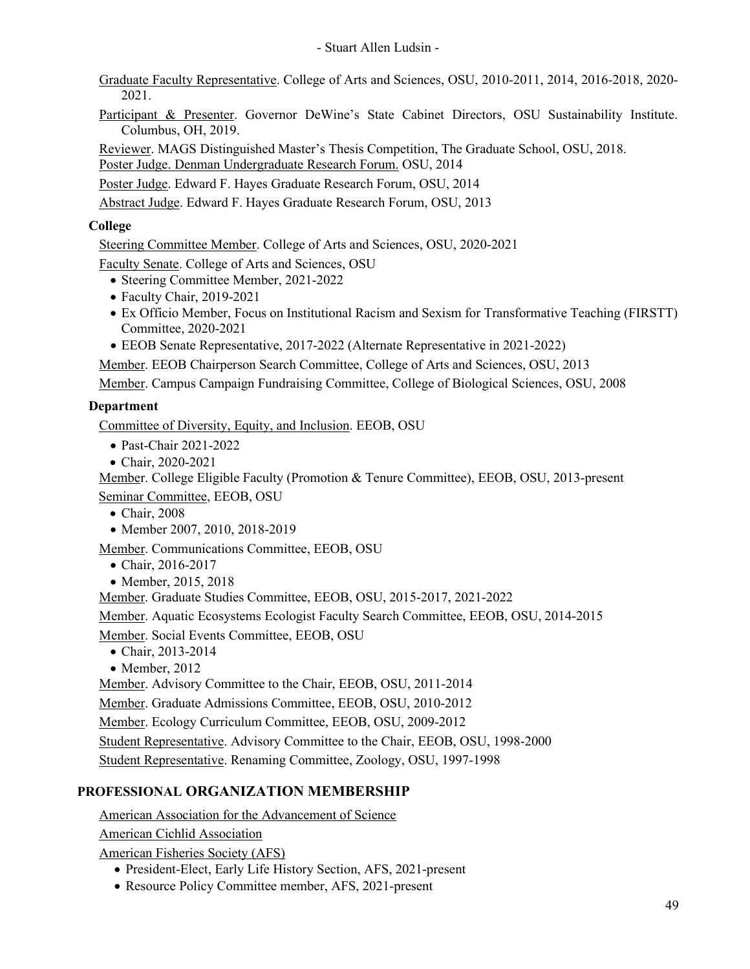Graduate Faculty Representative. College of Arts and Sciences, OSU, 2010-2011, 2014, 2016-2018, 2020- 2021.

Participant & Presenter. Governor DeWine's State Cabinet Directors, OSU Sustainability Institute. Columbus, OH, 2019.

Reviewer. MAGS Distinguished Master's Thesis Competition, The Graduate School, OSU, 2018.

Poster Judge. Denman Undergraduate Research Forum. OSU, 2014

Poster Judge. Edward F. Hayes Graduate Research Forum, OSU, 2014

Abstract Judge. Edward F. Hayes Graduate Research Forum, OSU, 2013

# **College**

Steering Committee Member. College of Arts and Sciences, OSU, 2020-2021

Faculty Senate. College of Arts and Sciences, OSU

- Steering Committee Member, 2021-2022
- Faculty Chair, 2019-2021
- Ex Officio Member, Focus on Institutional Racism and Sexism for Transformative Teaching (FIRSTT) Committee, 2020-2021
- EEOB Senate Representative, 2017-2022 (Alternate Representative in 2021-2022)

Member. EEOB Chairperson Search Committee, College of Arts and Sciences, OSU, 2013

Member. Campus Campaign Fundraising Committee, College of Biological Sciences, OSU, 2008

## **Department**

Committee of Diversity, Equity, and Inclusion. EEOB, OSU

- Past-Chair 2021-2022
- Chair, 2020-2021

Member. College Eligible Faculty (Promotion & Tenure Committee), EEOB, OSU, 2013-present Seminar Committee, EEOB, OSU

- Chair, 2008
- Member 2007, 2010, 2018-2019

Member. Communications Committee, EEOB, OSU

- Chair, 2016-2017
- Member, 2015, 2018

Member. Graduate Studies Committee, EEOB, OSU, 2015-2017, 2021-2022

Member. Aquatic Ecosystems Ecologist Faculty Search Committee, EEOB, OSU, 2014-2015

Member. Social Events Committee, EEOB, OSU

- Chair, 2013-2014
- Member, 2012

Member. Advisory Committee to the Chair, EEOB, OSU, 2011-2014

Member. Graduate Admissions Committee, EEOB, OSU, 2010-2012

Member. Ecology Curriculum Committee, EEOB, OSU, 2009-2012

Student Representative. Advisory Committee to the Chair, EEOB, OSU, 1998-2000

Student Representative. Renaming Committee, Zoology, OSU, 1997-1998

# **PROFESSIONAL ORGANIZATION MEMBERSHIP**

American Association for the Advancement of Science

American Cichlid Association

American Fisheries Society (AFS)

- President-Elect, Early Life History Section, AFS, 2021-present
- Resource Policy Committee member, AFS, 2021-present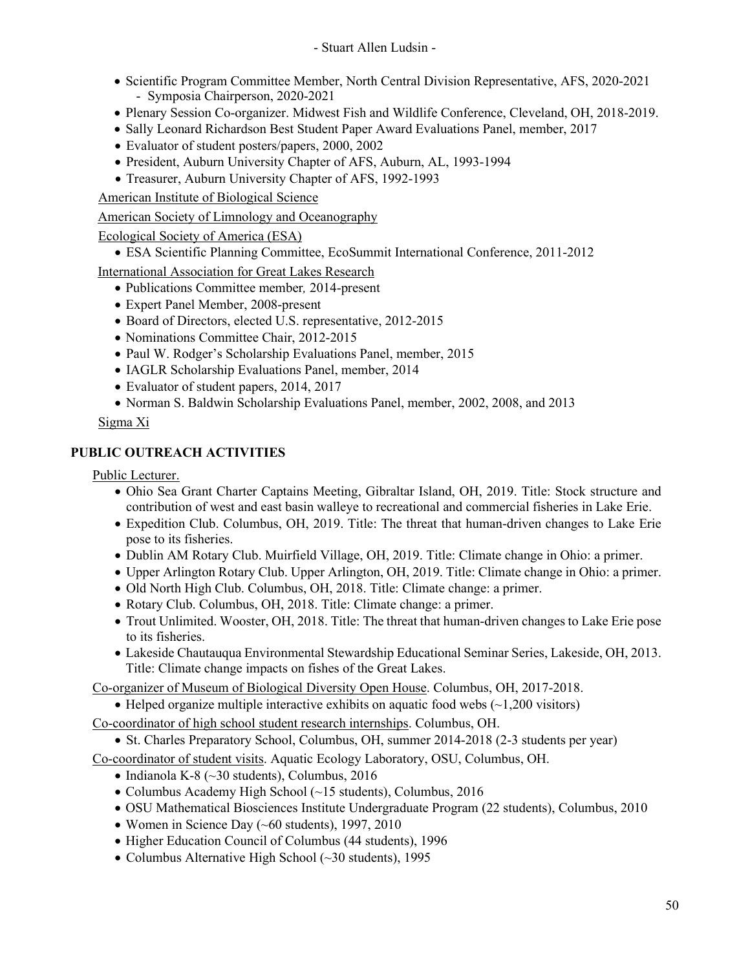- Scientific Program Committee Member, North Central Division Representative, AFS, 2020-2021 - Symposia Chairperson, 2020-2021
- Plenary Session Co-organizer. Midwest Fish and Wildlife Conference, Cleveland, OH, 2018-2019.
- Sally Leonard Richardson Best Student Paper Award Evaluations Panel, member, 2017
- Evaluator of student posters/papers, 2000, 2002
- President, Auburn University Chapter of AFS, Auburn, AL, 1993-1994
- Treasurer, Auburn University Chapter of AFS, 1992-1993

American Institute of Biological Science

American Society of Limnology and Oceanography

- Ecological Society of America (ESA)
	- ESA Scientific Planning Committee, EcoSummit International Conference, 2011-2012

International Association for Great Lakes Research

- Publications Committee member*,* 2014-present
- Expert Panel Member, 2008-present
- Board of Directors, elected U.S. representative, 2012-2015
- Nominations Committee Chair, 2012-2015
- Paul W. Rodger's Scholarship Evaluations Panel, member, 2015
- IAGLR Scholarship Evaluations Panel, member, 2014
- Evaluator of student papers, 2014, 2017
- Norman S. Baldwin Scholarship Evaluations Panel, member, 2002, 2008, and 2013

Sigma Xi

## **PUBLIC OUTREACH ACTIVITIES**

Public Lecturer.

- Ohio Sea Grant Charter Captains Meeting, Gibraltar Island, OH, 2019. Title: Stock structure and contribution of west and east basin walleye to recreational and commercial fisheries in Lake Erie.
- Expedition Club. Columbus, OH, 2019. Title: The threat that human-driven changes to Lake Erie pose to its fisheries.
- Dublin AM Rotary Club. Muirfield Village, OH, 2019. Title: Climate change in Ohio: a primer.
- Upper Arlington Rotary Club. Upper Arlington, OH, 2019. Title: Climate change in Ohio: a primer.
- Old North High Club. Columbus, OH, 2018. Title: Climate change: a primer.
- Rotary Club. Columbus, OH, 2018. Title: Climate change: a primer.
- Trout Unlimited. Wooster, OH, 2018. Title: The threat that human-driven changes to Lake Erie pose to its fisheries.
- Lakeside Chautauqua Environmental Stewardship Educational Seminar Series, Lakeside, OH, 2013. Title: Climate change impacts on fishes of the Great Lakes.

Co-organizer of Museum of Biological Diversity Open House. Columbus, OH, 2017-2018.

• Helped organize multiple interactive exhibits on aquatic food webs  $(\sim 1,200)$  visitors)

- Co-coordinator of high school student research internships. Columbus, OH.
	- St. Charles Preparatory School, Columbus, OH, summer 2014-2018 (2-3 students per year)

Co-coordinator of student visits. Aquatic Ecology Laboratory, OSU, Columbus, OH.

- Indianola K-8 (~30 students), Columbus, 2016
- Columbus Academy High School (~15 students), Columbus, 2016
- OSU Mathematical Biosciences Institute Undergraduate Program (22 students), Columbus, 2010
- Women in Science Day (~60 students), 1997, 2010
- Higher Education Council of Columbus (44 students), 1996
- Columbus Alternative High School (~30 students), 1995